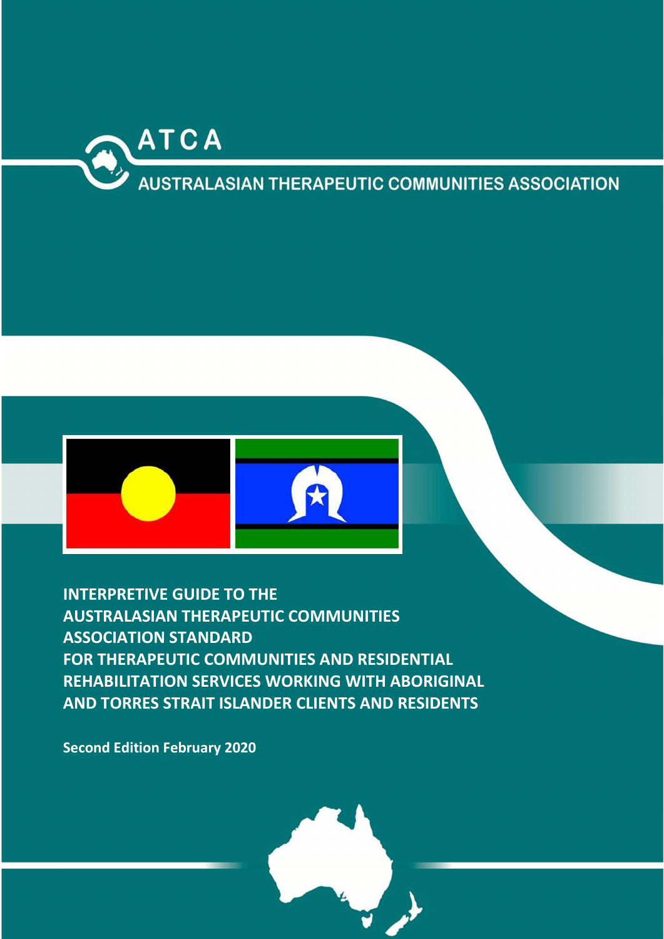

# **AUSTRALASIAN THERAPEUTIC COMMUNITIES ASSOCIATION**



INTERPRETIVE GUIDE TO THE AUSTRALASIAN THERAPEUTIC COMMUNITIES ASSOCIATION STANDARD FOR THERAPEUTIC COMMUNITIES AND RESIDENTIAL REHABILITATION SERVICES WORKING WITH ABORIGINAL AND TORRES STRAIT ISLANDER CLIENTS AND RESIDENTS

Second Edition February 2020

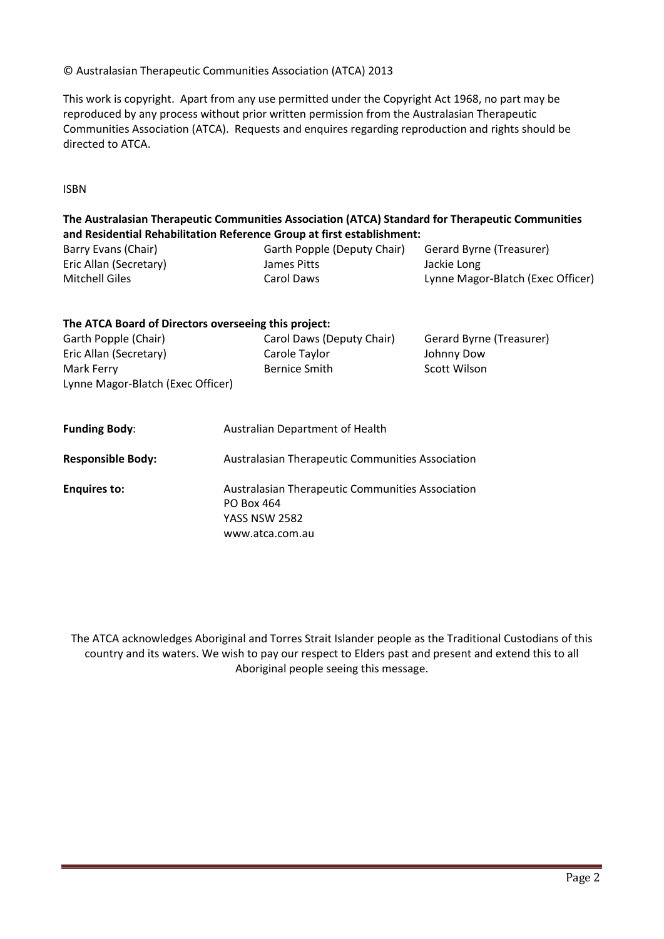#### © Australasian Therapeutic Communities Association (ATCA) 2013

This work is copyright. Apart from any use permitted under the Copyright Act 1968, no part may be reproduced by any process without prior written permission from the Australasian Therapeutic Communities Association (ATCA). Requests and enquires regarding reproduction and rights should be directed to ATCA.

ISBN

# The Australasian Therapeutic Communities Association (ATCA) Standard for Therapeutic Communities and Residential Rehabilitation Reference Group at first establishment:

| Barry Evans (Chair)    | Garth Popple (Deputy Chair) | Gerard Byrne (Treasurer)          |
|------------------------|-----------------------------|-----------------------------------|
| Eric Allan (Secretary) | James Pitts                 | Jackie Long                       |
| Mitchell Giles         | Carol Daws                  | Lynne Magor-Blatch (Exec Officer) |

| The ATCA Board of Directors overseeing this project: |                                                       |                                                         |  |
|------------------------------------------------------|-------------------------------------------------------|---------------------------------------------------------|--|
| Garth Popple (Chair)                                 | Carol Daws (Deputy Chair)                             | Gerard Byrne (Treasurer)                                |  |
| Eric Allan (Secretary)                               | Carole Taylor                                         | Johnny Dow                                              |  |
| Mark Ferry                                           | <b>Bernice Smith</b>                                  | Scott Wilson                                            |  |
| Lynne Magor-Blatch (Exec Officer)                    |                                                       |                                                         |  |
| <b>Funding Body:</b>                                 | <b>Australian Department of Health</b>                |                                                         |  |
| <b>Responsible Body:</b>                             | Australasian Therapeutic Communities Association      |                                                         |  |
| <b>Enquires to:</b>                                  | PO Box 464<br><b>YASS NSW 2582</b><br>www.atca.com.au | <b>Australasian Therapeutic Communities Association</b> |  |

The ATCA acknowledges Aboriginal and Torres Strait Islander people as the Traditional Custodians of this country and its waters. We wish to pay our respect to Elders past and present and extend this to all Aboriginal people seeing this message.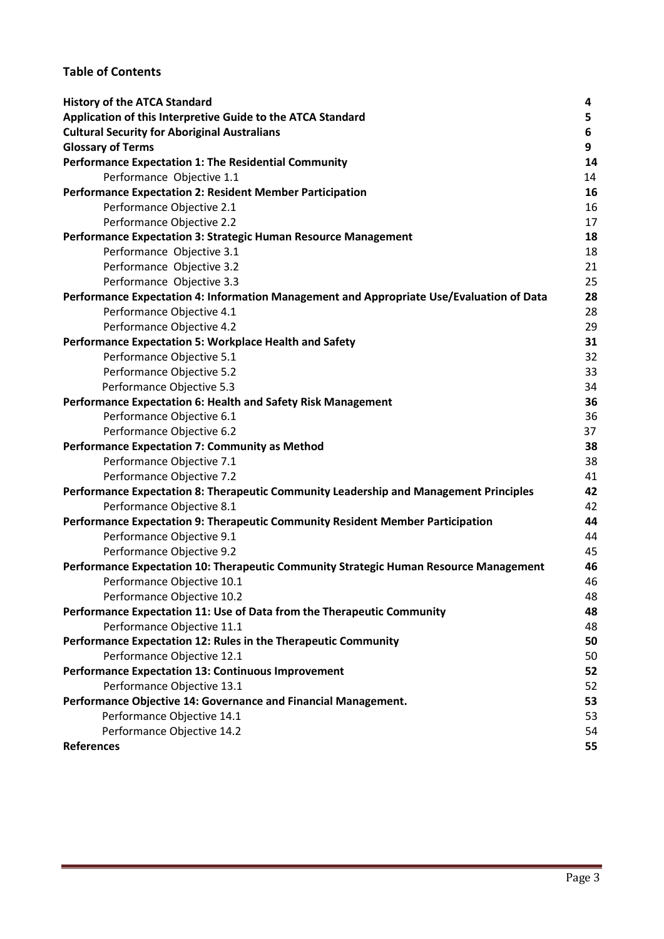# Table of Contents

| <b>History of the ATCA Standard</b>                                                      | 4  |
|------------------------------------------------------------------------------------------|----|
| Application of this Interpretive Guide to the ATCA Standard                              | 5  |
| <b>Cultural Security for Aboriginal Australians</b>                                      | 6  |
| <b>Glossary of Terms</b>                                                                 | 9  |
| Performance Expectation 1: The Residential Community                                     | 14 |
| Performance Objective 1.1                                                                | 14 |
| <b>Performance Expectation 2: Resident Member Participation</b>                          | 16 |
| Performance Objective 2.1                                                                | 16 |
| Performance Objective 2.2                                                                | 17 |
| Performance Expectation 3: Strategic Human Resource Management                           | 18 |
| Performance Objective 3.1                                                                | 18 |
| Performance Objective 3.2                                                                | 21 |
| Performance Objective 3.3                                                                | 25 |
| Performance Expectation 4: Information Management and Appropriate Use/Evaluation of Data | 28 |
| Performance Objective 4.1                                                                | 28 |
| Performance Objective 4.2                                                                | 29 |
| Performance Expectation 5: Workplace Health and Safety                                   | 31 |
| Performance Objective 5.1                                                                | 32 |
| Performance Objective 5.2                                                                | 33 |
| Performance Objective 5.3                                                                | 34 |
| Performance Expectation 6: Health and Safety Risk Management                             | 36 |
| Performance Objective 6.1                                                                | 36 |
| Performance Objective 6.2                                                                | 37 |
| <b>Performance Expectation 7: Community as Method</b>                                    | 38 |
| Performance Objective 7.1                                                                | 38 |
| Performance Objective 7.2                                                                | 41 |
| Performance Expectation 8: Therapeutic Community Leadership and Management Principles    | 42 |
| Performance Objective 8.1                                                                | 42 |
| Performance Expectation 9: Therapeutic Community Resident Member Participation           | 44 |
| Performance Objective 9.1                                                                | 44 |
| Performance Objective 9.2                                                                | 45 |
| Performance Expectation 10: Therapeutic Community Strategic Human Resource Management    | 46 |
| Performance Objective 10.1                                                               | 46 |
| Performance Objective 10.2                                                               | 48 |
| Performance Expectation 11: Use of Data from the Therapeutic Community                   | 48 |
| Performance Objective 11.1                                                               | 48 |
| Performance Expectation 12: Rules in the Therapeutic Community                           | 50 |
| Performance Objective 12.1                                                               | 50 |
| <b>Performance Expectation 13: Continuous Improvement</b>                                | 52 |
| Performance Objective 13.1                                                               | 52 |
| Performance Objective 14: Governance and Financial Management.                           | 53 |
| Performance Objective 14.1                                                               | 53 |
| Performance Objective 14.2                                                               | 54 |
| <b>References</b>                                                                        | 55 |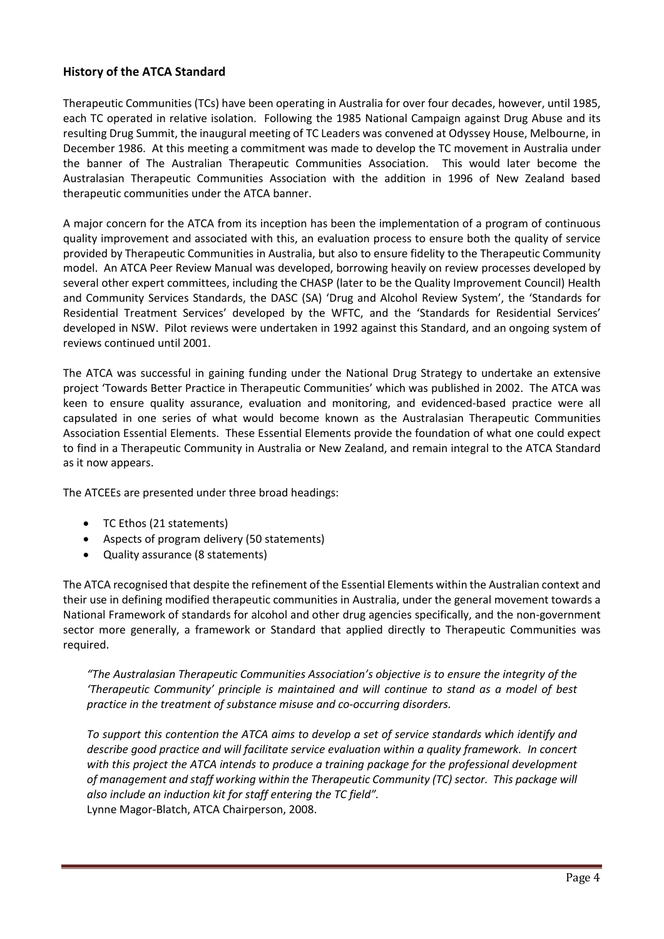# History of the ATCA Standard

Therapeutic Communities (TCs) have been operating in Australia for over four decades, however, until 1985, each TC operated in relative isolation. Following the 1985 National Campaign against Drug Abuse and its resulting Drug Summit, the inaugural meeting of TC Leaders was convened at Odyssey House, Melbourne, in December 1986. At this meeting a commitment was made to develop the TC movement in Australia under the banner of The Australian Therapeutic Communities Association. This would later become the Australasian Therapeutic Communities Association with the addition in 1996 of New Zealand based therapeutic communities under the ATCA banner.

A major concern for the ATCA from its inception has been the implementation of a program of continuous quality improvement and associated with this, an evaluation process to ensure both the quality of service provided by Therapeutic Communities in Australia, but also to ensure fidelity to the Therapeutic Community model. An ATCA Peer Review Manual was developed, borrowing heavily on review processes developed by several other expert committees, including the CHASP (later to be the Quality Improvement Council) Health and Community Services Standards, the DASC (SA) 'Drug and Alcohol Review System', the 'Standards for Residential Treatment Services' developed by the WFTC, and the 'Standards for Residential Services' developed in NSW. Pilot reviews were undertaken in 1992 against this Standard, and an ongoing system of reviews continued until 2001.

The ATCA was successful in gaining funding under the National Drug Strategy to undertake an extensive project 'Towards Better Practice in Therapeutic Communities' which was published in 2002. The ATCA was keen to ensure quality assurance, evaluation and monitoring, and evidenced-based practice were all capsulated in one series of what would become known as the Australasian Therapeutic Communities Association Essential Elements. These Essential Elements provide the foundation of what one could expect to find in a Therapeutic Community in Australia or New Zealand, and remain integral to the ATCA Standard as it now appears.

The ATCEEs are presented under three broad headings:

- TC Ethos (21 statements)
- Aspects of program delivery (50 statements)
- Quality assurance (8 statements)

The ATCA recognised that despite the refinement of the Essential Elements within the Australian context and their use in defining modified therapeutic communities in Australia, under the general movement towards a National Framework of standards for alcohol and other drug agencies specifically, and the non-government sector more generally, a framework or Standard that applied directly to Therapeutic Communities was required.

*"The Australasian Therapeutic Communities Association's objective is to ensure the integrity of the 'Therapeutic Community' principle is maintained and will continue to stand as a model of best practice in the treatment of substance misuse and co-occurring disorders.* 

*To support this contention the ATCA aims to develop a set of service standards which identify and describe good practice and will facilitate service evaluation within a quality framework. In concert with this project the ATCA intends to produce a training package for the professional development of management and staff working within the Therapeutic Community (TC) sector. This package will also include an induction kit for staff entering the TC field".* Lynne Magor-Blatch, ATCA Chairperson, 2008.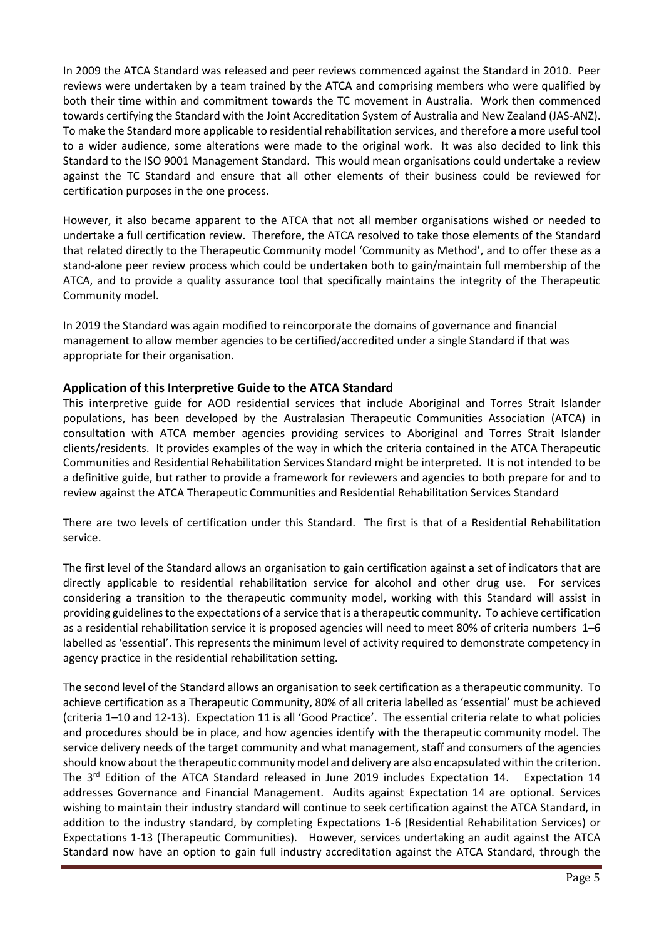In 2009 the ATCA Standard was released and peer reviews commenced against the Standard in 2010. Peer reviews were undertaken by a team trained by the ATCA and comprising members who were qualified by both their time within and commitment towards the TC movement in Australia. Work then commenced towards certifying the Standard with the Joint Accreditation System of Australia and New Zealand (JAS-ANZ). To make the Standard more applicable to residential rehabilitation services, and therefore a more useful tool to a wider audience, some alterations were made to the original work. It was also decided to link this Standard to the ISO 9001 Management Standard. This would mean organisations could undertake a review against the TC Standard and ensure that all other elements of their business could be reviewed for certification purposes in the one process.

However, it also became apparent to the ATCA that not all member organisations wished or needed to undertake a full certification review. Therefore, the ATCA resolved to take those elements of the Standard that related directly to the Therapeutic Community model 'Community as Method', and to offer these as a stand-alone peer review process which could be undertaken both to gain/maintain full membership of the ATCA, and to provide a quality assurance tool that specifically maintains the integrity of the Therapeutic Community model.

In 2019 the Standard was again modified to reincorporate the domains of governance and financial management to allow member agencies to be certified/accredited under a single Standard if that was appropriate for their organisation.

## Application of this Interpretive Guide to the ATCA Standard

This interpretive guide for AOD residential services that include Aboriginal and Torres Strait Islander populations, has been developed by the Australasian Therapeutic Communities Association (ATCA) in consultation with ATCA member agencies providing services to Aboriginal and Torres Strait Islander clients/residents. It provides examples of the way in which the criteria contained in the ATCA Therapeutic Communities and Residential Rehabilitation Services Standard might be interpreted. It is not intended to be a definitive guide, but rather to provide a framework for reviewers and agencies to both prepare for and to review against the ATCA Therapeutic Communities and Residential Rehabilitation Services Standard

There are two levels of certification under this Standard. The first is that of a Residential Rehabilitation service.

The first level of the Standard allows an organisation to gain certification against a set of indicators that are directly applicable to residential rehabilitation service for alcohol and other drug use. For services considering a transition to the therapeutic community model, working with this Standard will assist in providing guidelines to the expectations of a service that is a therapeutic community. To achieve certification as a residential rehabilitation service it is proposed agencies will need to meet 80% of criteria numbers 1–6 labelled as 'essential'. This represents the minimum level of activity required to demonstrate competency in agency practice in the residential rehabilitation setting.

The second level of the Standard allows an organisation to seek certification as a therapeutic community. To achieve certification as a Therapeutic Community, 80% of all criteria labelled as 'essential' must be achieved (criteria 1–10 and 12-13). Expectation 11 is all 'Good Practice'. The essential criteria relate to what policies and procedures should be in place, and how agencies identify with the therapeutic community model. The service delivery needs of the target community and what management, staff and consumers of the agencies should know about the therapeutic community model and delivery are also encapsulated within the criterion. The 3<sup>rd</sup> Edition of the ATCA Standard released in June 2019 includes Expectation 14. Expectation 14 addresses Governance and Financial Management. Audits against Expectation 14 are optional. Services wishing to maintain their industry standard will continue to seek certification against the ATCA Standard, in addition to the industry standard, by completing Expectations 1-6 (Residential Rehabilitation Services) or Expectations 1-13 (Therapeutic Communities). However, services undertaking an audit against the ATCA Standard now have an option to gain full industry accreditation against the ATCA Standard, through the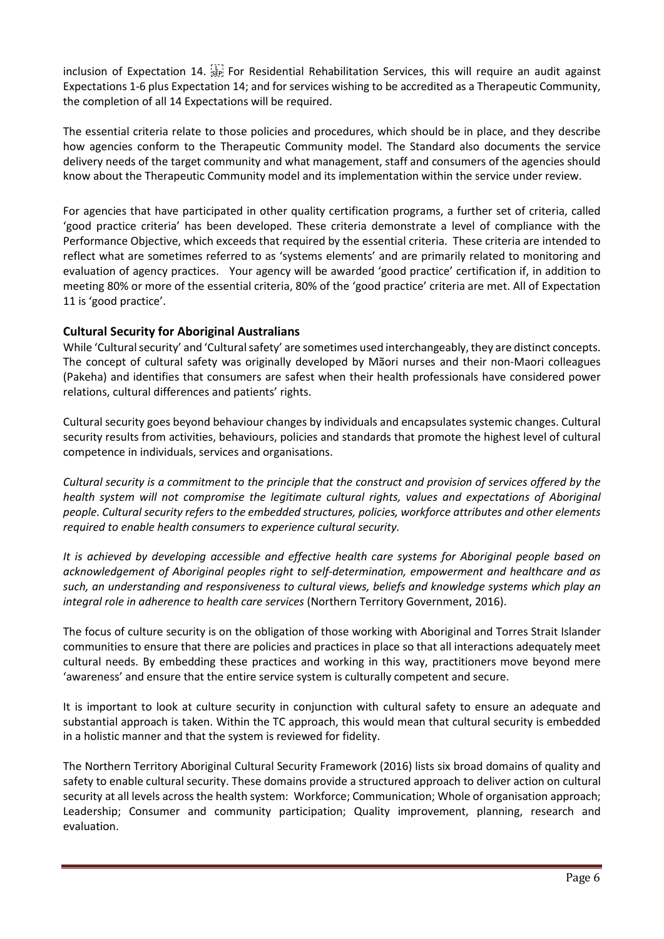inclusion of Expectation 14.  $\frac{1}{156}$  For Residential Rehabilitation Services, this will require an audit against Expectations 1-6 plus Expectation 14; and for services wishing to be accredited as a Therapeutic Community, the completion of all 14 Expectations will be required.

The essential criteria relate to those policies and procedures, which should be in place, and they describe how agencies conform to the Therapeutic Community model. The Standard also documents the service delivery needs of the target community and what management, staff and consumers of the agencies should know about the Therapeutic Community model and its implementation within the service under review.

For agencies that have participated in other quality certification programs, a further set of criteria, called 'good practice criteria' has been developed. These criteria demonstrate a level of compliance with the Performance Objective, which exceeds that required by the essential criteria. These criteria are intended to reflect what are sometimes referred to as 'systems elements' and are primarily related to monitoring and evaluation of agency practices. Your agency will be awarded 'good practice' certification if, in addition to meeting 80% or more of the essential criteria, 80% of the 'good practice' criteria are met. All of Expectation 11 is 'good practice'.

# Cultural Security for Aboriginal Australians

While 'Cultural security' and 'Cultural safety' are sometimes used interchangeably, they are distinct concepts. The concept of cultural safety was originally developed by Mãori nurses and their non-Maori colleagues (Pakeha) and identifies that consumers are safest when their health professionals have considered power relations, cultural differences and patients' rights.

Cultural security goes beyond behaviour changes by individuals and encapsulates systemic changes. Cultural security results from activities, behaviours, policies and standards that promote the highest level of cultural competence in individuals, services and organisations.

*Cultural security is a commitment to the principle that the construct and provision of services offered by the health system will not compromise the legitimate cultural rights, values and expectations of Aboriginal people. Cultural security refers to the embedded structures, policies, workforce attributes and other elements required to enable health consumers to experience cultural security.* 

*It is achieved by developing accessible and effective health care systems for Aboriginal people based on acknowledgement of Aboriginal peoples right to self-determination, empowerment and healthcare and as such, an understanding and responsiveness to cultural views, beliefs and knowledge systems which play an integral role in adherence to health care services* (Northern Territory Government, 2016).

The focus of culture security is on the obligation of those working with Aboriginal and Torres Strait Islander communities to ensure that there are policies and practices in place so that all interactions adequately meet cultural needs. By embedding these practices and working in this way, practitioners move beyond mere 'awareness' and ensure that the entire service system is culturally competent and secure.

It is important to look at culture security in conjunction with cultural safety to ensure an adequate and substantial approach is taken. Within the TC approach, this would mean that cultural security is embedded in a holistic manner and that the system is reviewed for fidelity.

The Northern Territory Aboriginal Cultural Security Framework (2016) lists six broad domains of quality and safety to enable cultural security. These domains provide a structured approach to deliver action on cultural security at all levels across the health system: Workforce; Communication; Whole of organisation approach; Leadership; Consumer and community participation; Quality improvement, planning, research and evaluation.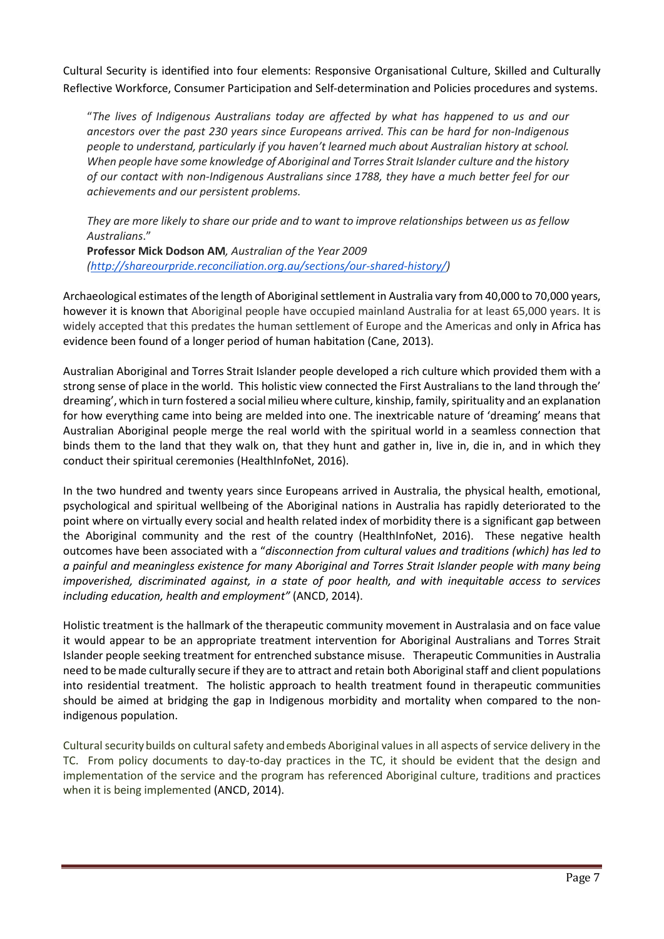Cultural Security is identified into four elements: Responsive Organisational Culture, Skilled and Culturally Reflective Workforce, Consumer Participation and Self-determination and Policies procedures and systems.

"*The lives of Indigenous Australians today are affected by what has happened to us and our ancestors over the past 230 years since Europeans arrived. This can be hard for non-Indigenous people to understand, particularly if you haven't learned much about Australian history at school. When people have some knowledge of Aboriginal and Torres Strait Islander culture and the history of our contact with non-Indigenous Australians since 1788, they have a much better feel for our achievements and our persistent problems.*

*They are more likely to share our pride and to want to improve relationships between us as fellow Australians*."

Professor Mick Dodson AM*, Australian of the Year 2009 (http://shareourpride.reconciliation.org.au/sections/our-shared-history/)*

Archaeological estimates of the length of Aboriginal settlement in Australia vary from 40,000 to 70,000 years, however it is known that Aboriginal people have occupied mainland Australia for at least 65,000 years. It is widely accepted that this predates the human settlement of Europe and the Americas and only in Africa has evidence been found of a longer period of human habitation (Cane, 2013).

Australian Aboriginal and Torres Strait Islander people developed a rich culture which provided them with a strong sense of place in the world. This holistic view connected the First Australians to the land through the' dreaming', which in turn fostered a social milieu where culture, kinship, family, spirituality and an explanation for how everything came into being are melded into one. The inextricable nature of 'dreaming' means that Australian Aboriginal people merge the real world with the spiritual world in a seamless connection that binds them to the land that they walk on, that they hunt and gather in, live in, die in, and in which they conduct their spiritual ceremonies (HealthInfoNet, 2016).

In the two hundred and twenty years since Europeans arrived in Australia, the physical health, emotional, psychological and spiritual wellbeing of the Aboriginal nations in Australia has rapidly deteriorated to the point where on virtually every social and health related index of morbidity there is a significant gap between the Aboriginal community and the rest of the country (HealthInfoNet, 2016). These negative health outcomes have been associated with a "*disconnection from cultural values and traditions (which) has led to a painful and meaningless existence for many Aboriginal and Torres Strait Islander people with many being impoverished, discriminated against, in a state of poor health, and with inequitable access to services including education, health and employment"* (ANCD, 2014).

Holistic treatment is the hallmark of the therapeutic community movement in Australasia and on face value it would appear to be an appropriate treatment intervention for Aboriginal Australians and Torres Strait Islander people seeking treatment for entrenched substance misuse. Therapeutic Communities in Australia need to be made culturally secure if they are to attract and retain both Aboriginal staff and client populations into residential treatment. The holistic approach to health treatment found in therapeutic communities should be aimed at bridging the gap in Indigenous morbidity and mortality when compared to the nonindigenous population.

Cultural securitybuilds on cultural safety andembeds Aboriginal values in all aspects of service delivery in the TC. From policy documents to day-to-day practices in the TC, it should be evident that the design and implementation of the service and the program has referenced Aboriginal culture, traditions and practices when it is being implemented (ANCD, 2014).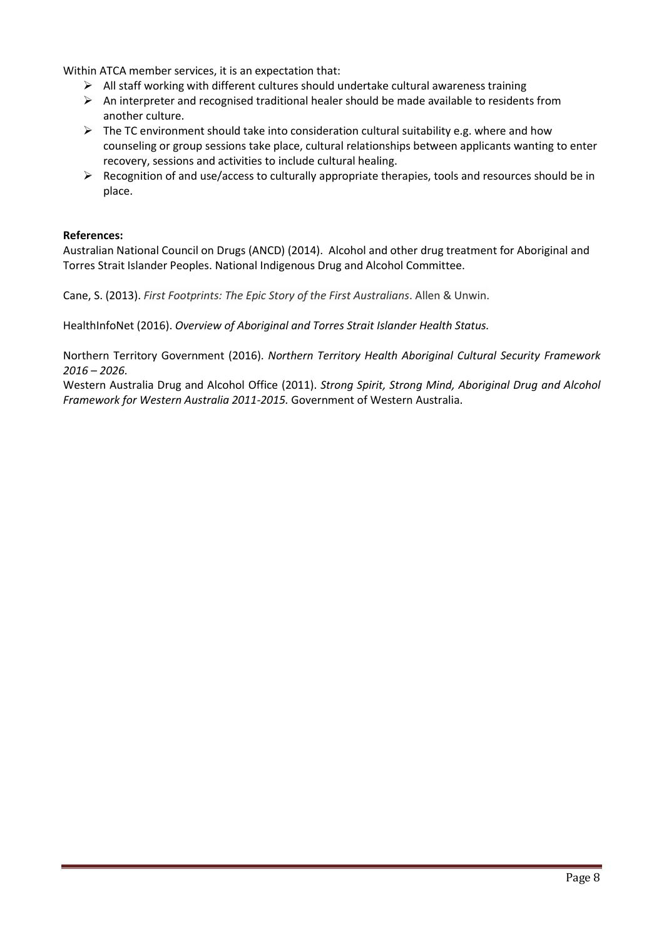Within ATCA member services, it is an expectation that:

- $\triangleright$  All staff working with different cultures should undertake cultural awareness training
- $\triangleright$  An interpreter and recognised traditional healer should be made available to residents from another culture.
- $\triangleright$  The TC environment should take into consideration cultural suitability e.g. where and how counseling or group sessions take place, cultural relationships between applicants wanting to enter recovery, sessions and activities to include cultural healing.
- $\triangleright$  Recognition of and use/access to culturally appropriate therapies, tools and resources should be in place.

#### References:

Australian National Council on Drugs (ANCD) (2014). Alcohol and other drug treatment for Aboriginal and Torres Strait Islander Peoples. National Indigenous Drug and Alcohol Committee.

Cane, S. (2013). *First Footprints: The Epic Story of the First Australians*. Allen & Unwin.

HealthInfoNet (2016). *Overview of Aboriginal and Torres Strait Islander Health Status.*

Northern Territory Government (2016). *Northern Territory Health Aboriginal Cultural Security Framework 2016 – 2026.*

Western Australia Drug and Alcohol Office (2011). *Strong Spirit, Strong Mind, Aboriginal Drug and Alcohol Framework for Western Australia 2011-2015.* Government of Western Australia.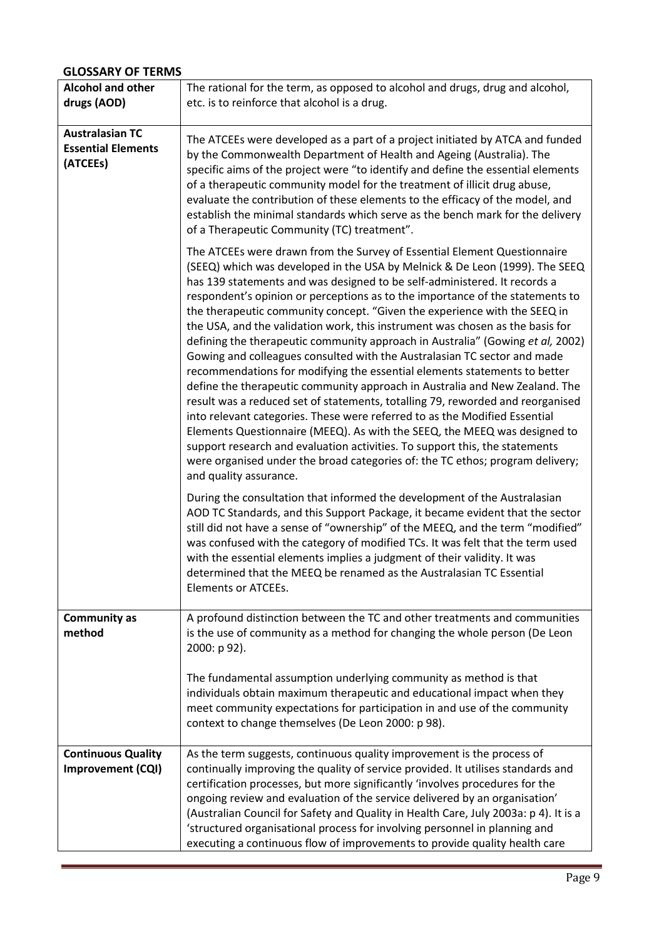# GLOSSARY OF TERMS

| <b>Alcohol and other</b><br>drugs (AOD)                         | The rational for the term, as opposed to alcohol and drugs, drug and alcohol,<br>etc. is to reinforce that alcohol is a drug.                                                                                                                                                                                                                                                                                                                                                                                                                                                                                                                                                                                                                                                                                                                                                                                                                                                                                                                                                                                                                                                                                                                        |
|-----------------------------------------------------------------|------------------------------------------------------------------------------------------------------------------------------------------------------------------------------------------------------------------------------------------------------------------------------------------------------------------------------------------------------------------------------------------------------------------------------------------------------------------------------------------------------------------------------------------------------------------------------------------------------------------------------------------------------------------------------------------------------------------------------------------------------------------------------------------------------------------------------------------------------------------------------------------------------------------------------------------------------------------------------------------------------------------------------------------------------------------------------------------------------------------------------------------------------------------------------------------------------------------------------------------------------|
| <b>Australasian TC</b><br><b>Essential Elements</b><br>(ATCEEs) | The ATCEEs were developed as a part of a project initiated by ATCA and funded<br>by the Commonwealth Department of Health and Ageing (Australia). The<br>specific aims of the project were "to identify and define the essential elements<br>of a therapeutic community model for the treatment of illicit drug abuse,<br>evaluate the contribution of these elements to the efficacy of the model, and<br>establish the minimal standards which serve as the bench mark for the delivery<br>of a Therapeutic Community (TC) treatment".                                                                                                                                                                                                                                                                                                                                                                                                                                                                                                                                                                                                                                                                                                             |
|                                                                 | The ATCEEs were drawn from the Survey of Essential Element Questionnaire<br>(SEEQ) which was developed in the USA by Melnick & De Leon (1999). The SEEQ<br>has 139 statements and was designed to be self-administered. It records a<br>respondent's opinion or perceptions as to the importance of the statements to<br>the therapeutic community concept. "Given the experience with the SEEQ in<br>the USA, and the validation work, this instrument was chosen as the basis for<br>defining the therapeutic community approach in Australia" (Gowing et al, 2002)<br>Gowing and colleagues consulted with the Australasian TC sector and made<br>recommendations for modifying the essential elements statements to better<br>define the therapeutic community approach in Australia and New Zealand. The<br>result was a reduced set of statements, totalling 79, reworded and reorganised<br>into relevant categories. These were referred to as the Modified Essential<br>Elements Questionnaire (MEEQ). As with the SEEQ, the MEEQ was designed to<br>support research and evaluation activities. To support this, the statements<br>were organised under the broad categories of: the TC ethos; program delivery;<br>and quality assurance. |
|                                                                 | During the consultation that informed the development of the Australasian<br>AOD TC Standards, and this Support Package, it became evident that the sector<br>still did not have a sense of "ownership" of the MEEQ, and the term "modified"<br>was confused with the category of modified TCs. It was felt that the term used<br>with the essential elements implies a judgment of their validity. It was<br>determined that the MEEQ be renamed as the Australasian TC Essential<br><b>Elements or ATCEEs.</b>                                                                                                                                                                                                                                                                                                                                                                                                                                                                                                                                                                                                                                                                                                                                     |
| <b>Community as</b><br>method                                   | A profound distinction between the TC and other treatments and communities<br>is the use of community as a method for changing the whole person (De Leon<br>2000: p 92).                                                                                                                                                                                                                                                                                                                                                                                                                                                                                                                                                                                                                                                                                                                                                                                                                                                                                                                                                                                                                                                                             |
|                                                                 | The fundamental assumption underlying community as method is that<br>individuals obtain maximum therapeutic and educational impact when they<br>meet community expectations for participation in and use of the community<br>context to change themselves (De Leon 2000: p 98).                                                                                                                                                                                                                                                                                                                                                                                                                                                                                                                                                                                                                                                                                                                                                                                                                                                                                                                                                                      |
| <b>Continuous Quality</b><br>Improvement (CQI)                  | As the term suggests, continuous quality improvement is the process of<br>continually improving the quality of service provided. It utilises standards and<br>certification processes, but more significantly 'involves procedures for the<br>ongoing review and evaluation of the service delivered by an organisation'<br>(Australian Council for Safety and Quality in Health Care, July 2003a: p 4). It is a<br>'structured organisational process for involving personnel in planning and<br>executing a continuous flow of improvements to provide quality health care                                                                                                                                                                                                                                                                                                                                                                                                                                                                                                                                                                                                                                                                         |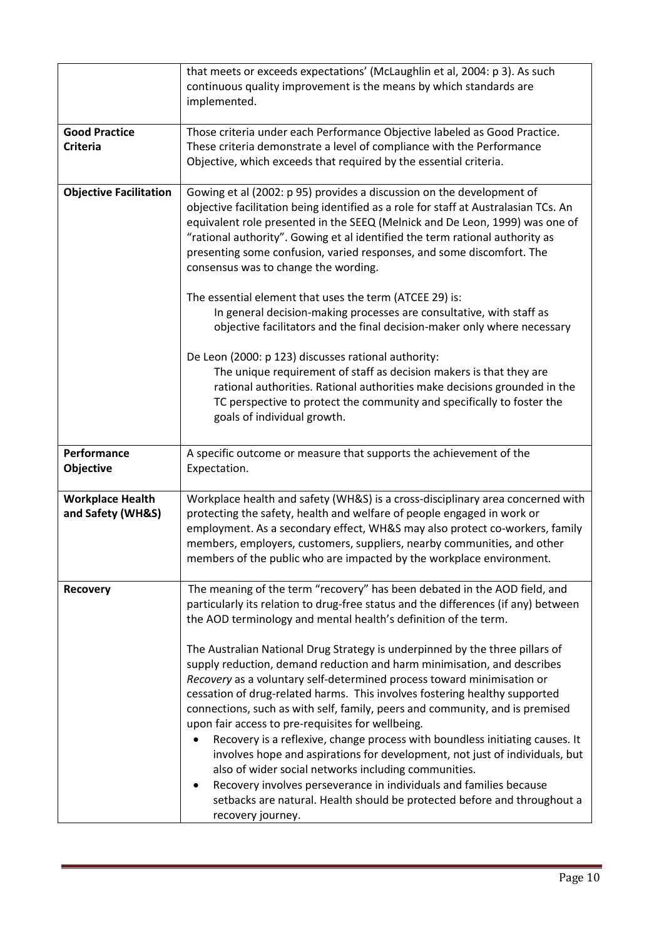|                                              | that meets or exceeds expectations' (McLaughlin et al, 2004: p 3). As such<br>continuous quality improvement is the means by which standards are<br>implemented.                                                                                                                                                                                                                                                                                                                                                                                                                                                                                                                                                                                                                                                                                        |
|----------------------------------------------|---------------------------------------------------------------------------------------------------------------------------------------------------------------------------------------------------------------------------------------------------------------------------------------------------------------------------------------------------------------------------------------------------------------------------------------------------------------------------------------------------------------------------------------------------------------------------------------------------------------------------------------------------------------------------------------------------------------------------------------------------------------------------------------------------------------------------------------------------------|
| <b>Good Practice</b><br><b>Criteria</b>      | Those criteria under each Performance Objective labeled as Good Practice.<br>These criteria demonstrate a level of compliance with the Performance<br>Objective, which exceeds that required by the essential criteria.                                                                                                                                                                                                                                                                                                                                                                                                                                                                                                                                                                                                                                 |
| <b>Objective Facilitation</b>                | Gowing et al (2002: p 95) provides a discussion on the development of<br>objective facilitation being identified as a role for staff at Australasian TCs. An<br>equivalent role presented in the SEEQ (Melnick and De Leon, 1999) was one of<br>"rational authority". Gowing et al identified the term rational authority as<br>presenting some confusion, varied responses, and some discomfort. The<br>consensus was to change the wording.                                                                                                                                                                                                                                                                                                                                                                                                           |
|                                              | The essential element that uses the term (ATCEE 29) is:<br>In general decision-making processes are consultative, with staff as<br>objective facilitators and the final decision-maker only where necessary                                                                                                                                                                                                                                                                                                                                                                                                                                                                                                                                                                                                                                             |
|                                              | De Leon (2000: p 123) discusses rational authority:<br>The unique requirement of staff as decision makers is that they are<br>rational authorities. Rational authorities make decisions grounded in the<br>TC perspective to protect the community and specifically to foster the<br>goals of individual growth.                                                                                                                                                                                                                                                                                                                                                                                                                                                                                                                                        |
| Performance<br>Objective                     | A specific outcome or measure that supports the achievement of the<br>Expectation.                                                                                                                                                                                                                                                                                                                                                                                                                                                                                                                                                                                                                                                                                                                                                                      |
| <b>Workplace Health</b><br>and Safety (WH&S) | Workplace health and safety (WH&S) is a cross-disciplinary area concerned with<br>protecting the safety, health and welfare of people engaged in work or<br>employment. As a secondary effect, WH&S may also protect co-workers, family<br>members, employers, customers, suppliers, nearby communities, and other<br>members of the public who are impacted by the workplace environment.                                                                                                                                                                                                                                                                                                                                                                                                                                                              |
| <b>Recovery</b>                              | The meaning of the term "recovery" has been debated in the AOD field, and<br>particularly its relation to drug-free status and the differences (if any) between<br>the AOD terminology and mental health's definition of the term.                                                                                                                                                                                                                                                                                                                                                                                                                                                                                                                                                                                                                      |
|                                              | The Australian National Drug Strategy is underpinned by the three pillars of<br>supply reduction, demand reduction and harm minimisation, and describes<br>Recovery as a voluntary self-determined process toward minimisation or<br>cessation of drug-related harms. This involves fostering healthy supported<br>connections, such as with self, family, peers and community, and is premised<br>upon fair access to pre-requisites for wellbeing.<br>Recovery is a reflexive, change process with boundless initiating causes. It<br>involves hope and aspirations for development, not just of individuals, but<br>also of wider social networks including communities.<br>Recovery involves perseverance in individuals and families because<br>٠<br>setbacks are natural. Health should be protected before and throughout a<br>recovery journey. |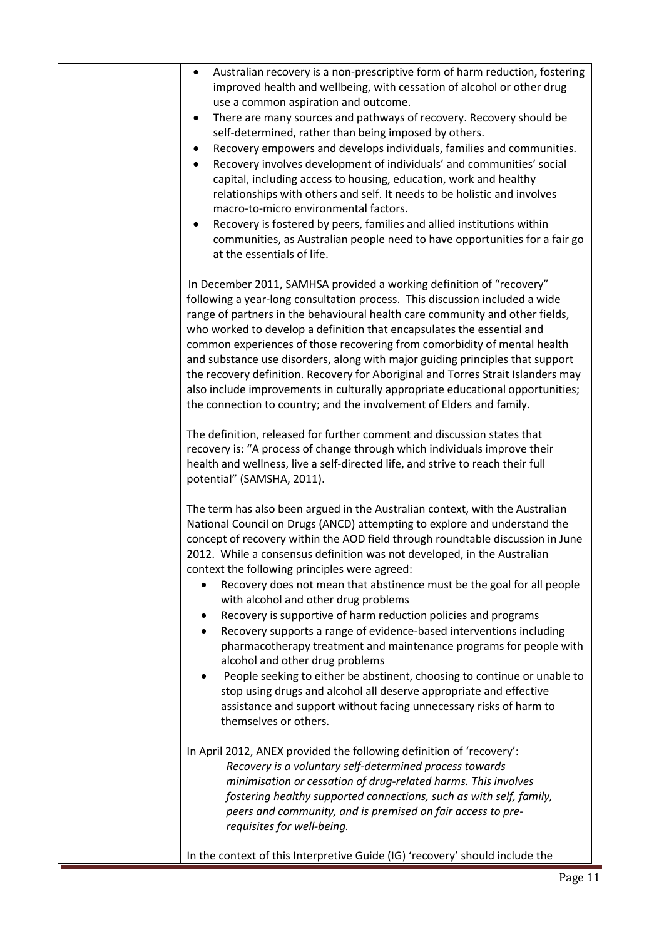| Australian recovery is a non-prescriptive form of harm reduction, fostering<br>٠<br>improved health and wellbeing, with cessation of alcohol or other drug<br>use a common aspiration and outcome.<br>There are many sources and pathways of recovery. Recovery should be<br>٠<br>self-determined, rather than being imposed by others.<br>Recovery empowers and develops individuals, families and communities.<br>٠<br>Recovery involves development of individuals' and communities' social<br>$\bullet$<br>capital, including access to housing, education, work and healthy<br>relationships with others and self. It needs to be holistic and involves<br>macro-to-micro environmental factors.<br>Recovery is fostered by peers, families and allied institutions within<br>٠<br>communities, as Australian people need to have opportunities for a fair go<br>at the essentials of life.<br>In December 2011, SAMHSA provided a working definition of "recovery"<br>following a year-long consultation process. This discussion included a wide<br>range of partners in the behavioural health care community and other fields,<br>who worked to develop a definition that encapsulates the essential and<br>common experiences of those recovering from comorbidity of mental health<br>and substance use disorders, along with major guiding principles that support<br>the recovery definition. Recovery for Aboriginal and Torres Strait Islanders may<br>also include improvements in culturally appropriate educational opportunities;<br>the connection to country; and the involvement of Elders and family.<br>The definition, released for further comment and discussion states that<br>recovery is: "A process of change through which individuals improve their<br>health and wellness, live a self-directed life, and strive to reach their full<br>potential" (SAMSHA, 2011).<br>The term has also been argued in the Australian context, with the Australian<br>National Council on Drugs (ANCD) attempting to explore and understand the<br>concept of recovery within the AOD field through roundtable discussion in June<br>2012. While a consensus definition was not developed, in the Australian<br>context the following principles were agreed:<br>Recovery does not mean that abstinence must be the goal for all people<br>with alcohol and other drug problems<br>Recovery is supportive of harm reduction policies and programs<br>Recovery supports a range of evidence-based interventions including<br>$\bullet$<br>pharmacotherapy treatment and maintenance programs for people with<br>alcohol and other drug problems<br>People seeking to either be abstinent, choosing to continue or unable to<br>stop using drugs and alcohol all deserve appropriate and effective<br>assistance and support without facing unnecessary risks of harm to<br>themselves or others.<br>In April 2012, ANEX provided the following definition of 'recovery':<br>Recovery is a voluntary self-determined process towards<br>minimisation or cessation of drug-related harms. This involves<br>fostering healthy supported connections, such as with self, family,<br>peers and community, and is premised on fair access to pre-<br>requisites for well-being.<br>In the context of this Interpretive Guide (IG) 'recovery' should include the |         |  |
|----------------------------------------------------------------------------------------------------------------------------------------------------------------------------------------------------------------------------------------------------------------------------------------------------------------------------------------------------------------------------------------------------------------------------------------------------------------------------------------------------------------------------------------------------------------------------------------------------------------------------------------------------------------------------------------------------------------------------------------------------------------------------------------------------------------------------------------------------------------------------------------------------------------------------------------------------------------------------------------------------------------------------------------------------------------------------------------------------------------------------------------------------------------------------------------------------------------------------------------------------------------------------------------------------------------------------------------------------------------------------------------------------------------------------------------------------------------------------------------------------------------------------------------------------------------------------------------------------------------------------------------------------------------------------------------------------------------------------------------------------------------------------------------------------------------------------------------------------------------------------------------------------------------------------------------------------------------------------------------------------------------------------------------------------------------------------------------------------------------------------------------------------------------------------------------------------------------------------------------------------------------------------------------------------------------------------------------------------------------------------------------------------------------------------------------------------------------------------------------------------------------------------------------------------------------------------------------------------------------------------------------------------------------------------------------------------------------------------------------------------------------------------------------------------------------------------------------------------------------------------------------------------------------------------------------------------------------------------------------------------------------------------------------------------------------------------------------------------------------------------------------------------------------------------------------------------------------------------------------------------------------------------------------------------------------------------------------------------------------------------|---------|--|
|                                                                                                                                                                                                                                                                                                                                                                                                                                                                                                                                                                                                                                                                                                                                                                                                                                                                                                                                                                                                                                                                                                                                                                                                                                                                                                                                                                                                                                                                                                                                                                                                                                                                                                                                                                                                                                                                                                                                                                                                                                                                                                                                                                                                                                                                                                                                                                                                                                                                                                                                                                                                                                                                                                                                                                                                                                                                                                                                                                                                                                                                                                                                                                                                                                                                                                                                                                            | Page 11 |  |
|                                                                                                                                                                                                                                                                                                                                                                                                                                                                                                                                                                                                                                                                                                                                                                                                                                                                                                                                                                                                                                                                                                                                                                                                                                                                                                                                                                                                                                                                                                                                                                                                                                                                                                                                                                                                                                                                                                                                                                                                                                                                                                                                                                                                                                                                                                                                                                                                                                                                                                                                                                                                                                                                                                                                                                                                                                                                                                                                                                                                                                                                                                                                                                                                                                                                                                                                                                            |         |  |
|                                                                                                                                                                                                                                                                                                                                                                                                                                                                                                                                                                                                                                                                                                                                                                                                                                                                                                                                                                                                                                                                                                                                                                                                                                                                                                                                                                                                                                                                                                                                                                                                                                                                                                                                                                                                                                                                                                                                                                                                                                                                                                                                                                                                                                                                                                                                                                                                                                                                                                                                                                                                                                                                                                                                                                                                                                                                                                                                                                                                                                                                                                                                                                                                                                                                                                                                                                            |         |  |
|                                                                                                                                                                                                                                                                                                                                                                                                                                                                                                                                                                                                                                                                                                                                                                                                                                                                                                                                                                                                                                                                                                                                                                                                                                                                                                                                                                                                                                                                                                                                                                                                                                                                                                                                                                                                                                                                                                                                                                                                                                                                                                                                                                                                                                                                                                                                                                                                                                                                                                                                                                                                                                                                                                                                                                                                                                                                                                                                                                                                                                                                                                                                                                                                                                                                                                                                                                            |         |  |
|                                                                                                                                                                                                                                                                                                                                                                                                                                                                                                                                                                                                                                                                                                                                                                                                                                                                                                                                                                                                                                                                                                                                                                                                                                                                                                                                                                                                                                                                                                                                                                                                                                                                                                                                                                                                                                                                                                                                                                                                                                                                                                                                                                                                                                                                                                                                                                                                                                                                                                                                                                                                                                                                                                                                                                                                                                                                                                                                                                                                                                                                                                                                                                                                                                                                                                                                                                            |         |  |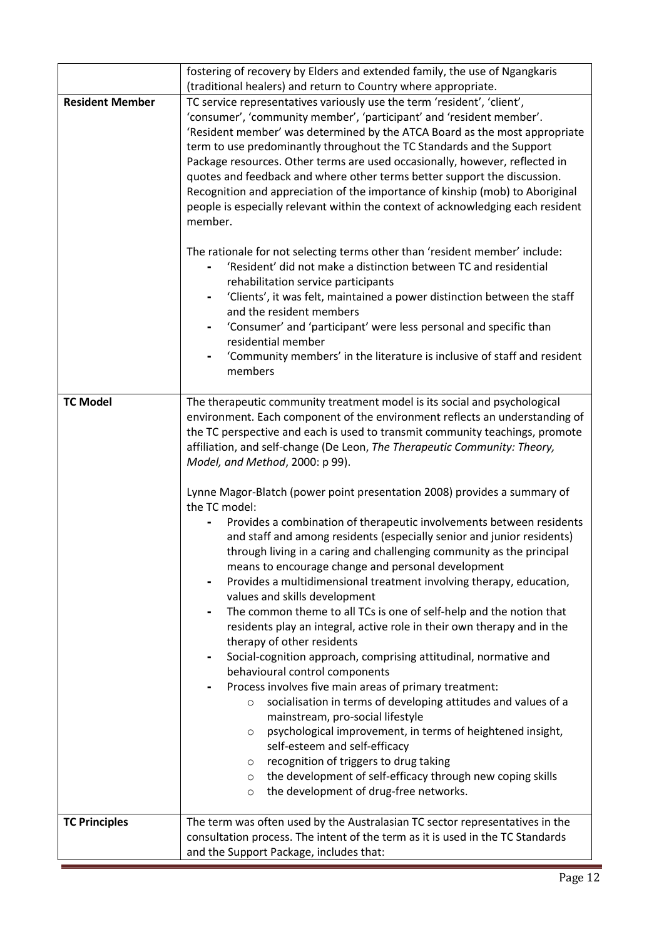|                        | fostering of recovery by Elders and extended family, the use of Ngangkaris                                                                                                                                                                                                                                                                                                                                                                                                                                                                                                                                                                                                                                                                                                                                                                                                                                                                                                                                                                                                                                                                                                                                                                                                                                                                                                                                                                                                                                                                                                                                               |  |  |
|------------------------|--------------------------------------------------------------------------------------------------------------------------------------------------------------------------------------------------------------------------------------------------------------------------------------------------------------------------------------------------------------------------------------------------------------------------------------------------------------------------------------------------------------------------------------------------------------------------------------------------------------------------------------------------------------------------------------------------------------------------------------------------------------------------------------------------------------------------------------------------------------------------------------------------------------------------------------------------------------------------------------------------------------------------------------------------------------------------------------------------------------------------------------------------------------------------------------------------------------------------------------------------------------------------------------------------------------------------------------------------------------------------------------------------------------------------------------------------------------------------------------------------------------------------------------------------------------------------------------------------------------------------|--|--|
|                        | (traditional healers) and return to Country where appropriate.                                                                                                                                                                                                                                                                                                                                                                                                                                                                                                                                                                                                                                                                                                                                                                                                                                                                                                                                                                                                                                                                                                                                                                                                                                                                                                                                                                                                                                                                                                                                                           |  |  |
| <b>Resident Member</b> | TC service representatives variously use the term 'resident', 'client',<br>'consumer', 'community member', 'participant' and 'resident member'.<br>'Resident member' was determined by the ATCA Board as the most appropriate<br>term to use predominantly throughout the TC Standards and the Support<br>Package resources. Other terms are used occasionally, however, reflected in<br>quotes and feedback and where other terms better support the discussion.<br>Recognition and appreciation of the importance of kinship (mob) to Aboriginal<br>people is especially relevant within the context of acknowledging each resident<br>member.                                                                                                                                                                                                                                                                                                                                                                                                                                                                                                                                                                                                                                                                                                                                                                                                                                                                                                                                                                         |  |  |
|                        | The rationale for not selecting terms other than 'resident member' include:<br>'Resident' did not make a distinction between TC and residential<br>rehabilitation service participants<br>'Clients', it was felt, maintained a power distinction between the staff<br>and the resident members<br>'Consumer' and 'participant' were less personal and specific than<br>$\qquad \qquad \blacksquare$<br>residential member<br>'Community members' in the literature is inclusive of staff and resident<br>members                                                                                                                                                                                                                                                                                                                                                                                                                                                                                                                                                                                                                                                                                                                                                                                                                                                                                                                                                                                                                                                                                                         |  |  |
| <b>TC Model</b>        | The therapeutic community treatment model is its social and psychological<br>environment. Each component of the environment reflects an understanding of<br>the TC perspective and each is used to transmit community teachings, promote<br>affiliation, and self-change (De Leon, The Therapeutic Community: Theory,<br>Model, and Method, 2000: p 99).<br>Lynne Magor-Blatch (power point presentation 2008) provides a summary of<br>the TC model:<br>Provides a combination of therapeutic involvements between residents<br>and staff and among residents (especially senior and junior residents)<br>through living in a caring and challenging community as the principal<br>means to encourage change and personal development<br>Provides a multidimensional treatment involving therapy, education,<br>values and skills development<br>The common theme to all TCs is one of self-help and the notion that<br>residents play an integral, active role in their own therapy and in the<br>therapy of other residents<br>Social-cognition approach, comprising attitudinal, normative and<br>$\blacksquare$<br>behavioural control components<br>Process involves five main areas of primary treatment:<br>socialisation in terms of developing attitudes and values of a<br>$\circ$<br>mainstream, pro-social lifestyle<br>psychological improvement, in terms of heightened insight,<br>$\circ$<br>self-esteem and self-efficacy<br>recognition of triggers to drug taking<br>O<br>the development of self-efficacy through new coping skills<br>$\circ$<br>the development of drug-free networks.<br>$\circ$ |  |  |
| <b>TC Principles</b>   | The term was often used by the Australasian TC sector representatives in the                                                                                                                                                                                                                                                                                                                                                                                                                                                                                                                                                                                                                                                                                                                                                                                                                                                                                                                                                                                                                                                                                                                                                                                                                                                                                                                                                                                                                                                                                                                                             |  |  |
|                        | consultation process. The intent of the term as it is used in the TC Standards<br>and the Support Package, includes that:                                                                                                                                                                                                                                                                                                                                                                                                                                                                                                                                                                                                                                                                                                                                                                                                                                                                                                                                                                                                                                                                                                                                                                                                                                                                                                                                                                                                                                                                                                |  |  |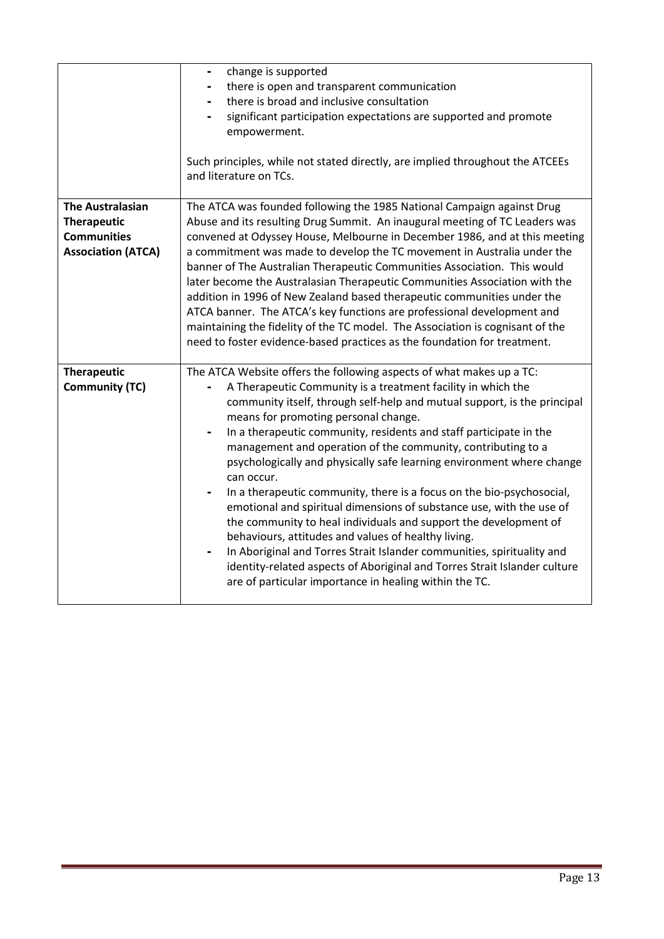|                                                 | change is supported<br>-<br>there is open and transparent communication<br>there is broad and inclusive consultation<br>significant participation expectations are supported and promote<br>empowerment.<br>Such principles, while not stated directly, are implied throughout the ATCEEs<br>and literature on TCs.                                                                                                                                                                                                                                                                                                                                                                                                                                                                                                                                                                                                                        |
|-------------------------------------------------|--------------------------------------------------------------------------------------------------------------------------------------------------------------------------------------------------------------------------------------------------------------------------------------------------------------------------------------------------------------------------------------------------------------------------------------------------------------------------------------------------------------------------------------------------------------------------------------------------------------------------------------------------------------------------------------------------------------------------------------------------------------------------------------------------------------------------------------------------------------------------------------------------------------------------------------------|
| <b>The Australasian</b>                         | The ATCA was founded following the 1985 National Campaign against Drug                                                                                                                                                                                                                                                                                                                                                                                                                                                                                                                                                                                                                                                                                                                                                                                                                                                                     |
| <b>Therapeutic</b>                              | Abuse and its resulting Drug Summit. An inaugural meeting of TC Leaders was                                                                                                                                                                                                                                                                                                                                                                                                                                                                                                                                                                                                                                                                                                                                                                                                                                                                |
| <b>Communities</b><br><b>Association (ATCA)</b> | convened at Odyssey House, Melbourne in December 1986, and at this meeting<br>a commitment was made to develop the TC movement in Australia under the<br>banner of The Australian Therapeutic Communities Association. This would<br>later become the Australasian Therapeutic Communities Association with the<br>addition in 1996 of New Zealand based therapeutic communities under the<br>ATCA banner. The ATCA's key functions are professional development and<br>maintaining the fidelity of the TC model. The Association is cognisant of the<br>need to foster evidence-based practices as the foundation for treatment.                                                                                                                                                                                                                                                                                                          |
| <b>Therapeutic</b>                              | The ATCA Website offers the following aspects of what makes up a TC:                                                                                                                                                                                                                                                                                                                                                                                                                                                                                                                                                                                                                                                                                                                                                                                                                                                                       |
| <b>Community (TC)</b>                           | A Therapeutic Community is a treatment facility in which the<br>community itself, through self-help and mutual support, is the principal<br>means for promoting personal change.<br>In a therapeutic community, residents and staff participate in the<br>$\qquad \qquad \blacksquare$<br>management and operation of the community, contributing to a<br>psychologically and physically safe learning environment where change<br>can occur.<br>In a therapeutic community, there is a focus on the bio-psychosocial,<br>emotional and spiritual dimensions of substance use, with the use of<br>the community to heal individuals and support the development of<br>behaviours, attitudes and values of healthy living.<br>In Aboriginal and Torres Strait Islander communities, spirituality and<br>identity-related aspects of Aboriginal and Torres Strait Islander culture<br>are of particular importance in healing within the TC. |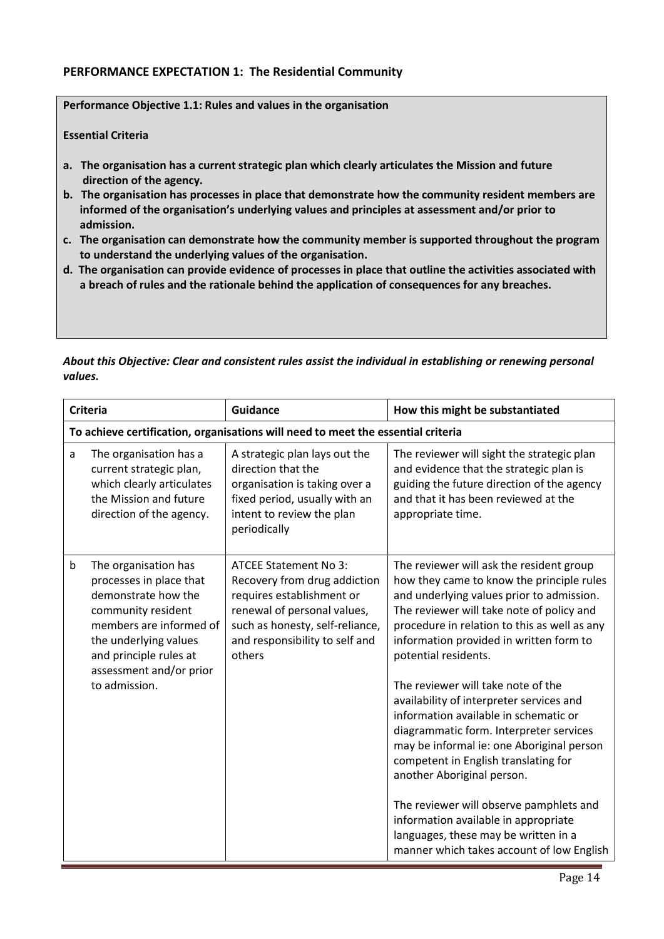## PERFORMANCE EXPECTATION 1: The Residential Community

Performance Objective 1.1: Rules and values in the organisation

#### Essential Criteria

- a. The organisation has a current strategic plan which clearly articulates the Mission and future direction of the agency.
- b. The organisation has processes in place that demonstrate how the community resident members are informed of the organisation's underlying values and principles at assessment and/or prior to admission.
- c. The organisation can demonstrate how the community member is supported throughout the program to understand the underlying values of the organisation.
- d. The organisation can provide evidence of processes in place that outline the activities associated with a breach of rules and the rationale behind the application of consequences for any breaches.

*About this Objective: Clear and consistent rules assist the individual in establishing or renewing personal values.*

|   | <b>Criteria</b>                                                                                                                                                                                                        | Guidance                                                                                                                                                                                         | How this might be substantiated                                                                                                                                                                                                                                                                                                                                                                                                                                                                                                                                                                                                                                                                                                                                     |
|---|------------------------------------------------------------------------------------------------------------------------------------------------------------------------------------------------------------------------|--------------------------------------------------------------------------------------------------------------------------------------------------------------------------------------------------|---------------------------------------------------------------------------------------------------------------------------------------------------------------------------------------------------------------------------------------------------------------------------------------------------------------------------------------------------------------------------------------------------------------------------------------------------------------------------------------------------------------------------------------------------------------------------------------------------------------------------------------------------------------------------------------------------------------------------------------------------------------------|
|   |                                                                                                                                                                                                                        | To achieve certification, organisations will need to meet the essential criteria                                                                                                                 |                                                                                                                                                                                                                                                                                                                                                                                                                                                                                                                                                                                                                                                                                                                                                                     |
| a | The organisation has a<br>current strategic plan,<br>which clearly articulates<br>the Mission and future<br>direction of the agency.                                                                                   | A strategic plan lays out the<br>direction that the<br>organisation is taking over a<br>fixed period, usually with an<br>intent to review the plan<br>periodically                               | The reviewer will sight the strategic plan<br>and evidence that the strategic plan is<br>guiding the future direction of the agency<br>and that it has been reviewed at the<br>appropriate time.                                                                                                                                                                                                                                                                                                                                                                                                                                                                                                                                                                    |
| b | The organisation has<br>processes in place that<br>demonstrate how the<br>community resident<br>members are informed of<br>the underlying values<br>and principle rules at<br>assessment and/or prior<br>to admission. | ATCEE Statement No 3:<br>Recovery from drug addiction<br>requires establishment or<br>renewal of personal values,<br>such as honesty, self-reliance,<br>and responsibility to self and<br>others | The reviewer will ask the resident group<br>how they came to know the principle rules<br>and underlying values prior to admission.<br>The reviewer will take note of policy and<br>procedure in relation to this as well as any<br>information provided in written form to<br>potential residents.<br>The reviewer will take note of the<br>availability of interpreter services and<br>information available in schematic or<br>diagrammatic form. Interpreter services<br>may be informal ie: one Aboriginal person<br>competent in English translating for<br>another Aboriginal person.<br>The reviewer will observe pamphlets and<br>information available in appropriate<br>languages, these may be written in a<br>manner which takes account of low English |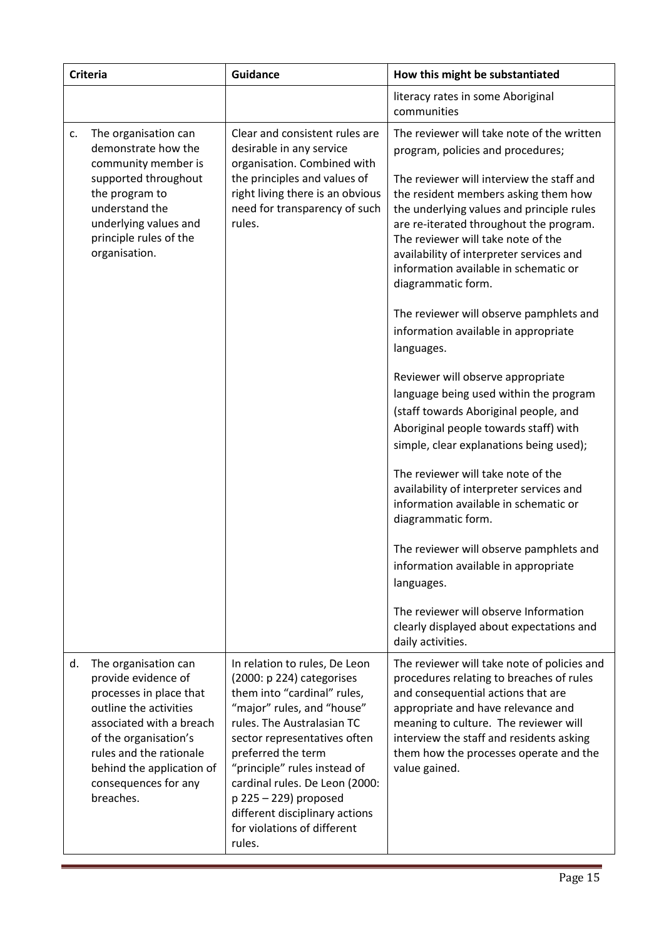|    | <b>Criteria</b>                                                                                                                                                                                                                                    | Guidance                                                                                                                                                                                                                                                                                                                                                                            | How this might be substantiated                                                                                                                                                                                                                                                                                                                                                                                                                                                                                                                                                                                                                                                                                                                                  |
|----|----------------------------------------------------------------------------------------------------------------------------------------------------------------------------------------------------------------------------------------------------|-------------------------------------------------------------------------------------------------------------------------------------------------------------------------------------------------------------------------------------------------------------------------------------------------------------------------------------------------------------------------------------|------------------------------------------------------------------------------------------------------------------------------------------------------------------------------------------------------------------------------------------------------------------------------------------------------------------------------------------------------------------------------------------------------------------------------------------------------------------------------------------------------------------------------------------------------------------------------------------------------------------------------------------------------------------------------------------------------------------------------------------------------------------|
|    |                                                                                                                                                                                                                                                    |                                                                                                                                                                                                                                                                                                                                                                                     | literacy rates in some Aboriginal<br>communities                                                                                                                                                                                                                                                                                                                                                                                                                                                                                                                                                                                                                                                                                                                 |
| c. | The organisation can<br>demonstrate how the<br>community member is<br>supported throughout<br>the program to<br>understand the<br>underlying values and<br>principle rules of the<br>organisation.                                                 | Clear and consistent rules are<br>desirable in any service<br>organisation. Combined with<br>the principles and values of<br>right living there is an obvious<br>need for transparency of such<br>rules.                                                                                                                                                                            | The reviewer will take note of the written<br>program, policies and procedures;<br>The reviewer will interview the staff and<br>the resident members asking them how<br>the underlying values and principle rules<br>are re-iterated throughout the program.<br>The reviewer will take note of the<br>availability of interpreter services and<br>information available in schematic or<br>diagrammatic form.<br>The reviewer will observe pamphlets and<br>information available in appropriate<br>languages.<br>Reviewer will observe appropriate<br>language being used within the program<br>(staff towards Aboriginal people, and<br>Aboriginal people towards staff) with<br>simple, clear explanations being used);<br>The reviewer will take note of the |
|    |                                                                                                                                                                                                                                                    |                                                                                                                                                                                                                                                                                                                                                                                     | availability of interpreter services and<br>information available in schematic or<br>diagrammatic form.<br>The reviewer will observe pamphlets and<br>information available in appropriate<br>languages.<br>The reviewer will observe Information<br>clearly displayed about expectations and<br>daily activities.                                                                                                                                                                                                                                                                                                                                                                                                                                               |
| d. | The organisation can<br>provide evidence of<br>processes in place that<br>outline the activities<br>associated with a breach<br>of the organisation's<br>rules and the rationale<br>behind the application of<br>consequences for any<br>breaches. | In relation to rules, De Leon<br>(2000: p 224) categorises<br>them into "cardinal" rules,<br>"major" rules, and "house"<br>rules. The Australasian TC<br>sector representatives often<br>preferred the term<br>"principle" rules instead of<br>cardinal rules. De Leon (2000:<br>$p$ 225 - 229) proposed<br>different disciplinary actions<br>for violations of different<br>rules. | The reviewer will take note of policies and<br>procedures relating to breaches of rules<br>and consequential actions that are<br>appropriate and have relevance and<br>meaning to culture. The reviewer will<br>interview the staff and residents asking<br>them how the processes operate and the<br>value gained.                                                                                                                                                                                                                                                                                                                                                                                                                                              |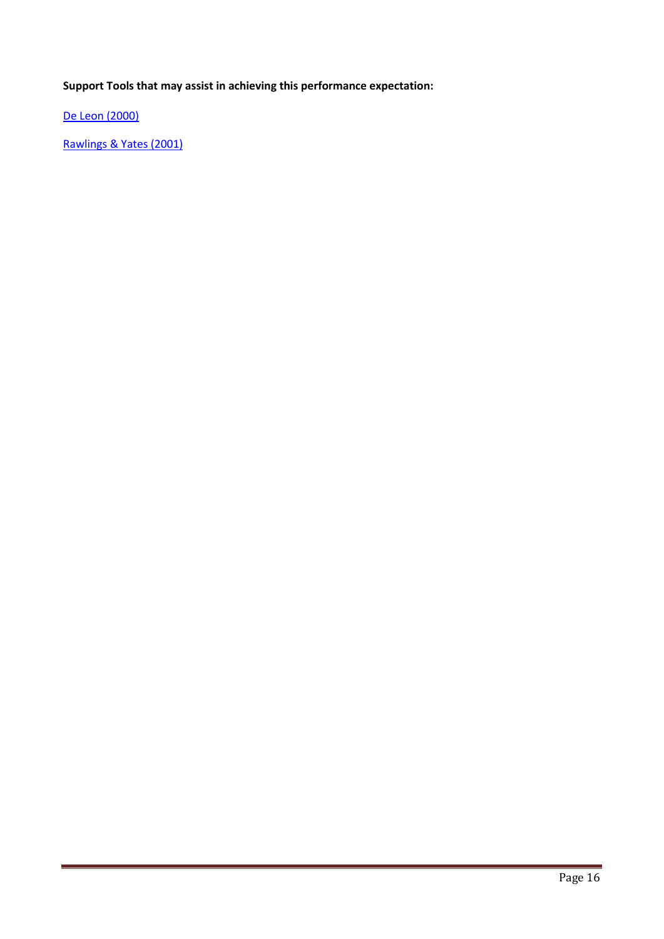De Leon (2000)

Rawlings & Yates (2001)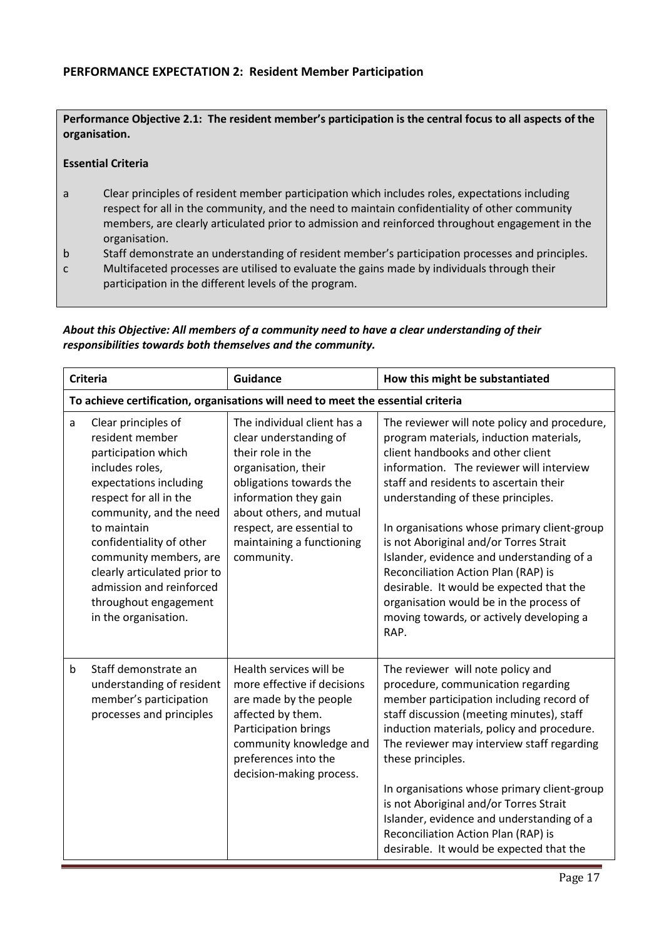# PERFORMANCE EXPECTATION 2: Resident Member Participation

Performance Objective 2.1: The resident member's participation is the central focus to all aspects of the organisation.

## Essential Criteria

- a Clear principles of resident member participation which includes roles, expectations including respect for all in the community, and the need to maintain confidentiality of other community members, are clearly articulated prior to admission and reinforced throughout engagement in the organisation.
- b Staff demonstrate an understanding of resident member's participation processes and principles.
- c Multifaceted processes are utilised to evaluate the gains made by individuals through their participation in the different levels of the program.

#### *About this Objective: All members of a community need to have a clear understanding of their responsibilities towards both themselves and the community.*

|             | <b>Criteria</b>                                                                                                                                                                                                                                                                                                                                   | <b>Guidance</b>                                                                                                                                                                                                                                           | How this might be substantiated                                                                                                                                                                                                                                                                                                                                                                                                                                                                                                                                                  |
|-------------|---------------------------------------------------------------------------------------------------------------------------------------------------------------------------------------------------------------------------------------------------------------------------------------------------------------------------------------------------|-----------------------------------------------------------------------------------------------------------------------------------------------------------------------------------------------------------------------------------------------------------|----------------------------------------------------------------------------------------------------------------------------------------------------------------------------------------------------------------------------------------------------------------------------------------------------------------------------------------------------------------------------------------------------------------------------------------------------------------------------------------------------------------------------------------------------------------------------------|
|             |                                                                                                                                                                                                                                                                                                                                                   | To achieve certification, organisations will need to meet the essential criteria                                                                                                                                                                          |                                                                                                                                                                                                                                                                                                                                                                                                                                                                                                                                                                                  |
| a           | Clear principles of<br>resident member<br>participation which<br>includes roles,<br>expectations including<br>respect for all in the<br>community, and the need<br>to maintain<br>confidentiality of other<br>community members, are<br>clearly articulated prior to<br>admission and reinforced<br>throughout engagement<br>in the organisation. | The individual client has a<br>clear understanding of<br>their role in the<br>organisation, their<br>obligations towards the<br>information they gain<br>about others, and mutual<br>respect, are essential to<br>maintaining a functioning<br>community. | The reviewer will note policy and procedure,<br>program materials, induction materials,<br>client handbooks and other client<br>information. The reviewer will interview<br>staff and residents to ascertain their<br>understanding of these principles.<br>In organisations whose primary client-group<br>is not Aboriginal and/or Torres Strait<br>Islander, evidence and understanding of a<br>Reconciliation Action Plan (RAP) is<br>desirable. It would be expected that the<br>organisation would be in the process of<br>moving towards, or actively developing a<br>RAP. |
| $\mathbf b$ | Staff demonstrate an<br>understanding of resident<br>member's participation<br>processes and principles                                                                                                                                                                                                                                           | Health services will be<br>more effective if decisions<br>are made by the people<br>affected by them.<br>Participation brings<br>community knowledge and<br>preferences into the<br>decision-making process.                                              | The reviewer will note policy and<br>procedure, communication regarding<br>member participation including record of<br>staff discussion (meeting minutes), staff<br>induction materials, policy and procedure.<br>The reviewer may interview staff regarding<br>these principles.<br>In organisations whose primary client-group<br>is not Aboriginal and/or Torres Strait<br>Islander, evidence and understanding of a<br>Reconciliation Action Plan (RAP) is<br>desirable. It would be expected that the                                                                       |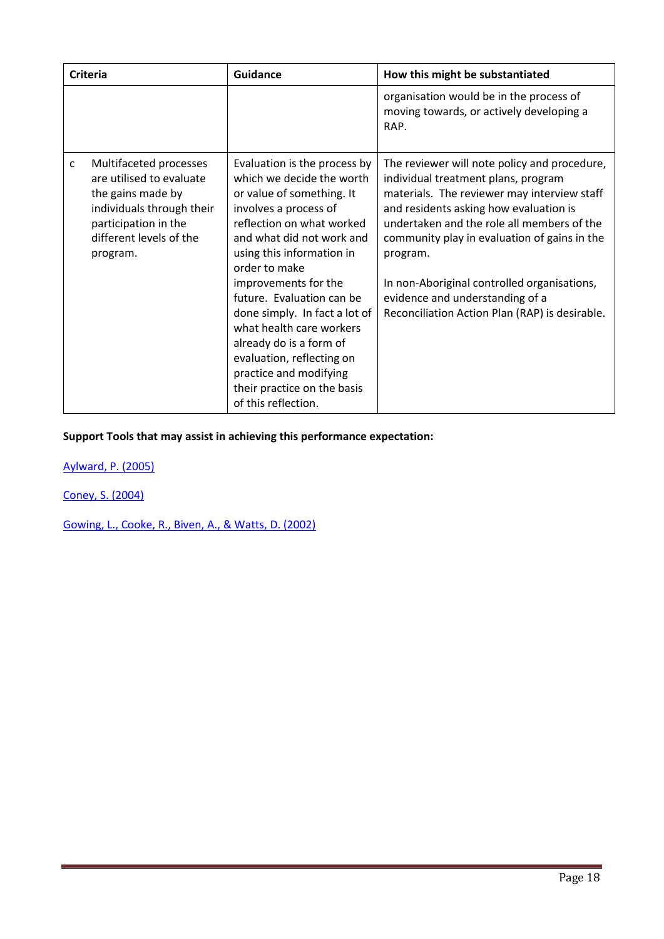|              | <b>Criteria</b>                                                                                                                                                     | Guidance                                                                                                                                                                                                                                                                                                                                                                                                                                                                          | How this might be substantiated                                                                                                                                                                                                                                                                                                                                                                                            |
|--------------|---------------------------------------------------------------------------------------------------------------------------------------------------------------------|-----------------------------------------------------------------------------------------------------------------------------------------------------------------------------------------------------------------------------------------------------------------------------------------------------------------------------------------------------------------------------------------------------------------------------------------------------------------------------------|----------------------------------------------------------------------------------------------------------------------------------------------------------------------------------------------------------------------------------------------------------------------------------------------------------------------------------------------------------------------------------------------------------------------------|
|              |                                                                                                                                                                     |                                                                                                                                                                                                                                                                                                                                                                                                                                                                                   | organisation would be in the process of<br>moving towards, or actively developing a<br>RAP.                                                                                                                                                                                                                                                                                                                                |
| $\mathsf{C}$ | Multifaceted processes<br>are utilised to evaluate<br>the gains made by<br>individuals through their<br>participation in the<br>different levels of the<br>program. | Evaluation is the process by<br>which we decide the worth<br>or value of something. It<br>involves a process of<br>reflection on what worked<br>and what did not work and<br>using this information in<br>order to make<br>improvements for the<br>future. Evaluation can be<br>done simply. In fact a lot of<br>what health care workers<br>already do is a form of<br>evaluation, reflecting on<br>practice and modifying<br>their practice on the basis<br>of this reflection. | The reviewer will note policy and procedure,<br>individual treatment plans, program<br>materials. The reviewer may interview staff<br>and residents asking how evaluation is<br>undertaken and the role all members of the<br>community play in evaluation of gains in the<br>program.<br>In non-Aboriginal controlled organisations,<br>evidence and understanding of a<br>Reconciliation Action Plan (RAP) is desirable. |

Aylward, P. (2005)

Coney, S. (2004)

Gowing, L., Cooke, R., Biven, A., & Watts, D. (2002)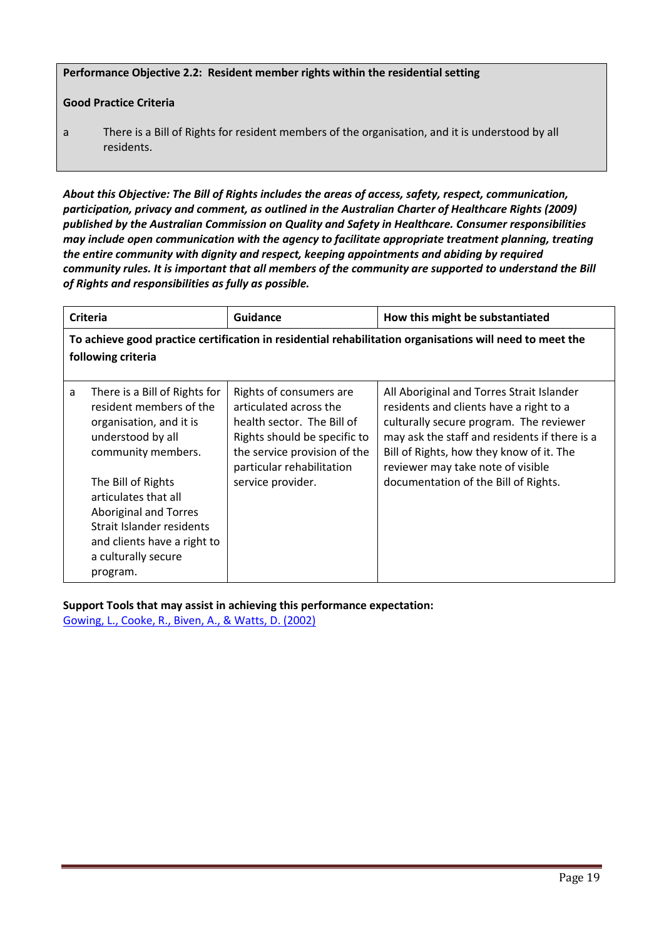Performance Objective 2.2: Resident member rights within the residential setting

## Good Practice Criteria

a There is a Bill of Rights for resident members of the organisation, and it is understood by all residents.

*About this Objective: The Bill of Rights includes the areas of access, safety, respect, communication, participation, privacy and comment, as outlined in the Australian Charter of Healthcare Rights (2009) published by the Australian Commission on Quality and Safety in Healthcare. Consumer responsibilities may include open communication with the agency to facilitate appropriate treatment planning, treating the entire community with dignity and respect, keeping appointments and abiding by required community rules. It is important that all members of the community are supported to understand the Bill of Rights and responsibilities as fully as possible.*

| <b>Criteria</b> |                                                                                                                                                                           | <b>Guidance</b>                                                                                                                                                              | How this might be substantiated                                                                                                                                                                                                                                   |  |
|-----------------|---------------------------------------------------------------------------------------------------------------------------------------------------------------------------|------------------------------------------------------------------------------------------------------------------------------------------------------------------------------|-------------------------------------------------------------------------------------------------------------------------------------------------------------------------------------------------------------------------------------------------------------------|--|
|                 | To achieve good practice certification in residential rehabilitation organisations will need to meet the<br>following criteria                                            |                                                                                                                                                                              |                                                                                                                                                                                                                                                                   |  |
|                 |                                                                                                                                                                           |                                                                                                                                                                              |                                                                                                                                                                                                                                                                   |  |
| a               | There is a Bill of Rights for<br>resident members of the<br>organisation, and it is<br>understood by all<br>community members.                                            | Rights of consumers are<br>articulated across the<br>health sector. The Bill of<br>Rights should be specific to<br>the service provision of the<br>particular rehabilitation | All Aboriginal and Torres Strait Islander<br>residents and clients have a right to a<br>culturally secure program. The reviewer<br>may ask the staff and residents if there is a<br>Bill of Rights, how they know of it. The<br>reviewer may take note of visible |  |
|                 | The Bill of Rights<br>articulates that all<br><b>Aboriginal and Torres</b><br>Strait Islander residents<br>and clients have a right to<br>a culturally secure<br>program. | service provider.                                                                                                                                                            | documentation of the Bill of Rights.                                                                                                                                                                                                                              |  |

Support Tools that may assist in achieving this performance expectation: Gowing, L., Cooke, R., Biven, A., & Watts, D. (2002)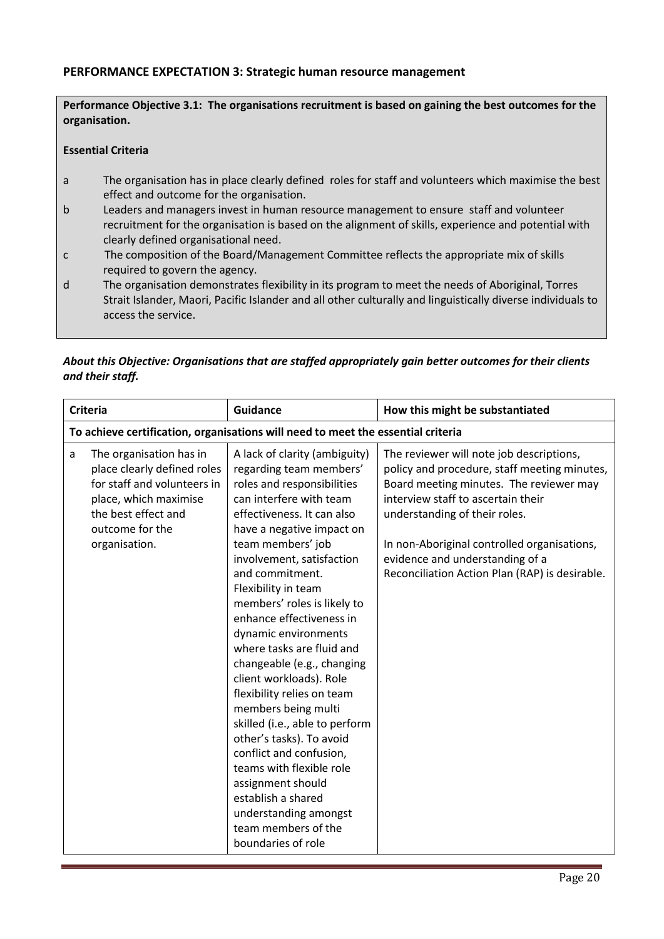## PERFORMANCE EXPECTATION 3: Strategic human resource management

Performance Objective 3.1: The organisations recruitment is based on gaining the best outcomes for the organisation.

#### Essential Criteria

- a The organisation has in place clearly defined roles for staff and volunteers which maximise the best effect and outcome for the organisation.
- b Leaders and managers invest in human resource management to ensure staff and volunteer recruitment for the organisation is based on the alignment of skills, experience and potential with clearly defined organisational need.
- c The composition of the Board/Management Committee reflects the appropriate mix of skills required to govern the agency.
- d The organisation demonstrates flexibility in its program to meet the needs of Aboriginal, Torres Strait Islander, Maori, Pacific Islander and all other culturally and linguistically diverse individuals to access the service.

# *About this Objective: Organisations that are staffed appropriately gain better outcomes for their clients and their staff.*

| <b>Criteria</b>                                                                  |                                                                                                                                                                           | <b>Guidance</b>                                                                                                                                                                                                                                                                                                                                                                                                                                                                                                                                                                                                                                                                                                                              | How this might be substantiated                                                                                                                                                                                                                                                                                                                |
|----------------------------------------------------------------------------------|---------------------------------------------------------------------------------------------------------------------------------------------------------------------------|----------------------------------------------------------------------------------------------------------------------------------------------------------------------------------------------------------------------------------------------------------------------------------------------------------------------------------------------------------------------------------------------------------------------------------------------------------------------------------------------------------------------------------------------------------------------------------------------------------------------------------------------------------------------------------------------------------------------------------------------|------------------------------------------------------------------------------------------------------------------------------------------------------------------------------------------------------------------------------------------------------------------------------------------------------------------------------------------------|
| To achieve certification, organisations will need to meet the essential criteria |                                                                                                                                                                           |                                                                                                                                                                                                                                                                                                                                                                                                                                                                                                                                                                                                                                                                                                                                              |                                                                                                                                                                                                                                                                                                                                                |
| a                                                                                | The organisation has in<br>place clearly defined roles<br>for staff and volunteers in<br>place, which maximise<br>the best effect and<br>outcome for the<br>organisation. | A lack of clarity (ambiguity)<br>regarding team members'<br>roles and responsibilities<br>can interfere with team<br>effectiveness. It can also<br>have a negative impact on<br>team members' job<br>involvement, satisfaction<br>and commitment.<br>Flexibility in team<br>members' roles is likely to<br>enhance effectiveness in<br>dynamic environments<br>where tasks are fluid and<br>changeable (e.g., changing<br>client workloads). Role<br>flexibility relies on team<br>members being multi<br>skilled (i.e., able to perform<br>other's tasks). To avoid<br>conflict and confusion,<br>teams with flexible role<br>assignment should<br>establish a shared<br>understanding amongst<br>team members of the<br>boundaries of role | The reviewer will note job descriptions,<br>policy and procedure, staff meeting minutes,<br>Board meeting minutes. The reviewer may<br>interview staff to ascertain their<br>understanding of their roles.<br>In non-Aboriginal controlled organisations,<br>evidence and understanding of a<br>Reconciliation Action Plan (RAP) is desirable. |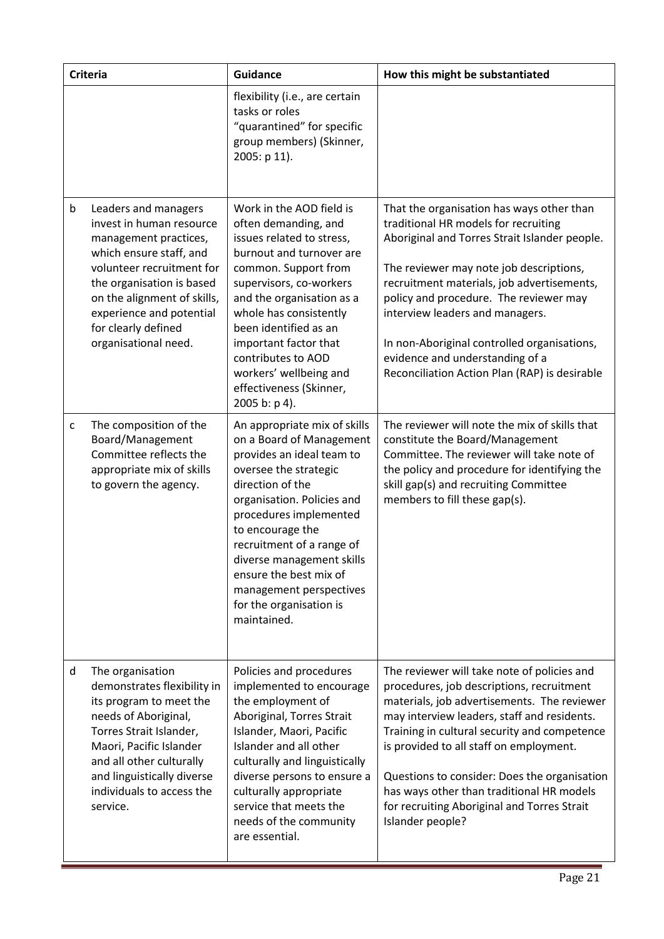|   | <b>Criteria</b>                                                                                                                                                                                                                                                          | <b>Guidance</b>                                                                                                                                                                                                                                                                                                                                                         | How this might be substantiated                                                                                                                                                                                                                                                                                                                                                                                                                   |
|---|--------------------------------------------------------------------------------------------------------------------------------------------------------------------------------------------------------------------------------------------------------------------------|-------------------------------------------------------------------------------------------------------------------------------------------------------------------------------------------------------------------------------------------------------------------------------------------------------------------------------------------------------------------------|---------------------------------------------------------------------------------------------------------------------------------------------------------------------------------------------------------------------------------------------------------------------------------------------------------------------------------------------------------------------------------------------------------------------------------------------------|
|   |                                                                                                                                                                                                                                                                          | flexibility (i.e., are certain<br>tasks or roles<br>"quarantined" for specific<br>group members) (Skinner,<br>2005: p 11).                                                                                                                                                                                                                                              |                                                                                                                                                                                                                                                                                                                                                                                                                                                   |
| b | Leaders and managers<br>invest in human resource<br>management practices,<br>which ensure staff, and<br>volunteer recruitment for<br>the organisation is based<br>on the alignment of skills,<br>experience and potential<br>for clearly defined<br>organisational need. | Work in the AOD field is<br>often demanding, and<br>issues related to stress,<br>burnout and turnover are<br>common. Support from<br>supervisors, co-workers<br>and the organisation as a<br>whole has consistently<br>been identified as an<br>important factor that<br>contributes to AOD<br>workers' wellbeing and<br>effectiveness (Skinner,<br>2005 b: p 4).       | That the organisation has ways other than<br>traditional HR models for recruiting<br>Aboriginal and Torres Strait Islander people.<br>The reviewer may note job descriptions,<br>recruitment materials, job advertisements,<br>policy and procedure. The reviewer may<br>interview leaders and managers.<br>In non-Aboriginal controlled organisations,<br>evidence and understanding of a<br>Reconciliation Action Plan (RAP) is desirable       |
| C | The composition of the<br>Board/Management<br>Committee reflects the<br>appropriate mix of skills<br>to govern the agency.                                                                                                                                               | An appropriate mix of skills<br>on a Board of Management<br>provides an ideal team to<br>oversee the strategic<br>direction of the<br>organisation. Policies and<br>procedures implemented<br>to encourage the<br>recruitment of a range of<br>diverse management skills<br>ensure the best mix of<br>management perspectives<br>for the organisation is<br>maintained. | The reviewer will note the mix of skills that<br>constitute the Board/Management<br>Committee. The reviewer will take note of<br>the policy and procedure for identifying the<br>skill gap(s) and recruiting Committee<br>members to fill these gap(s).                                                                                                                                                                                           |
| d | The organisation<br>demonstrates flexibility in<br>its program to meet the<br>needs of Aboriginal,<br>Torres Strait Islander,<br>Maori, Pacific Islander<br>and all other culturally<br>and linguistically diverse<br>individuals to access the<br>service.              | Policies and procedures<br>implemented to encourage<br>the employment of<br>Aboriginal, Torres Strait<br>Islander, Maori, Pacific<br>Islander and all other<br>culturally and linguistically<br>diverse persons to ensure a<br>culturally appropriate<br>service that meets the<br>needs of the community<br>are essential.                                             | The reviewer will take note of policies and<br>procedures, job descriptions, recruitment<br>materials, job advertisements. The reviewer<br>may interview leaders, staff and residents.<br>Training in cultural security and competence<br>is provided to all staff on employment.<br>Questions to consider: Does the organisation<br>has ways other than traditional HR models<br>for recruiting Aboriginal and Torres Strait<br>Islander people? |

Ξ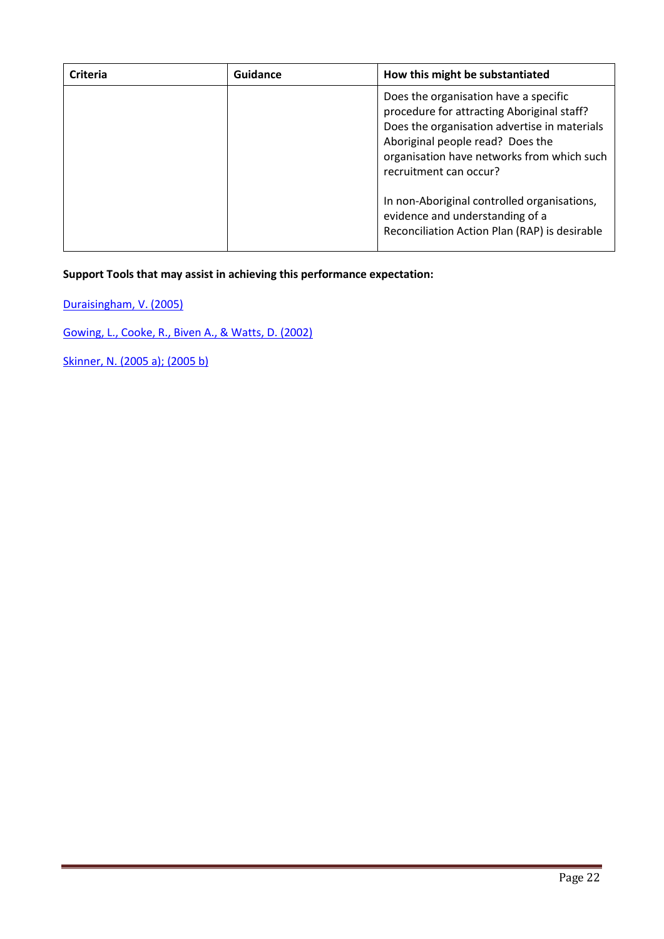| Criteria | Guidance | How this might be substantiated                                                                                                                                                                                                                 |
|----------|----------|-------------------------------------------------------------------------------------------------------------------------------------------------------------------------------------------------------------------------------------------------|
|          |          | Does the organisation have a specific<br>procedure for attracting Aboriginal staff?<br>Does the organisation advertise in materials<br>Aboriginal people read? Does the<br>organisation have networks from which such<br>recruitment can occur? |
|          |          | In non-Aboriginal controlled organisations,<br>evidence and understanding of a<br>Reconciliation Action Plan (RAP) is desirable                                                                                                                 |

Duraisingham, V. (2005)

Gowing, L., Cooke, R., Biven A., & Watts, D. (2002)

Skinner, N. (2005 a); (2005 b)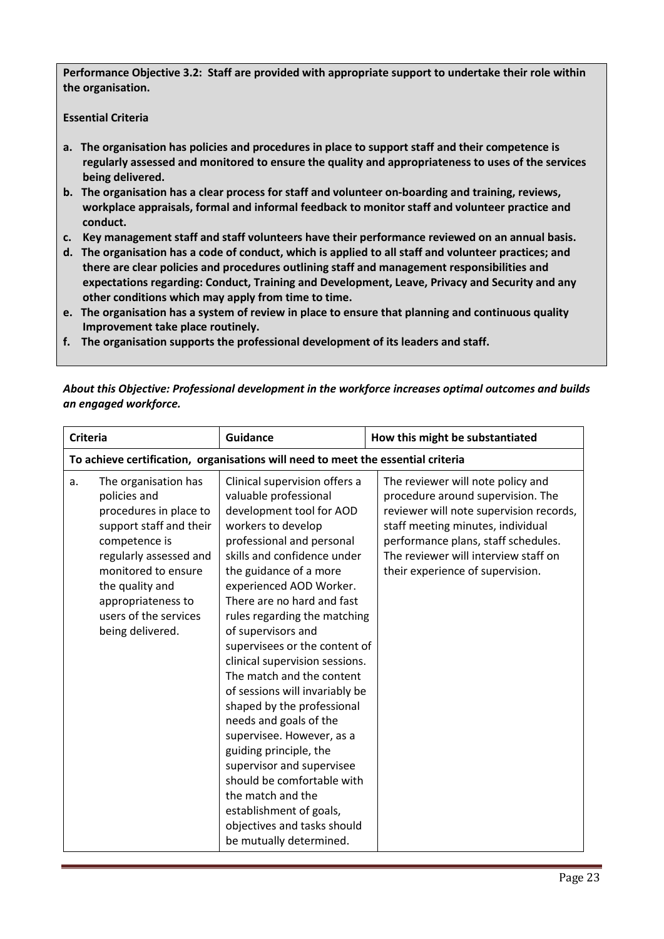Performance Objective 3.2: Staff are provided with appropriate support to undertake their role within the organisation.

Essential Criteria

- a. The organisation has policies and procedures in place to support staff and their competence is regularly assessed and monitored to ensure the quality and appropriateness to uses of the services being delivered.
- b. The organisation has a clear process for staff and volunteer on-boarding and training, reviews, workplace appraisals, formal and informal feedback to monitor staff and volunteer practice and conduct.
- c. Key management staff and staff volunteers have their performance reviewed on an annual basis.
- d. The organisation has a code of conduct, which is applied to all staff and volunteer practices; and there are clear policies and procedures outlining staff and management responsibilities and expectations regarding: Conduct, Training and Development, Leave, Privacy and Security and any other conditions which may apply from time to time.
- e. The organisation has a system of review in place to ensure that planning and continuous quality Improvement take place routinely.
- f. The organisation supports the professional development of its leaders and staff.

| <b>Criteria</b> |                                                                                                                                                                                                                                                   | <b>Guidance</b>                                                                                                                                                                                                                                                                                                                                                                                                                                                                                                                                                                                                                                                                                                                     | How this might be substantiated                                                                                                                                                                                                                                           |
|-----------------|---------------------------------------------------------------------------------------------------------------------------------------------------------------------------------------------------------------------------------------------------|-------------------------------------------------------------------------------------------------------------------------------------------------------------------------------------------------------------------------------------------------------------------------------------------------------------------------------------------------------------------------------------------------------------------------------------------------------------------------------------------------------------------------------------------------------------------------------------------------------------------------------------------------------------------------------------------------------------------------------------|---------------------------------------------------------------------------------------------------------------------------------------------------------------------------------------------------------------------------------------------------------------------------|
|                 |                                                                                                                                                                                                                                                   | To achieve certification, organisations will need to meet the essential criteria                                                                                                                                                                                                                                                                                                                                                                                                                                                                                                                                                                                                                                                    |                                                                                                                                                                                                                                                                           |
| a.              | The organisation has<br>policies and<br>procedures in place to<br>support staff and their<br>competence is<br>regularly assessed and<br>monitored to ensure<br>the quality and<br>appropriateness to<br>users of the services<br>being delivered. | Clinical supervision offers a<br>valuable professional<br>development tool for AOD<br>workers to develop<br>professional and personal<br>skills and confidence under<br>the guidance of a more<br>experienced AOD Worker.<br>There are no hard and fast<br>rules regarding the matching<br>of supervisors and<br>supervisees or the content of<br>clinical supervision sessions.<br>The match and the content<br>of sessions will invariably be<br>shaped by the professional<br>needs and goals of the<br>supervisee. However, as a<br>guiding principle, the<br>supervisor and supervisee<br>should be comfortable with<br>the match and the<br>establishment of goals,<br>objectives and tasks should<br>be mutually determined. | The reviewer will note policy and<br>procedure around supervision. The<br>reviewer will note supervision records,<br>staff meeting minutes, individual<br>performance plans, staff schedules.<br>The reviewer will interview staff on<br>their experience of supervision. |

*About this Objective: Professional development in the workforce increases optimal outcomes and builds an engaged workforce.*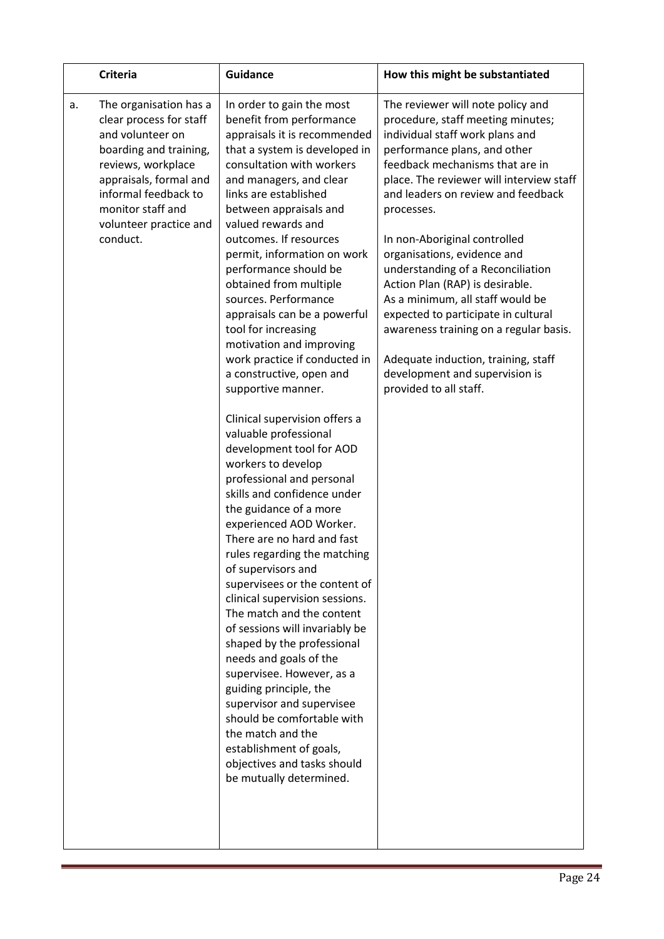| <b>Criteria</b>                                                                                                                                                                                                                          | <b>Guidance</b>                                                                                                                                                                                                                                                                                                                                                                                                                                                                                                                                                                                                                                                                                                                     | How this might be substantiated                                                                                                                                                                                                                                                                                             |
|------------------------------------------------------------------------------------------------------------------------------------------------------------------------------------------------------------------------------------------|-------------------------------------------------------------------------------------------------------------------------------------------------------------------------------------------------------------------------------------------------------------------------------------------------------------------------------------------------------------------------------------------------------------------------------------------------------------------------------------------------------------------------------------------------------------------------------------------------------------------------------------------------------------------------------------------------------------------------------------|-----------------------------------------------------------------------------------------------------------------------------------------------------------------------------------------------------------------------------------------------------------------------------------------------------------------------------|
| The organisation has a<br>a.<br>clear process for staff<br>and volunteer on<br>boarding and training,<br>reviews, workplace<br>appraisals, formal and<br>informal feedback to<br>monitor staff and<br>volunteer practice and<br>conduct. | In order to gain the most<br>benefit from performance<br>appraisals it is recommended<br>that a system is developed in<br>consultation with workers<br>and managers, and clear<br>links are established<br>between appraisals and<br>valued rewards and<br>outcomes. If resources                                                                                                                                                                                                                                                                                                                                                                                                                                                   | The reviewer will note policy and<br>procedure, staff meeting minutes;<br>individual staff work plans and<br>performance plans, and other<br>feedback mechanisms that are in<br>place. The reviewer will interview staff<br>and leaders on review and feedback<br>processes.<br>In non-Aboriginal controlled                |
|                                                                                                                                                                                                                                          | permit, information on work<br>performance should be<br>obtained from multiple<br>sources. Performance<br>appraisals can be a powerful<br>tool for increasing<br>motivation and improving<br>work practice if conducted in<br>a constructive, open and<br>supportive manner.                                                                                                                                                                                                                                                                                                                                                                                                                                                        | organisations, evidence and<br>understanding of a Reconciliation<br>Action Plan (RAP) is desirable.<br>As a minimum, all staff would be<br>expected to participate in cultural<br>awareness training on a regular basis.<br>Adequate induction, training, staff<br>development and supervision is<br>provided to all staff. |
|                                                                                                                                                                                                                                          | Clinical supervision offers a<br>valuable professional<br>development tool for AOD<br>workers to develop<br>professional and personal<br>skills and confidence under<br>the guidance of a more<br>experienced AOD Worker.<br>There are no hard and fast<br>rules regarding the matching<br>of supervisors and<br>supervisees or the content of<br>clinical supervision sessions.<br>The match and the content<br>of sessions will invariably be<br>shaped by the professional<br>needs and goals of the<br>supervisee. However, as a<br>guiding principle, the<br>supervisor and supervisee<br>should be comfortable with<br>the match and the<br>establishment of goals,<br>objectives and tasks should<br>be mutually determined. |                                                                                                                                                                                                                                                                                                                             |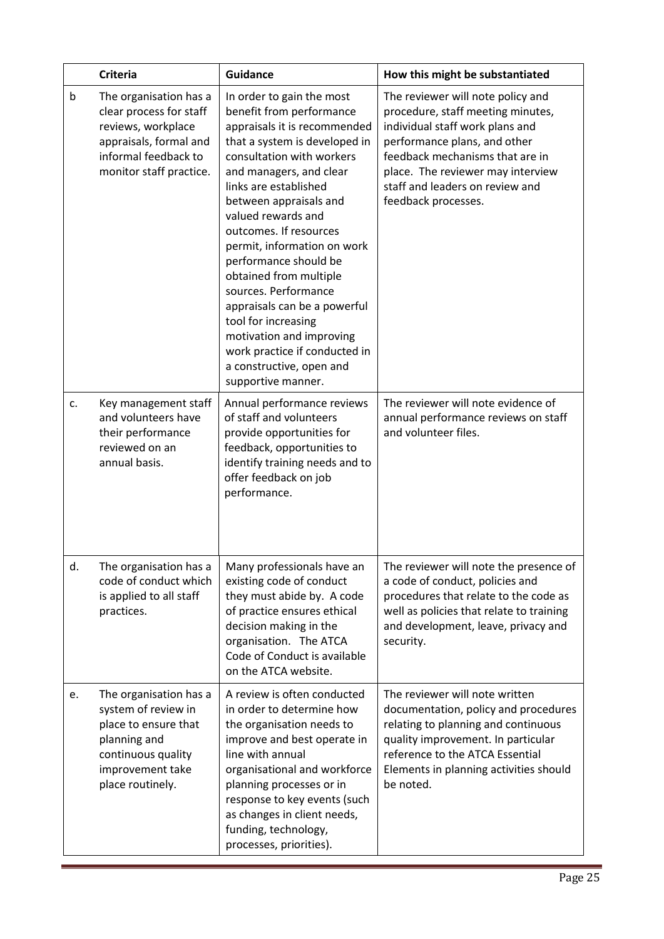|    | <b>Criteria</b>                                                                                                                                      | <b>Guidance</b>                                                                                                                                                                                                                                                                                                                                                                                                                                                                                                                                                   | How this might be substantiated                                                                                                                                                                                                                                             |
|----|------------------------------------------------------------------------------------------------------------------------------------------------------|-------------------------------------------------------------------------------------------------------------------------------------------------------------------------------------------------------------------------------------------------------------------------------------------------------------------------------------------------------------------------------------------------------------------------------------------------------------------------------------------------------------------------------------------------------------------|-----------------------------------------------------------------------------------------------------------------------------------------------------------------------------------------------------------------------------------------------------------------------------|
| b  | The organisation has a<br>clear process for staff<br>reviews, workplace<br>appraisals, formal and<br>informal feedback to<br>monitor staff practice. | In order to gain the most<br>benefit from performance<br>appraisals it is recommended<br>that a system is developed in<br>consultation with workers<br>and managers, and clear<br>links are established<br>between appraisals and<br>valued rewards and<br>outcomes. If resources<br>permit, information on work<br>performance should be<br>obtained from multiple<br>sources. Performance<br>appraisals can be a powerful<br>tool for increasing<br>motivation and improving<br>work practice if conducted in<br>a constructive, open and<br>supportive manner. | The reviewer will note policy and<br>procedure, staff meeting minutes,<br>individual staff work plans and<br>performance plans, and other<br>feedback mechanisms that are in<br>place. The reviewer may interview<br>staff and leaders on review and<br>feedback processes. |
| c. | Key management staff<br>and volunteers have<br>their performance<br>reviewed on an<br>annual basis.                                                  | Annual performance reviews<br>of staff and volunteers<br>provide opportunities for<br>feedback, opportunities to<br>identify training needs and to<br>offer feedback on job<br>performance.                                                                                                                                                                                                                                                                                                                                                                       | The reviewer will note evidence of<br>annual performance reviews on staff<br>and volunteer files.                                                                                                                                                                           |
| d. | The organisation has a<br>code of conduct which<br>is applied to all staff<br>practices.                                                             | Many professionals have an<br>existing code of conduct<br>they must abide by. A code<br>of practice ensures ethical<br>decision making in the<br>organisation. The ATCA<br>Code of Conduct is available<br>on the ATCA website.                                                                                                                                                                                                                                                                                                                                   | The reviewer will note the presence of<br>a code of conduct, policies and<br>procedures that relate to the code as<br>well as policies that relate to training<br>and development, leave, privacy and<br>security.                                                          |
| e. | The organisation has a<br>system of review in<br>place to ensure that<br>planning and<br>continuous quality<br>improvement take<br>place routinely.  | A review is often conducted<br>in order to determine how<br>the organisation needs to<br>improve and best operate in<br>line with annual<br>organisational and workforce<br>planning processes or in<br>response to key events (such<br>as changes in client needs,<br>funding, technology,<br>processes, priorities).                                                                                                                                                                                                                                            | The reviewer will note written<br>documentation, policy and procedures<br>relating to planning and continuous<br>quality improvement. In particular<br>reference to the ATCA Essential<br>Elements in planning activities should<br>be noted.                               |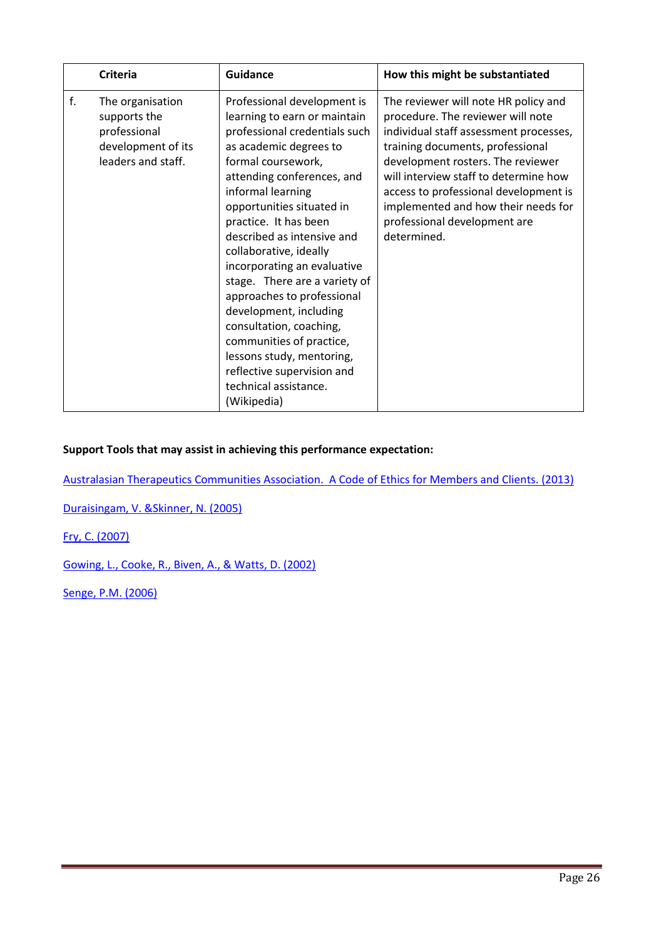|    | <b>Criteria</b>                                                                              | <b>Guidance</b>                                                                                                                                                                                                                                                                                                                                                                                                                                                                                                                                                                                 | How this might be substantiated                                                                                                                                                                                                                                                                                                                                      |
|----|----------------------------------------------------------------------------------------------|-------------------------------------------------------------------------------------------------------------------------------------------------------------------------------------------------------------------------------------------------------------------------------------------------------------------------------------------------------------------------------------------------------------------------------------------------------------------------------------------------------------------------------------------------------------------------------------------------|----------------------------------------------------------------------------------------------------------------------------------------------------------------------------------------------------------------------------------------------------------------------------------------------------------------------------------------------------------------------|
| f. | The organisation<br>supports the<br>professional<br>development of its<br>leaders and staff. | Professional development is<br>learning to earn or maintain<br>professional credentials such<br>as academic degrees to<br>formal coursework,<br>attending conferences, and<br>informal learning<br>opportunities situated in<br>practice. It has been<br>described as intensive and<br>collaborative, ideally<br>incorporating an evaluative<br>stage. There are a variety of<br>approaches to professional<br>development, including<br>consultation, coaching,<br>communities of practice,<br>lessons study, mentoring,<br>reflective supervision and<br>technical assistance.<br>(Wikipedia) | The reviewer will note HR policy and<br>procedure. The reviewer will note<br>individual staff assessment processes,<br>training documents, professional<br>development rosters. The reviewer<br>will interview staff to determine how<br>access to professional development is<br>implemented and how their needs for<br>professional development are<br>determined. |

Australasian Therapeutics Communities Association. A Code of Ethics for Members and Clients. (2013)

Duraisingam, V. &Skinner, N. (2005)

Fry, C. (2007)

Gowing, L., Cooke, R., Biven, A., & Watts, D. (2002)

Senge, P.M. (2006)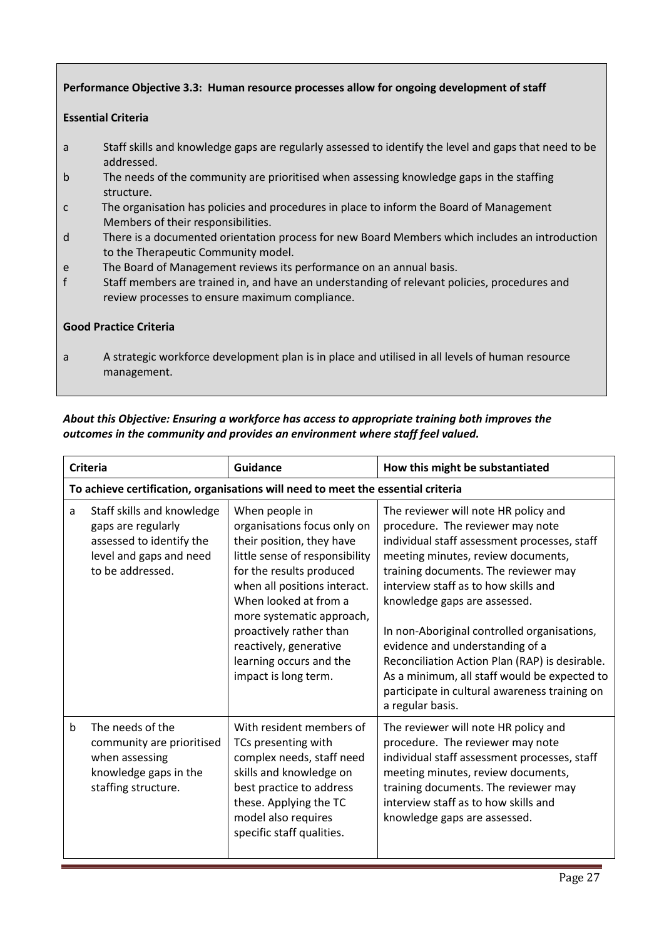## Performance Objective 3.3: Human resource processes allow for ongoing development of staff

#### Essential Criteria

- a Staff skills and knowledge gaps are regularly assessed to identify the level and gaps that need to be addressed.
- b The needs of the community are prioritised when assessing knowledge gaps in the staffing structure.
- c The organisation has policies and procedures in place to inform the Board of Management Members of their responsibilities.
- d There is a documented orientation process for new Board Members which includes an introduction to the Therapeutic Community model.
- e The Board of Management reviews its performance on an annual basis.
- f Staff members are trained in, and have an understanding of relevant policies, procedures and review processes to ensure maximum compliance.

#### Good Practice Criteria

a A strategic workforce development plan is in place and utilised in all levels of human resource management.

## *About this Objective: Ensuring a workforce has access to appropriate training both improves the outcomes in the community and provides an environment where staff feel valued.*

|             | <b>Criteria</b>                                                                                                             | Guidance                                                                                                                                                                                                                                                                                                                               | How this might be substantiated                                                                                                                                                                                                                                                                                                                                                                                                                                                                                                         |
|-------------|-----------------------------------------------------------------------------------------------------------------------------|----------------------------------------------------------------------------------------------------------------------------------------------------------------------------------------------------------------------------------------------------------------------------------------------------------------------------------------|-----------------------------------------------------------------------------------------------------------------------------------------------------------------------------------------------------------------------------------------------------------------------------------------------------------------------------------------------------------------------------------------------------------------------------------------------------------------------------------------------------------------------------------------|
|             |                                                                                                                             | To achieve certification, organisations will need to meet the essential criteria                                                                                                                                                                                                                                                       |                                                                                                                                                                                                                                                                                                                                                                                                                                                                                                                                         |
| a           | Staff skills and knowledge<br>gaps are regularly<br>assessed to identify the<br>level and gaps and need<br>to be addressed. | When people in<br>organisations focus only on<br>their position, they have<br>little sense of responsibility<br>for the results produced<br>when all positions interact.<br>When looked at from a<br>more systematic approach,<br>proactively rather than<br>reactively, generative<br>learning occurs and the<br>impact is long term. | The reviewer will note HR policy and<br>procedure. The reviewer may note<br>individual staff assessment processes, staff<br>meeting minutes, review documents,<br>training documents. The reviewer may<br>interview staff as to how skills and<br>knowledge gaps are assessed.<br>In non-Aboriginal controlled organisations,<br>evidence and understanding of a<br>Reconciliation Action Plan (RAP) is desirable.<br>As a minimum, all staff would be expected to<br>participate in cultural awareness training on<br>a regular basis. |
| $\mathsf b$ | The needs of the<br>community are prioritised<br>when assessing<br>knowledge gaps in the<br>staffing structure.             | With resident members of<br>TCs presenting with<br>complex needs, staff need<br>skills and knowledge on<br>best practice to address<br>these. Applying the TC<br>model also requires<br>specific staff qualities.                                                                                                                      | The reviewer will note HR policy and<br>procedure. The reviewer may note<br>individual staff assessment processes, staff<br>meeting minutes, review documents,<br>training documents. The reviewer may<br>interview staff as to how skills and<br>knowledge gaps are assessed.                                                                                                                                                                                                                                                          |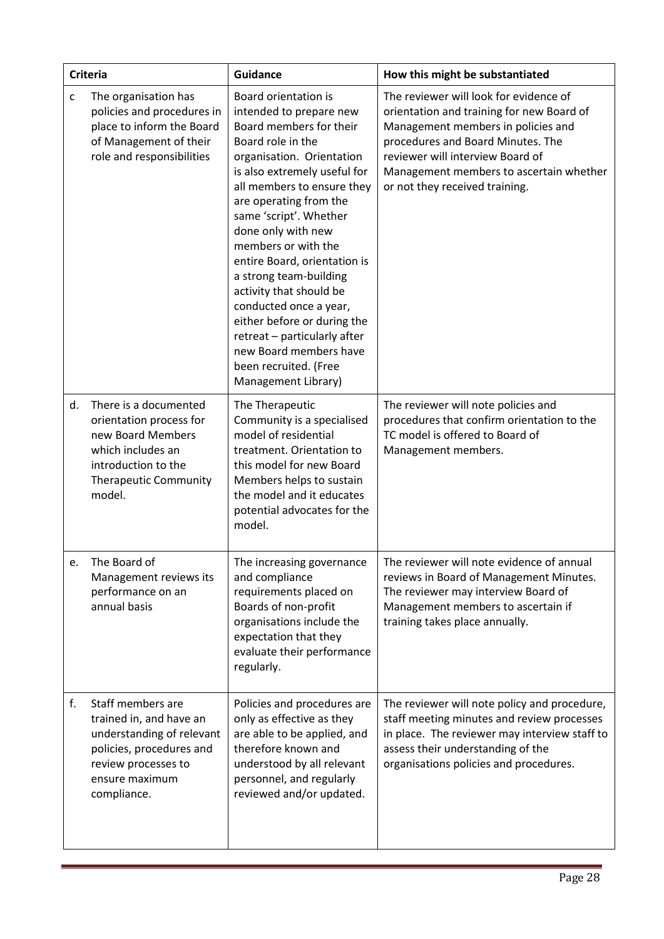|    | <b>Criteria</b>                                                                                                                                               | <b>Guidance</b>                                                                                                                                                                                                                                                                                                                                                                                                                                                                                                                                     | How this might be substantiated                                                                                                                                                                                                                                                 |
|----|---------------------------------------------------------------------------------------------------------------------------------------------------------------|-----------------------------------------------------------------------------------------------------------------------------------------------------------------------------------------------------------------------------------------------------------------------------------------------------------------------------------------------------------------------------------------------------------------------------------------------------------------------------------------------------------------------------------------------------|---------------------------------------------------------------------------------------------------------------------------------------------------------------------------------------------------------------------------------------------------------------------------------|
| C  | The organisation has<br>policies and procedures in<br>place to inform the Board<br>of Management of their<br>role and responsibilities                        | Board orientation is<br>intended to prepare new<br>Board members for their<br>Board role in the<br>organisation. Orientation<br>is also extremely useful for<br>all members to ensure they<br>are operating from the<br>same 'script'. Whether<br>done only with new<br>members or with the<br>entire Board, orientation is<br>a strong team-building<br>activity that should be<br>conducted once a year,<br>either before or during the<br>retreat - particularly after<br>new Board members have<br>been recruited. (Free<br>Management Library) | The reviewer will look for evidence of<br>orientation and training for new Board of<br>Management members in policies and<br>procedures and Board Minutes. The<br>reviewer will interview Board of<br>Management members to ascertain whether<br>or not they received training. |
| d. | There is a documented<br>orientation process for<br>new Board Members<br>which includes an<br>introduction to the<br><b>Therapeutic Community</b><br>model.   | The Therapeutic<br>Community is a specialised<br>model of residential<br>treatment. Orientation to<br>this model for new Board<br>Members helps to sustain<br>the model and it educates<br>potential advocates for the<br>model.                                                                                                                                                                                                                                                                                                                    | The reviewer will note policies and<br>procedures that confirm orientation to the<br>TC model is offered to Board of<br>Management members.                                                                                                                                     |
| e. | The Board of<br>Management reviews its<br>performance on an<br>annual basis                                                                                   | The increasing governance<br>and compliance<br>requirements placed on<br>Boards of non-profit<br>organisations include the<br>expectation that they<br>evaluate their performance<br>regularly.                                                                                                                                                                                                                                                                                                                                                     | The reviewer will note evidence of annual<br>reviews in Board of Management Minutes.<br>The reviewer may interview Board of<br>Management members to ascertain if<br>training takes place annually.                                                                             |
| f. | Staff members are<br>trained in, and have an<br>understanding of relevant<br>policies, procedures and<br>review processes to<br>ensure maximum<br>compliance. | Policies and procedures are<br>only as effective as they<br>are able to be applied, and<br>therefore known and<br>understood by all relevant<br>personnel, and regularly<br>reviewed and/or updated.                                                                                                                                                                                                                                                                                                                                                | The reviewer will note policy and procedure,<br>staff meeting minutes and review processes<br>in place. The reviewer may interview staff to<br>assess their understanding of the<br>organisations policies and procedures.                                                      |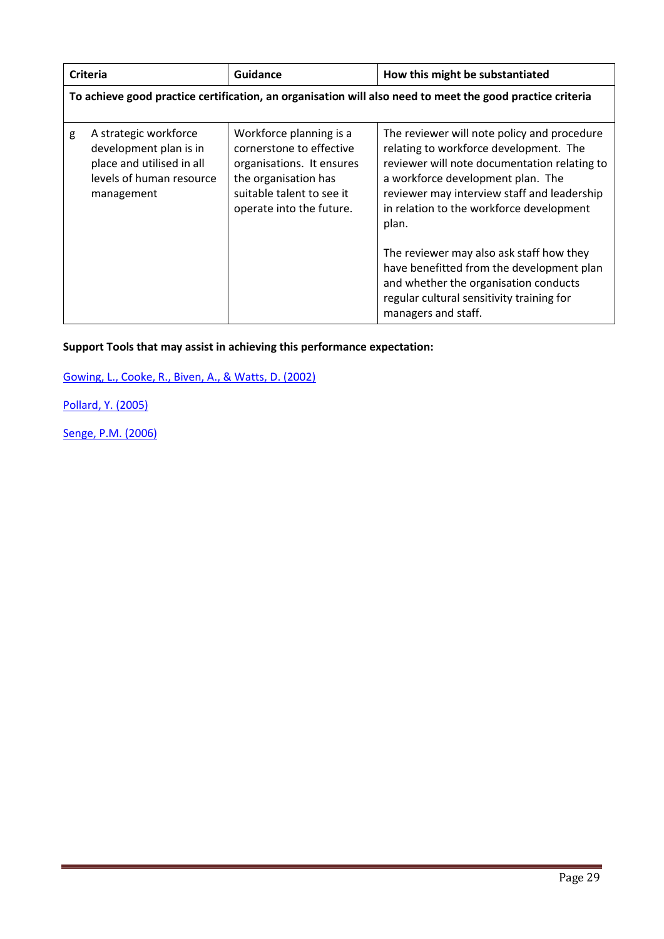|   | <b>Criteria</b>                                                                                                        | <b>Guidance</b>                                                                                                                                                   | How this might be substantiated                                                                                                                                                                                                                                                |
|---|------------------------------------------------------------------------------------------------------------------------|-------------------------------------------------------------------------------------------------------------------------------------------------------------------|--------------------------------------------------------------------------------------------------------------------------------------------------------------------------------------------------------------------------------------------------------------------------------|
|   | To achieve good practice certification, an organisation will also need to meet the good practice criteria              |                                                                                                                                                                   |                                                                                                                                                                                                                                                                                |
| g | A strategic workforce<br>development plan is in<br>place and utilised in all<br>levels of human resource<br>management | Workforce planning is a<br>cornerstone to effective<br>organisations. It ensures<br>the organisation has<br>suitable talent to see it<br>operate into the future. | The reviewer will note policy and procedure<br>relating to workforce development. The<br>reviewer will note documentation relating to<br>a workforce development plan. The<br>reviewer may interview staff and leadership<br>in relation to the workforce development<br>plan. |
|   |                                                                                                                        |                                                                                                                                                                   | The reviewer may also ask staff how they<br>have benefitted from the development plan<br>and whether the organisation conducts<br>regular cultural sensitivity training for<br>managers and staff.                                                                             |

Gowing, L., Cooke, R., Biven, A., & Watts, D. (2002)

Pollard, Y. (2005)

Senge, P.M. (2006)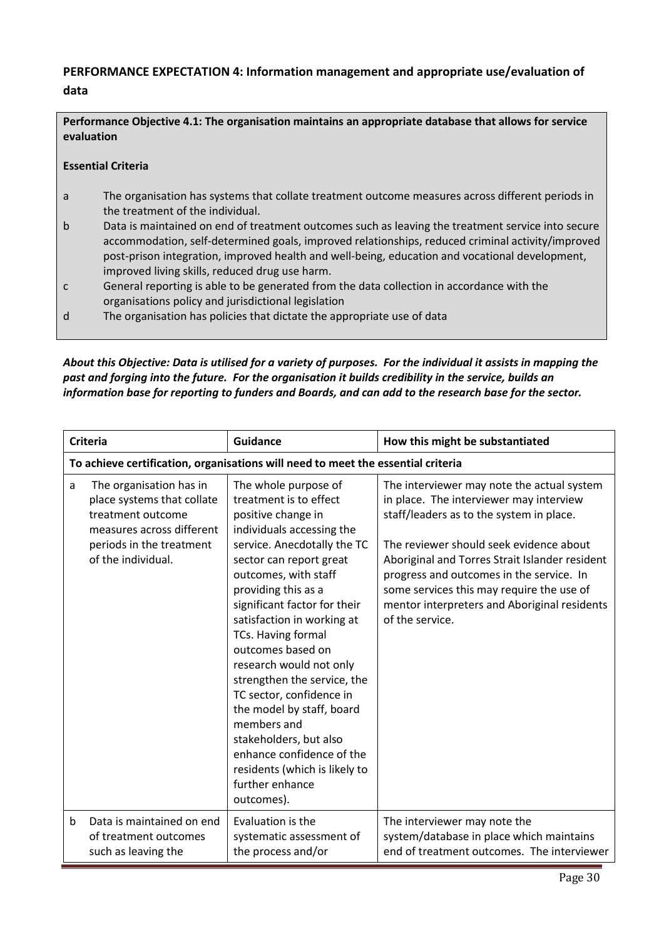# PERFORMANCE EXPECTATION 4: Information management and appropriate use/evaluation of data

## Performance Objective 4.1: The organisation maintains an appropriate database that allows for service evaluation

## Essential Criteria

- a The organisation has systems that collate treatment outcome measures across different periods in the treatment of the individual.
- b Data is maintained on end of treatment outcomes such as leaving the treatment service into secure accommodation, self-determined goals, improved relationships, reduced criminal activity/improved post-prison integration, improved health and well-being, education and vocational development, improved living skills, reduced drug use harm.
- c General reporting is able to be generated from the data collection in accordance with the organisations policy and jurisdictional legislation
- d The organisation has policies that dictate the appropriate use of data

*About this Objective: Data is utilised for a variety of purposes. For the individual it assists in mapping the past and forging into the future. For the organisation it builds credibility in the service, builds an information base for reporting to funders and Boards, and can add to the research base for the sector.*

|   | <b>Criteria</b>                                                                                                                                           | <b>Guidance</b>                                                                                                                                                                                                                                                                                                                                                                                                                                                                                                                                                                | How this might be substantiated                                                                                                                                                                                                                                                                                                                                                            |
|---|-----------------------------------------------------------------------------------------------------------------------------------------------------------|--------------------------------------------------------------------------------------------------------------------------------------------------------------------------------------------------------------------------------------------------------------------------------------------------------------------------------------------------------------------------------------------------------------------------------------------------------------------------------------------------------------------------------------------------------------------------------|--------------------------------------------------------------------------------------------------------------------------------------------------------------------------------------------------------------------------------------------------------------------------------------------------------------------------------------------------------------------------------------------|
|   |                                                                                                                                                           | To achieve certification, organisations will need to meet the essential criteria                                                                                                                                                                                                                                                                                                                                                                                                                                                                                               |                                                                                                                                                                                                                                                                                                                                                                                            |
| a | The organisation has in<br>place systems that collate<br>treatment outcome<br>measures across different<br>periods in the treatment<br>of the individual. | The whole purpose of<br>treatment is to effect<br>positive change in<br>individuals accessing the<br>service. Anecdotally the TC<br>sector can report great<br>outcomes, with staff<br>providing this as a<br>significant factor for their<br>satisfaction in working at<br>TCs. Having formal<br>outcomes based on<br>research would not only<br>strengthen the service, the<br>TC sector, confidence in<br>the model by staff, board<br>members and<br>stakeholders, but also<br>enhance confidence of the<br>residents (which is likely to<br>further enhance<br>outcomes). | The interviewer may note the actual system<br>in place. The interviewer may interview<br>staff/leaders as to the system in place.<br>The reviewer should seek evidence about<br>Aboriginal and Torres Strait Islander resident<br>progress and outcomes in the service. In<br>some services this may require the use of<br>mentor interpreters and Aboriginal residents<br>of the service. |
| b | Data is maintained on end<br>of treatment outcomes<br>such as leaving the                                                                                 | Evaluation is the<br>systematic assessment of<br>the process and/or                                                                                                                                                                                                                                                                                                                                                                                                                                                                                                            | The interviewer may note the<br>system/database in place which maintains<br>end of treatment outcomes. The interviewer                                                                                                                                                                                                                                                                     |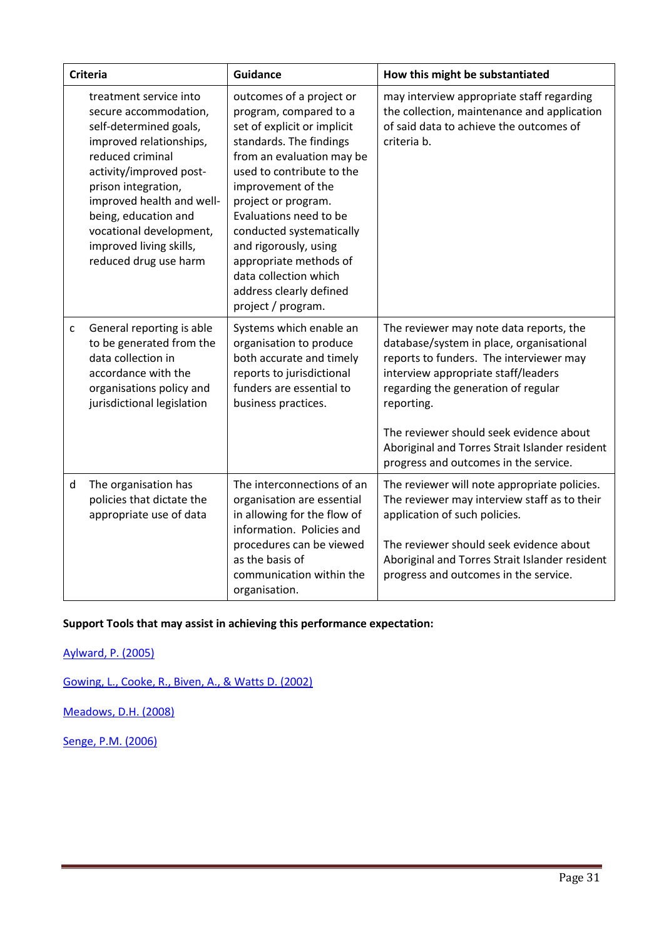|   | <b>Criteria</b>                                                                                                                                                                                                                                                                                                | <b>Guidance</b>                                                                                                                                                                                                                                                                                                                                                                                        | How this might be substantiated                                                                                                                                                                                                                                                                                                                                  |
|---|----------------------------------------------------------------------------------------------------------------------------------------------------------------------------------------------------------------------------------------------------------------------------------------------------------------|--------------------------------------------------------------------------------------------------------------------------------------------------------------------------------------------------------------------------------------------------------------------------------------------------------------------------------------------------------------------------------------------------------|------------------------------------------------------------------------------------------------------------------------------------------------------------------------------------------------------------------------------------------------------------------------------------------------------------------------------------------------------------------|
|   | treatment service into<br>secure accommodation,<br>self-determined goals,<br>improved relationships,<br>reduced criminal<br>activity/improved post-<br>prison integration,<br>improved health and well-<br>being, education and<br>vocational development,<br>improved living skills,<br>reduced drug use harm | outcomes of a project or<br>program, compared to a<br>set of explicit or implicit<br>standards. The findings<br>from an evaluation may be<br>used to contribute to the<br>improvement of the<br>project or program.<br>Evaluations need to be<br>conducted systematically<br>and rigorously, using<br>appropriate methods of<br>data collection which<br>address clearly defined<br>project / program. | may interview appropriate staff regarding<br>the collection, maintenance and application<br>of said data to achieve the outcomes of<br>criteria b.                                                                                                                                                                                                               |
| C | General reporting is able<br>to be generated from the<br>data collection in<br>accordance with the<br>organisations policy and<br>jurisdictional legislation                                                                                                                                                   | Systems which enable an<br>organisation to produce<br>both accurate and timely<br>reports to jurisdictional<br>funders are essential to<br>business practices.                                                                                                                                                                                                                                         | The reviewer may note data reports, the<br>database/system in place, organisational<br>reports to funders. The interviewer may<br>interview appropriate staff/leaders<br>regarding the generation of regular<br>reporting.<br>The reviewer should seek evidence about<br>Aboriginal and Torres Strait Islander resident<br>progress and outcomes in the service. |
| d | The organisation has<br>policies that dictate the<br>appropriate use of data                                                                                                                                                                                                                                   | The interconnections of an<br>organisation are essential<br>in allowing for the flow of<br>information. Policies and<br>procedures can be viewed<br>as the basis of<br>communication within the<br>organisation.                                                                                                                                                                                       | The reviewer will note appropriate policies.<br>The reviewer may interview staff as to their<br>application of such policies.<br>The reviewer should seek evidence about<br>Aboriginal and Torres Strait Islander resident<br>progress and outcomes in the service.                                                                                              |

Aylward, P. (2005)

Gowing, L., Cooke, R., Biven, A., & Watts D. (2002)

Meadows, D.H. (2008)

Senge, P.M. (2006)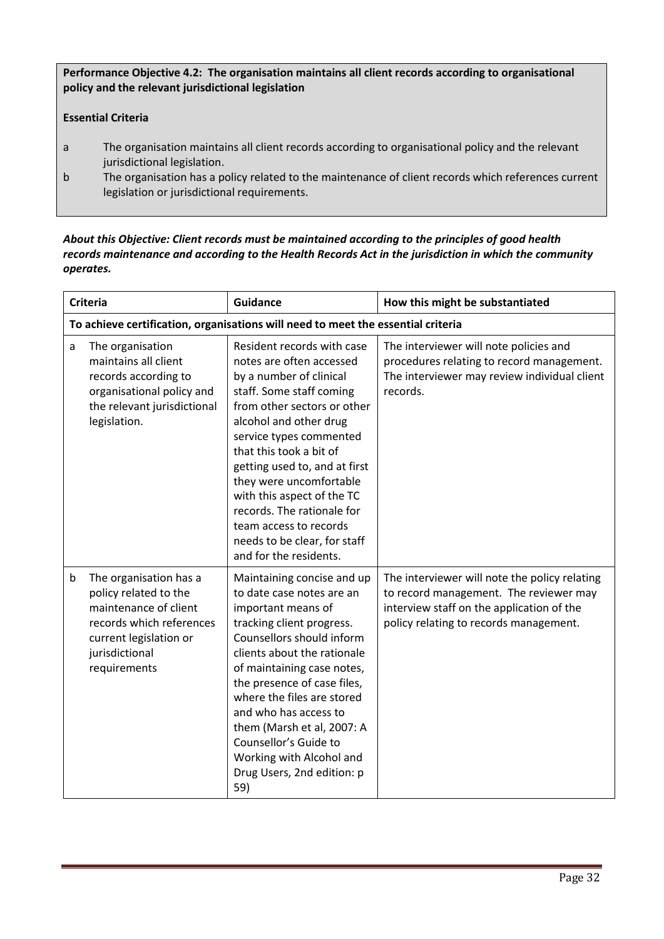Performance Objective 4.2: The organisation maintains all client records according to organisational policy and the relevant jurisdictional legislation

# Essential Criteria

- a The organisation maintains all client records according to organisational policy and the relevant jurisdictional legislation.
- b The organisation has a policy related to the maintenance of client records which references current legislation or jurisdictional requirements.

## *About this Objective: Client records must be maintained according to the principles of good health records maintenance and according to the Health Records Act in the jurisdiction in which the community operates.*

|   | <b>Criteria</b>                                                                                                                                                  | <b>Guidance</b>                                                                                                                                                                                                                                                                                                                                                                                                                          | How this might be substantiated                                                                                                                                                |
|---|------------------------------------------------------------------------------------------------------------------------------------------------------------------|------------------------------------------------------------------------------------------------------------------------------------------------------------------------------------------------------------------------------------------------------------------------------------------------------------------------------------------------------------------------------------------------------------------------------------------|--------------------------------------------------------------------------------------------------------------------------------------------------------------------------------|
|   |                                                                                                                                                                  | To achieve certification, organisations will need to meet the essential criteria                                                                                                                                                                                                                                                                                                                                                         |                                                                                                                                                                                |
| a | The organisation<br>maintains all client<br>records according to<br>organisational policy and<br>the relevant jurisdictional<br>legislation.                     | Resident records with case<br>notes are often accessed<br>by a number of clinical<br>staff. Some staff coming<br>from other sectors or other<br>alcohol and other drug<br>service types commented<br>that this took a bit of<br>getting used to, and at first<br>they were uncomfortable<br>with this aspect of the TC<br>records. The rationale for<br>team access to records<br>needs to be clear, for staff<br>and for the residents. | The interviewer will note policies and<br>procedures relating to record management.<br>The interviewer may review individual client<br>records.                                |
| b | The organisation has a<br>policy related to the<br>maintenance of client<br>records which references<br>current legislation or<br>jurisdictional<br>requirements | Maintaining concise and up<br>to date case notes are an<br>important means of<br>tracking client progress.<br>Counsellors should inform<br>clients about the rationale<br>of maintaining case notes,<br>the presence of case files,<br>where the files are stored<br>and who has access to<br>them (Marsh et al, 2007: A<br>Counsellor's Guide to<br>Working with Alcohol and<br>Drug Users, 2nd edition: p<br>59)                       | The interviewer will note the policy relating<br>to record management. The reviewer may<br>interview staff on the application of the<br>policy relating to records management. |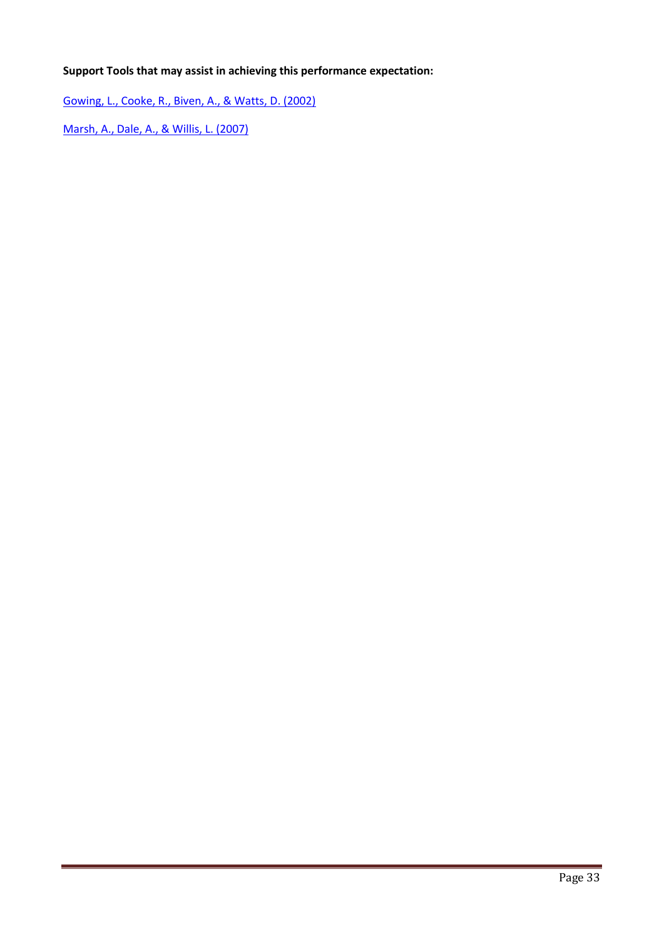Gowing, L., Cooke, R., Biven, A., & Watts, D. (2002)

Marsh, A., Dale, A., & Willis, L. (2007)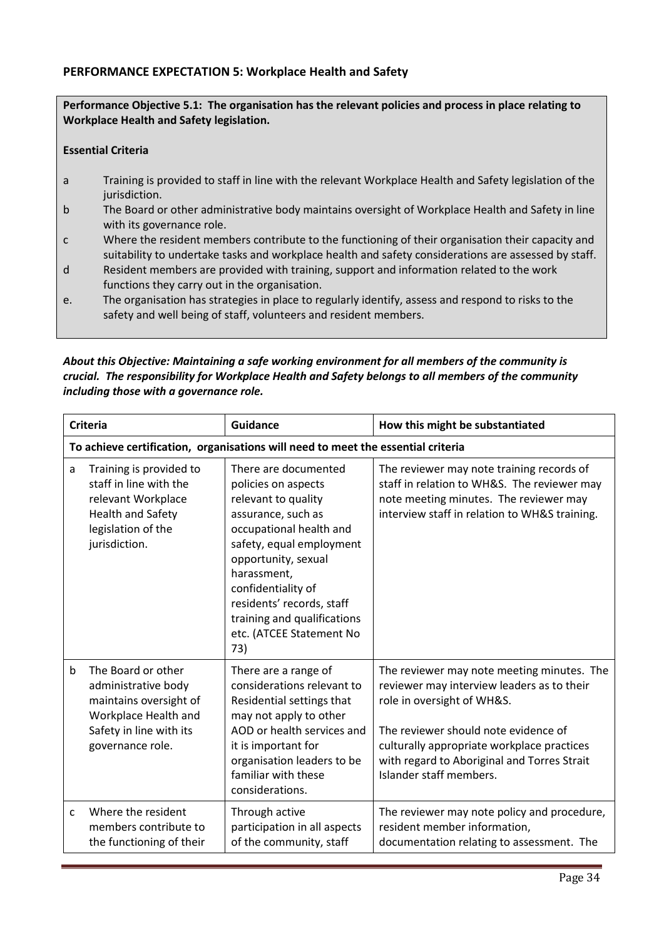## PERFORMANCE EXPECTATION 5: Workplace Health and Safety

Performance Objective 5.1: The organisation has the relevant policies and process in place relating to Workplace Health and Safety legislation.

#### Essential Criteria

- a Training is provided to staff in line with the relevant Workplace Health and Safety legislation of the jurisdiction.
- b The Board or other administrative body maintains oversight of Workplace Health and Safety in line with its governance role.
- c Where the resident members contribute to the functioning of their organisation their capacity and suitability to undertake tasks and workplace health and safety considerations are assessed by staff.
- d Resident members are provided with training, support and information related to the work functions they carry out in the organisation.
- e. The organisation has strategies in place to regularly identify, assess and respond to risks to the safety and well being of staff, volunteers and resident members.

#### *About this Objective: Maintaining a safe working environment for all members of the community is crucial. The responsibility for Workplace Health and Safety belongs to all members of the community including those with a governance role.*

|             | <b>Criteria</b>                                                                                                                            | Guidance                                                                                                                                                                                                                                                                                                   | How this might be substantiated                                                                                                                                                                                                                                                        |
|-------------|--------------------------------------------------------------------------------------------------------------------------------------------|------------------------------------------------------------------------------------------------------------------------------------------------------------------------------------------------------------------------------------------------------------------------------------------------------------|----------------------------------------------------------------------------------------------------------------------------------------------------------------------------------------------------------------------------------------------------------------------------------------|
|             | To achieve certification, organisations will need to meet the essential criteria                                                           |                                                                                                                                                                                                                                                                                                            |                                                                                                                                                                                                                                                                                        |
| a           | Training is provided to<br>staff in line with the<br>relevant Workplace<br><b>Health and Safety</b><br>legislation of the<br>jurisdiction. | There are documented<br>policies on aspects<br>relevant to quality<br>assurance, such as<br>occupational health and<br>safety, equal employment<br>opportunity, sexual<br>harassment,<br>confidentiality of<br>residents' records, staff<br>training and qualifications<br>etc. (ATCEE Statement No<br>73) | The reviewer may note training records of<br>staff in relation to WH&S. The reviewer may<br>note meeting minutes. The reviewer may<br>interview staff in relation to WH&S training.                                                                                                    |
| $\mathbf b$ | The Board or other<br>administrative body<br>maintains oversight of<br>Workplace Health and<br>Safety in line with its<br>governance role. | There are a range of<br>considerations relevant to<br>Residential settings that<br>may not apply to other<br>AOD or health services and<br>it is important for<br>organisation leaders to be<br>familiar with these<br>considerations.                                                                     | The reviewer may note meeting minutes. The<br>reviewer may interview leaders as to their<br>role in oversight of WH&S.<br>The reviewer should note evidence of<br>culturally appropriate workplace practices<br>with regard to Aboriginal and Torres Strait<br>Islander staff members. |
| C           | Where the resident<br>members contribute to<br>the functioning of their                                                                    | Through active<br>participation in all aspects<br>of the community, staff                                                                                                                                                                                                                                  | The reviewer may note policy and procedure,<br>resident member information,<br>documentation relating to assessment. The                                                                                                                                                               |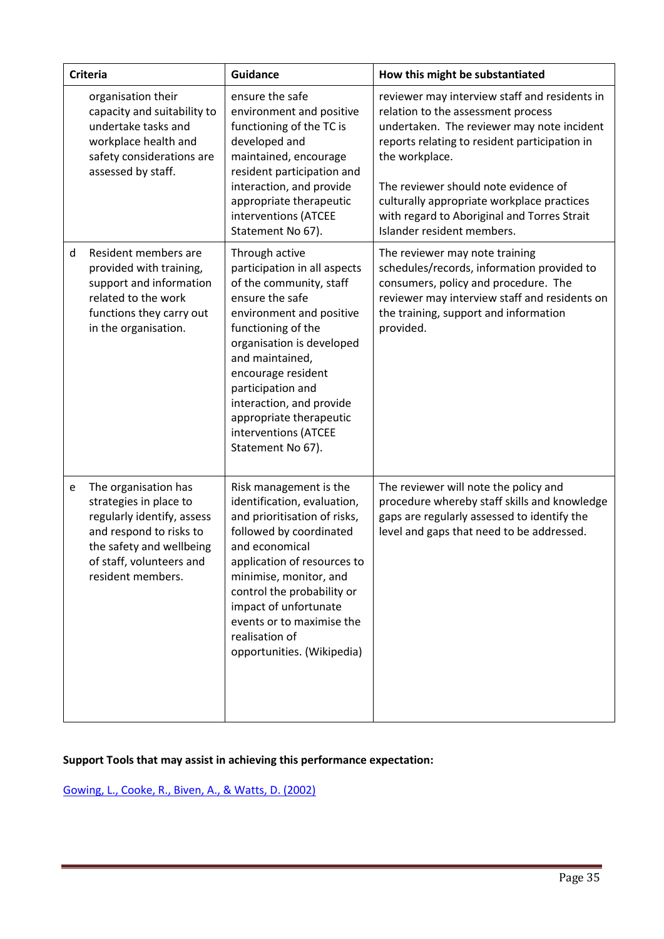|   | <b>Criteria</b>                                                                                                                                                                      | <b>Guidance</b>                                                                                                                                                                                                                                                                                                                               | How this might be substantiated                                                                                                                                                                                                                                                                                                                                         |
|---|--------------------------------------------------------------------------------------------------------------------------------------------------------------------------------------|-----------------------------------------------------------------------------------------------------------------------------------------------------------------------------------------------------------------------------------------------------------------------------------------------------------------------------------------------|-------------------------------------------------------------------------------------------------------------------------------------------------------------------------------------------------------------------------------------------------------------------------------------------------------------------------------------------------------------------------|
|   | organisation their<br>capacity and suitability to<br>undertake tasks and<br>workplace health and<br>safety considerations are<br>assessed by staff.                                  | ensure the safe<br>environment and positive<br>functioning of the TC is<br>developed and<br>maintained, encourage<br>resident participation and<br>interaction, and provide<br>appropriate therapeutic<br>interventions (ATCEE<br>Statement No 67).                                                                                           | reviewer may interview staff and residents in<br>relation to the assessment process<br>undertaken. The reviewer may note incident<br>reports relating to resident participation in<br>the workplace.<br>The reviewer should note evidence of<br>culturally appropriate workplace practices<br>with regard to Aboriginal and Torres Strait<br>Islander resident members. |
| d | Resident members are<br>provided with training,<br>support and information<br>related to the work<br>functions they carry out<br>in the organisation.                                | Through active<br>participation in all aspects<br>of the community, staff<br>ensure the safe<br>environment and positive<br>functioning of the<br>organisation is developed<br>and maintained,<br>encourage resident<br>participation and<br>interaction, and provide<br>appropriate therapeutic<br>interventions (ATCEE<br>Statement No 67). | The reviewer may note training<br>schedules/records, information provided to<br>consumers, policy and procedure. The<br>reviewer may interview staff and residents on<br>the training, support and information<br>provided.                                                                                                                                             |
| e | The organisation has<br>strategies in place to<br>regularly identify, assess<br>and respond to risks to<br>the safety and wellbeing<br>of staff, volunteers and<br>resident members. | Risk management is the<br>identification, evaluation,<br>and prioritisation of risks,<br>followed by coordinated<br>and economical<br>application of resources to<br>minimise, monitor, and<br>control the probability or<br>impact of unfortunate<br>events or to maximise the<br>realisation of<br>opportunities. (Wikipedia)               | The reviewer will note the policy and<br>procedure whereby staff skills and knowledge<br>gaps are regularly assessed to identify the<br>level and gaps that need to be addressed.                                                                                                                                                                                       |

Gowing, L., Cooke, R., Biven, A., & Watts, D. (2002)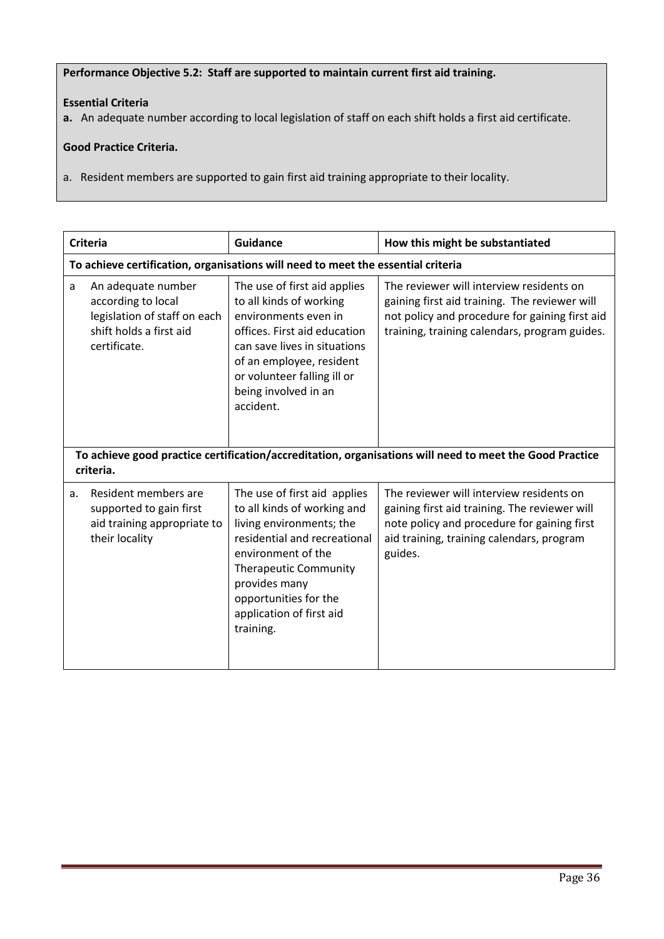#### Performance Objective 5.2: Staff are supported to maintain current first aid training.

## Essential Criteria

a. An adequate number according to local legislation of staff on each shift holds a first aid certificate.

## Good Practice Criteria.

a. Resident members are supported to gain first aid training appropriate to their locality.

|    | <b>Criteria</b>                                                                                                     | <b>Guidance</b>                                                                                                                                                                                                                                                  | How this might be substantiated                                                                                                                                                                  |
|----|---------------------------------------------------------------------------------------------------------------------|------------------------------------------------------------------------------------------------------------------------------------------------------------------------------------------------------------------------------------------------------------------|--------------------------------------------------------------------------------------------------------------------------------------------------------------------------------------------------|
|    |                                                                                                                     | To achieve certification, organisations will need to meet the essential criteria                                                                                                                                                                                 |                                                                                                                                                                                                  |
| a  | An adequate number<br>according to local<br>legislation of staff on each<br>shift holds a first aid<br>certificate. | The use of first aid applies<br>to all kinds of working<br>environments even in<br>offices. First aid education<br>can save lives in situations<br>of an employee, resident<br>or volunteer falling ill or<br>being involved in an<br>accident.                  | The reviewer will interview residents on<br>gaining first aid training. The reviewer will<br>not policy and procedure for gaining first aid<br>training, training calendars, program guides.     |
|    | criteria.                                                                                                           |                                                                                                                                                                                                                                                                  | To achieve good practice certification/accreditation, organisations will need to meet the Good Practice                                                                                          |
| a. | Resident members are<br>supported to gain first<br>aid training appropriate to<br>their locality                    | The use of first aid applies<br>to all kinds of working and<br>living environments; the<br>residential and recreational<br>environment of the<br><b>Therapeutic Community</b><br>provides many<br>opportunities for the<br>application of first aid<br>training. | The reviewer will interview residents on<br>gaining first aid training. The reviewer will<br>note policy and procedure for gaining first<br>aid training, training calendars, program<br>guides. |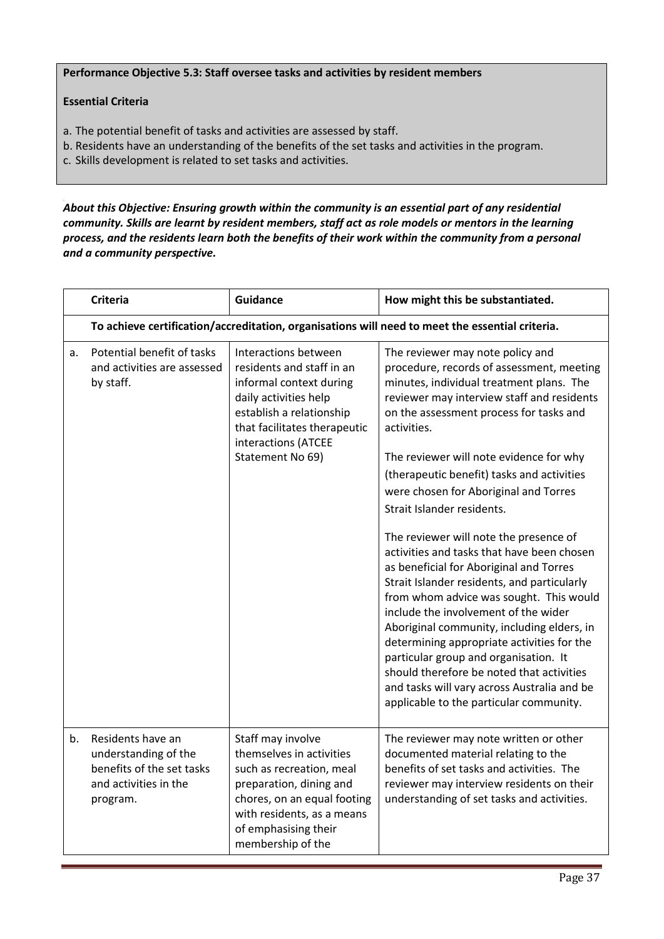Performance Objective 5.3: Staff oversee tasks and activities by resident members

# Essential Criteria

- a. The potential benefit of tasks and activities are assessed by staff.
- b. Residents have an understanding of the benefits of the set tasks and activities in the program.
- c. Skills development is related to set tasks and activities.

*About this Objective: Ensuring growth within the community is an essential part of any residential community. Skills are learnt by resident members, staff act as role models or mentors in the learning process, and the residents learn both the benefits of their work within the community from a personal and a community perspective.* 

|    | <b>Criteria</b>                                                                                             | <b>Guidance</b>                                                                                                                                                                                                | How might this be substantiated.                                                                                                                                                                                                                                                                                                                                                                                                                                                                                                                                                                                                                                                                                                                                                                                                                                                                                                                   |
|----|-------------------------------------------------------------------------------------------------------------|----------------------------------------------------------------------------------------------------------------------------------------------------------------------------------------------------------------|----------------------------------------------------------------------------------------------------------------------------------------------------------------------------------------------------------------------------------------------------------------------------------------------------------------------------------------------------------------------------------------------------------------------------------------------------------------------------------------------------------------------------------------------------------------------------------------------------------------------------------------------------------------------------------------------------------------------------------------------------------------------------------------------------------------------------------------------------------------------------------------------------------------------------------------------------|
|    |                                                                                                             |                                                                                                                                                                                                                | To achieve certification/accreditation, organisations will need to meet the essential criteria.                                                                                                                                                                                                                                                                                                                                                                                                                                                                                                                                                                                                                                                                                                                                                                                                                                                    |
| a. | Potential benefit of tasks<br>and activities are assessed<br>by staff.                                      | Interactions between<br>residents and staff in an<br>informal context during<br>daily activities help<br>establish a relationship<br>that facilitates therapeutic<br>interactions (ATCEE<br>Statement No 69)   | The reviewer may note policy and<br>procedure, records of assessment, meeting<br>minutes, individual treatment plans. The<br>reviewer may interview staff and residents<br>on the assessment process for tasks and<br>activities.<br>The reviewer will note evidence for why<br>(therapeutic benefit) tasks and activities<br>were chosen for Aboriginal and Torres<br>Strait Islander residents.<br>The reviewer will note the presence of<br>activities and tasks that have been chosen<br>as beneficial for Aboriginal and Torres<br>Strait Islander residents, and particularly<br>from whom advice was sought. This would<br>include the involvement of the wider<br>Aboriginal community, including elders, in<br>determining appropriate activities for the<br>particular group and organisation. It<br>should therefore be noted that activities<br>and tasks will vary across Australia and be<br>applicable to the particular community. |
| b. | Residents have an<br>understanding of the<br>benefits of the set tasks<br>and activities in the<br>program. | Staff may involve<br>themselves in activities<br>such as recreation, meal<br>preparation, dining and<br>chores, on an equal footing<br>with residents, as a means<br>of emphasising their<br>membership of the | The reviewer may note written or other<br>documented material relating to the<br>benefits of set tasks and activities. The<br>reviewer may interview residents on their<br>understanding of set tasks and activities.                                                                                                                                                                                                                                                                                                                                                                                                                                                                                                                                                                                                                                                                                                                              |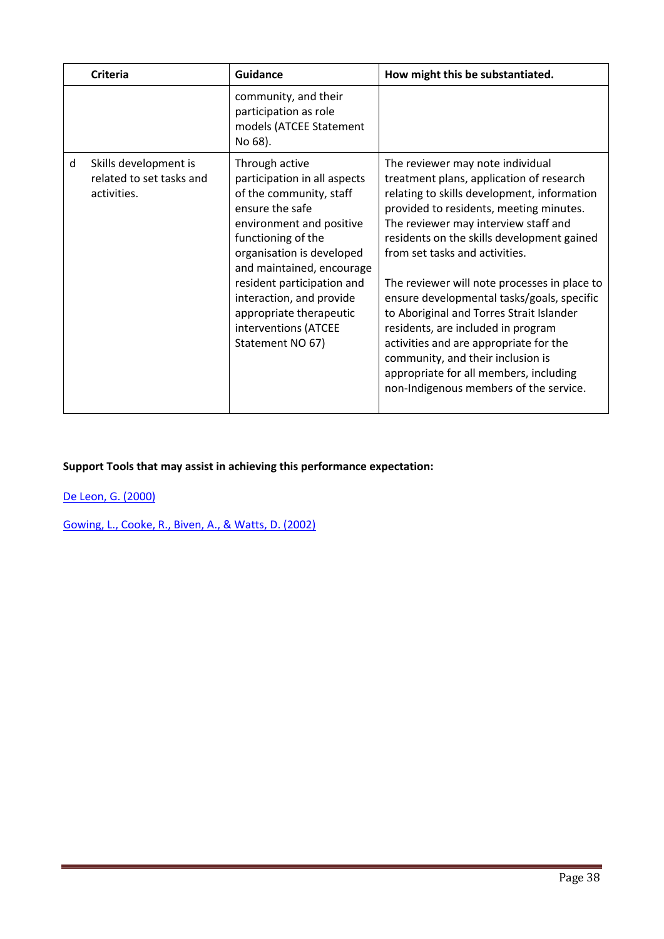|   | <b>Criteria</b>                                                  | <b>Guidance</b>                                                                                                                                                                                                                                                                                                                           | How might this be substantiated.                                                                                                                                                                                                                                                                                                                                                                                                                                                                                                                                                                                                                  |
|---|------------------------------------------------------------------|-------------------------------------------------------------------------------------------------------------------------------------------------------------------------------------------------------------------------------------------------------------------------------------------------------------------------------------------|---------------------------------------------------------------------------------------------------------------------------------------------------------------------------------------------------------------------------------------------------------------------------------------------------------------------------------------------------------------------------------------------------------------------------------------------------------------------------------------------------------------------------------------------------------------------------------------------------------------------------------------------------|
|   |                                                                  | community, and their<br>participation as role<br>models (ATCEE Statement<br>No 68).                                                                                                                                                                                                                                                       |                                                                                                                                                                                                                                                                                                                                                                                                                                                                                                                                                                                                                                                   |
| d | Skills development is<br>related to set tasks and<br>activities. | Through active<br>participation in all aspects<br>of the community, staff<br>ensure the safe<br>environment and positive<br>functioning of the<br>organisation is developed<br>and maintained, encourage<br>resident participation and<br>interaction, and provide<br>appropriate therapeutic<br>interventions (ATCEE<br>Statement NO 67) | The reviewer may note individual<br>treatment plans, application of research<br>relating to skills development, information<br>provided to residents, meeting minutes.<br>The reviewer may interview staff and<br>residents on the skills development gained<br>from set tasks and activities.<br>The reviewer will note processes in place to<br>ensure developmental tasks/goals, specific<br>to Aboriginal and Torres Strait Islander<br>residents, are included in program<br>activities and are appropriate for the<br>community, and their inclusion is<br>appropriate for all members, including<br>non-Indigenous members of the service. |

De Leon, G. (2000)

Gowing, L., Cooke, R., Biven, A., & Watts, D. (2002)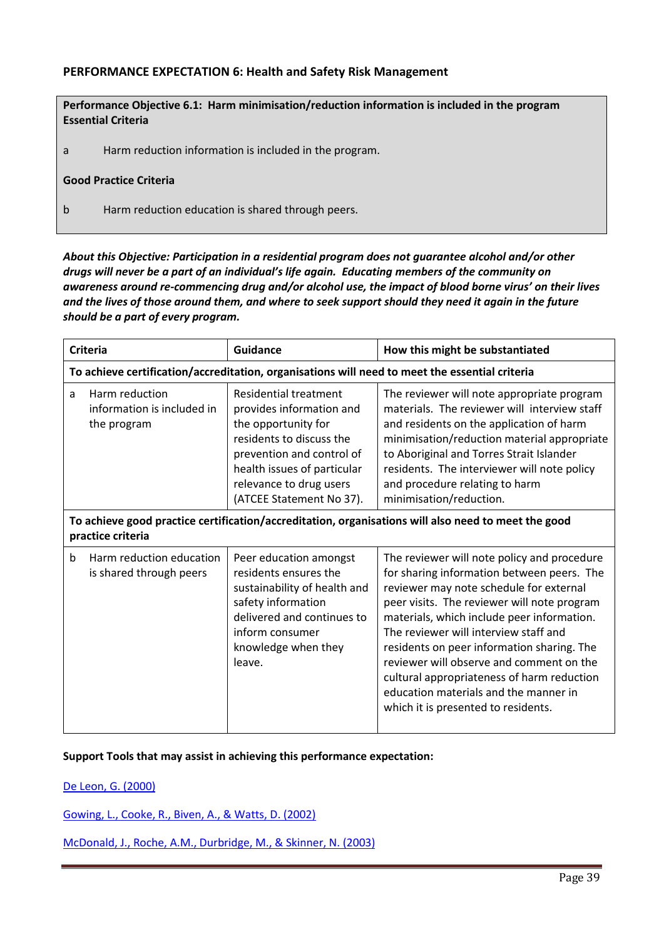# PERFORMANCE EXPECTATION 6: Health and Safety Risk Management

| Performance Objective 6.1: Harm minimisation/reduction information is included in the program<br><b>Essential Criteria</b> |                                                        |  |
|----------------------------------------------------------------------------------------------------------------------------|--------------------------------------------------------|--|
| a                                                                                                                          | Harm reduction information is included in the program. |  |
| <b>Good Practice Criteria</b>                                                                                              |                                                        |  |
| Harm reduction education is shared through peers.<br>b                                                                     |                                                        |  |

*About this Objective: Participation in a residential program does not guarantee alcohol and/or other drugs will never be a part of an individual's life again. Educating members of the community on awareness around re-commencing drug and/or alcohol use, the impact of blood borne virus' on their lives and the lives of those around them, and where to seek support should they need it again in the future should be a part of every program.*

|    | <b>Criteria</b>                                                                                | <b>Guidance</b>                                                                                                                                                                                                         | How this might be substantiated                                                                                                                                                                                                                                                                                                                                                                                                                                                                    |
|----|------------------------------------------------------------------------------------------------|-------------------------------------------------------------------------------------------------------------------------------------------------------------------------------------------------------------------------|----------------------------------------------------------------------------------------------------------------------------------------------------------------------------------------------------------------------------------------------------------------------------------------------------------------------------------------------------------------------------------------------------------------------------------------------------------------------------------------------------|
|    | To achieve certification/accreditation, organisations will need to meet the essential criteria |                                                                                                                                                                                                                         |                                                                                                                                                                                                                                                                                                                                                                                                                                                                                                    |
| a  | Harm reduction<br>information is included in<br>the program                                    | Residential treatment<br>provides information and<br>the opportunity for<br>residents to discuss the<br>prevention and control of<br>health issues of particular<br>relevance to drug users<br>(ATCEE Statement No 37). | The reviewer will note appropriate program<br>materials. The reviewer will interview staff<br>and residents on the application of harm<br>minimisation/reduction material appropriate<br>to Aboriginal and Torres Strait Islander<br>residents. The interviewer will note policy<br>and procedure relating to harm<br>minimisation/reduction.                                                                                                                                                      |
|    | practice criteria                                                                              |                                                                                                                                                                                                                         | To achieve good practice certification/accreditation, organisations will also need to meet the good                                                                                                                                                                                                                                                                                                                                                                                                |
| b. | Harm reduction education<br>is shared through peers                                            | Peer education amongst<br>residents ensures the<br>sustainability of health and<br>safety information<br>delivered and continues to<br>inform consumer<br>knowledge when they<br>leave.                                 | The reviewer will note policy and procedure<br>for sharing information between peers. The<br>reviewer may note schedule for external<br>peer visits. The reviewer will note program<br>materials, which include peer information.<br>The reviewer will interview staff and<br>residents on peer information sharing. The<br>reviewer will observe and comment on the<br>cultural appropriateness of harm reduction<br>education materials and the manner in<br>which it is presented to residents. |

#### Support Tools that may assist in achieving this performance expectation:

De Leon, G. (2000)

Gowing, L., Cooke, R., Biven, A., & Watts, D. (2002)

McDonald, J., Roche, A.M., Durbridge, M., & Skinner, N. (2003)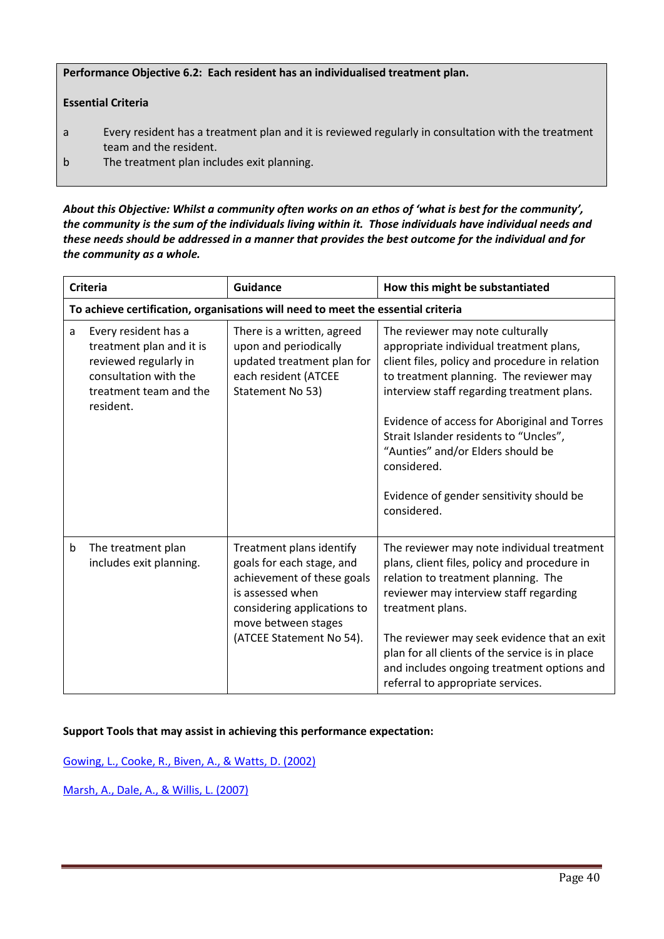#### Performance Objective 6.2: Each resident has an individualised treatment plan.

#### Essential Criteria

- a Every resident has a treatment plan and it is reviewed regularly in consultation with the treatment team and the resident.
- b The treatment plan includes exit planning.

*About this Objective: Whilst a community often works on an ethos of 'what is best for the community', the community is the sum of the individuals living within it. Those individuals have individual needs and these needs should be addressed in a manner that provides the best outcome for the individual and for the community as a whole.*

|   | <b>Criteria</b>                                                                                                                           | Guidance                                                                                                                                                                                  | How this might be substantiated                                                                                                                                                                                                                                                                                                                                                                                                 |
|---|-------------------------------------------------------------------------------------------------------------------------------------------|-------------------------------------------------------------------------------------------------------------------------------------------------------------------------------------------|---------------------------------------------------------------------------------------------------------------------------------------------------------------------------------------------------------------------------------------------------------------------------------------------------------------------------------------------------------------------------------------------------------------------------------|
|   |                                                                                                                                           | To achieve certification, organisations will need to meet the essential criteria                                                                                                          |                                                                                                                                                                                                                                                                                                                                                                                                                                 |
| a | Every resident has a<br>treatment plan and it is<br>reviewed regularly in<br>consultation with the<br>treatment team and the<br>resident. | There is a written, agreed<br>upon and periodically<br>updated treatment plan for<br>each resident (ATCEE<br>Statement No 53)                                                             | The reviewer may note culturally<br>appropriate individual treatment plans,<br>client files, policy and procedure in relation<br>to treatment planning. The reviewer may<br>interview staff regarding treatment plans.<br>Evidence of access for Aboriginal and Torres<br>Strait Islander residents to "Uncles",<br>"Aunties" and/or Elders should be<br>considered.<br>Evidence of gender sensitivity should be<br>considered. |
| b | The treatment plan<br>includes exit planning.                                                                                             | Treatment plans identify<br>goals for each stage, and<br>achievement of these goals<br>is assessed when<br>considering applications to<br>move between stages<br>(ATCEE Statement No 54). | The reviewer may note individual treatment<br>plans, client files, policy and procedure in<br>relation to treatment planning. The<br>reviewer may interview staff regarding<br>treatment plans.<br>The reviewer may seek evidence that an exit<br>plan for all clients of the service is in place<br>and includes ongoing treatment options and<br>referral to appropriate services.                                            |

#### Support Tools that may assist in achieving this performance expectation:

Gowing, L., Cooke, R., Biven, A., & Watts, D. (2002)

Marsh, A., Dale, A., & Willis, L. (2007)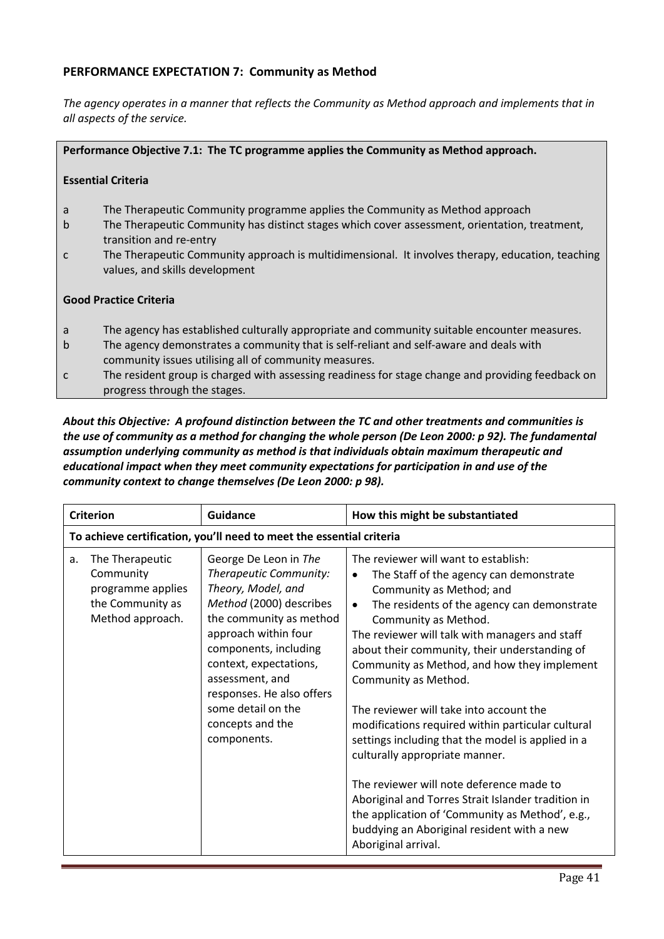# PERFORMANCE EXPECTATION 7: Community as Method

*The agency operates in a manner that reflects the Community as Method approach and implements that in all aspects of the service.*

#### Performance Objective 7.1: The TC programme applies the Community as Method approach.

#### Essential Criteria

- a The Therapeutic Community programme applies the Community as Method approach
- b The Therapeutic Community has distinct stages which cover assessment, orientation, treatment, transition and re-entry
- c The Therapeutic Community approach is multidimensional. It involves therapy, education, teaching values, and skills development

#### Good Practice Criteria

- a The agency has established culturally appropriate and community suitable encounter measures.
- b The agency demonstrates a community that is self-reliant and self-aware and deals with community issues utilising all of community measures.
- c The resident group is charged with assessing readiness for stage change and providing feedback on progress through the stages.

#### *About this Objective: A profound distinction between the TC and other treatments and communities is the use of community as a method for changing the whole person (De Leon 2000: p 92). The fundamental assumption underlying community as method is that individuals obtain maximum therapeutic and educational impact when they meet community expectations for participation in and use of the community context to change themselves (De Leon 2000: p 98).*

|    | <b>Criterion</b>                                                                          | <b>Guidance</b>                                                                                                                                                                                                                                                                                                 | How this might be substantiated                                                                                                                                                                                                                                                                                                                                                                                                                                                                                                                                                                                                                                                                                                                                                                         |
|----|-------------------------------------------------------------------------------------------|-----------------------------------------------------------------------------------------------------------------------------------------------------------------------------------------------------------------------------------------------------------------------------------------------------------------|---------------------------------------------------------------------------------------------------------------------------------------------------------------------------------------------------------------------------------------------------------------------------------------------------------------------------------------------------------------------------------------------------------------------------------------------------------------------------------------------------------------------------------------------------------------------------------------------------------------------------------------------------------------------------------------------------------------------------------------------------------------------------------------------------------|
|    |                                                                                           | To achieve certification, you'll need to meet the essential criteria                                                                                                                                                                                                                                            |                                                                                                                                                                                                                                                                                                                                                                                                                                                                                                                                                                                                                                                                                                                                                                                                         |
| a. | The Therapeutic<br>Community<br>programme applies<br>the Community as<br>Method approach. | George De Leon in The<br>Therapeutic Community:<br>Theory, Model, and<br>Method (2000) describes<br>the community as method<br>approach within four<br>components, including<br>context, expectations,<br>assessment, and<br>responses. He also offers<br>some detail on the<br>concepts and the<br>components. | The reviewer will want to establish:<br>The Staff of the agency can demonstrate<br>$\bullet$<br>Community as Method; and<br>The residents of the agency can demonstrate<br>$\bullet$<br>Community as Method.<br>The reviewer will talk with managers and staff<br>about their community, their understanding of<br>Community as Method, and how they implement<br>Community as Method.<br>The reviewer will take into account the<br>modifications required within particular cultural<br>settings including that the model is applied in a<br>culturally appropriate manner.<br>The reviewer will note deference made to<br>Aboriginal and Torres Strait Islander tradition in<br>the application of 'Community as Method', e.g.,<br>buddying an Aboriginal resident with a new<br>Aboriginal arrival. |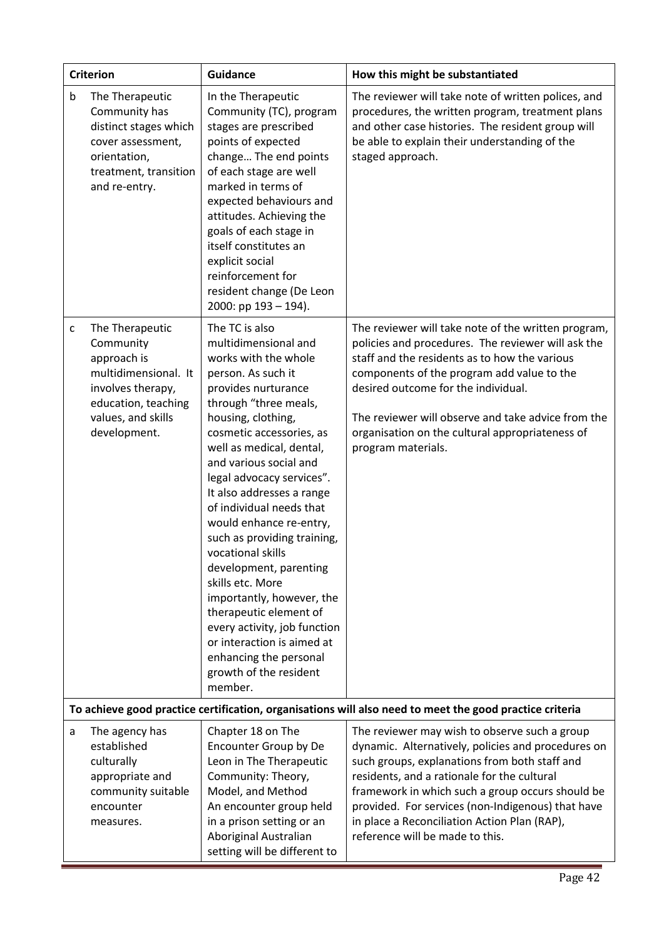|   | <b>Criterion</b>                                                                                                                                      | <b>Guidance</b>                                                                                                                                                                                                                                                                                                                                                                                                                                                                                                                                                                                                                                     | How this might be substantiated                                                                                                                                                                                                                                                                                                                                                                 |
|---|-------------------------------------------------------------------------------------------------------------------------------------------------------|-----------------------------------------------------------------------------------------------------------------------------------------------------------------------------------------------------------------------------------------------------------------------------------------------------------------------------------------------------------------------------------------------------------------------------------------------------------------------------------------------------------------------------------------------------------------------------------------------------------------------------------------------------|-------------------------------------------------------------------------------------------------------------------------------------------------------------------------------------------------------------------------------------------------------------------------------------------------------------------------------------------------------------------------------------------------|
| b | The Therapeutic<br>Community has<br>distinct stages which<br>cover assessment,<br>orientation,<br>treatment, transition<br>and re-entry.              | In the Therapeutic<br>Community (TC), program<br>stages are prescribed<br>points of expected<br>change The end points<br>of each stage are well<br>marked in terms of<br>expected behaviours and<br>attitudes. Achieving the<br>goals of each stage in<br>itself constitutes an<br>explicit social<br>reinforcement for<br>resident change (De Leon<br>2000: pp 193 - 194).                                                                                                                                                                                                                                                                         | The reviewer will take note of written polices, and<br>procedures, the written program, treatment plans<br>and other case histories. The resident group will<br>be able to explain their understanding of the<br>staged approach.                                                                                                                                                               |
| c | The Therapeutic<br>Community<br>approach is<br>multidimensional. It<br>involves therapy,<br>education, teaching<br>values, and skills<br>development. | The TC is also<br>multidimensional and<br>works with the whole<br>person. As such it<br>provides nurturance<br>through "three meals,<br>housing, clothing,<br>cosmetic accessories, as<br>well as medical, dental,<br>and various social and<br>legal advocacy services".<br>It also addresses a range<br>of individual needs that<br>would enhance re-entry,<br>such as providing training,<br>vocational skills<br>development, parenting<br>skills etc. More<br>importantly, however, the<br>therapeutic element of<br>every activity, job function<br>or interaction is aimed at<br>enhancing the personal<br>growth of the resident<br>member. | The reviewer will take note of the written program,<br>policies and procedures. The reviewer will ask the<br>staff and the residents as to how the various<br>components of the program add value to the<br>desired outcome for the individual.<br>The reviewer will observe and take advice from the<br>organisation on the cultural appropriateness of<br>program materials.                  |
|   |                                                                                                                                                       |                                                                                                                                                                                                                                                                                                                                                                                                                                                                                                                                                                                                                                                     | To achieve good practice certification, organisations will also need to meet the good practice criteria                                                                                                                                                                                                                                                                                         |
| a | The agency has<br>established<br>culturally<br>appropriate and<br>community suitable<br>encounter<br>measures.                                        | Chapter 18 on The<br>Encounter Group by De<br>Leon in The Therapeutic<br>Community: Theory,<br>Model, and Method<br>An encounter group held<br>in a prison setting or an<br>Aboriginal Australian<br>setting will be different to                                                                                                                                                                                                                                                                                                                                                                                                                   | The reviewer may wish to observe such a group<br>dynamic. Alternatively, policies and procedures on<br>such groups, explanations from both staff and<br>residents, and a rationale for the cultural<br>framework in which such a group occurs should be<br>provided. For services (non-Indigenous) that have<br>in place a Reconciliation Action Plan (RAP),<br>reference will be made to this. |

Ξ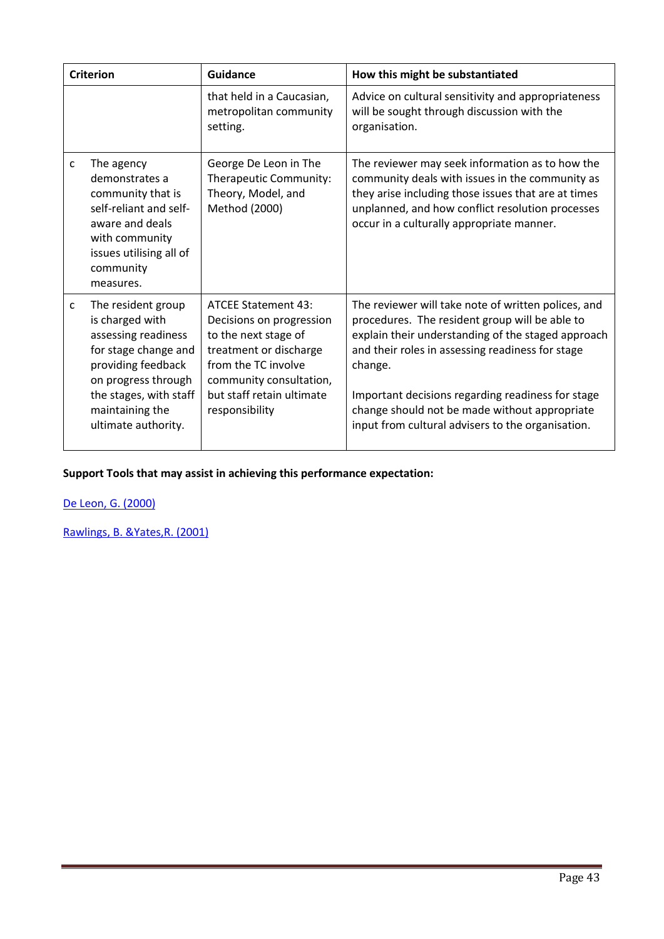|   | <b>Criterion</b>                                                                                                                                                                                      | <b>Guidance</b>                                                                                                                                                                                           | How this might be substantiated                                                                                                                                                                                                                                                                                                                                                       |
|---|-------------------------------------------------------------------------------------------------------------------------------------------------------------------------------------------------------|-----------------------------------------------------------------------------------------------------------------------------------------------------------------------------------------------------------|---------------------------------------------------------------------------------------------------------------------------------------------------------------------------------------------------------------------------------------------------------------------------------------------------------------------------------------------------------------------------------------|
|   |                                                                                                                                                                                                       | that held in a Caucasian,<br>metropolitan community<br>setting.                                                                                                                                           | Advice on cultural sensitivity and appropriateness<br>will be sought through discussion with the<br>organisation.                                                                                                                                                                                                                                                                     |
| C | The agency<br>demonstrates a<br>community that is<br>self-reliant and self-<br>aware and deals<br>with community<br>issues utilising all of<br>community<br>measures.                                 | George De Leon in The<br>Therapeutic Community:<br>Theory, Model, and<br>Method (2000)                                                                                                                    | The reviewer may seek information as to how the<br>community deals with issues in the community as<br>they arise including those issues that are at times<br>unplanned, and how conflict resolution processes<br>occur in a culturally appropriate manner.                                                                                                                            |
| c | The resident group<br>is charged with<br>assessing readiness<br>for stage change and<br>providing feedback<br>on progress through<br>the stages, with staff<br>maintaining the<br>ultimate authority. | <b>ATCEE Statement 43:</b><br>Decisions on progression<br>to the next stage of<br>treatment or discharge<br>from the TC involve<br>community consultation,<br>but staff retain ultimate<br>responsibility | The reviewer will take note of written polices, and<br>procedures. The resident group will be able to<br>explain their understanding of the staged approach<br>and their roles in assessing readiness for stage<br>change.<br>Important decisions regarding readiness for stage<br>change should not be made without appropriate<br>input from cultural advisers to the organisation. |

De Leon, G. (2000)

Rawlings, B. &Yates,R. (2001)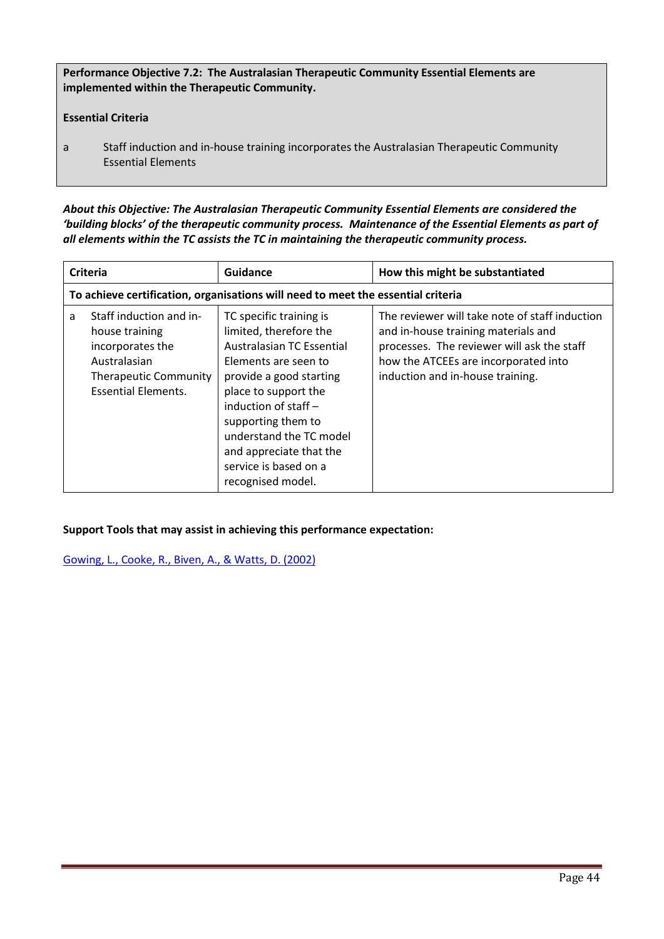Performance Objective 7.2: The Australasian Therapeutic Community Essential Elements are implemented within the Therapeutic Community.

# Essential Criteria

a Staff induction and in-house training incorporates the Australasian Therapeutic Community Essential Elements

*About this Objective: The Australasian Therapeutic Community Essential Elements are considered the 'building blocks' of the therapeutic community process. Maintenance of the Essential Elements as part of all elements within the TC assists the TC in maintaining the therapeutic community process.* 

| <b>Criteria</b> |                                                                                                                                             | Guidance                                                                                                                                                                                                                                                                                                      | How this might be substantiated                                                                                                                                                                                 |
|-----------------|---------------------------------------------------------------------------------------------------------------------------------------------|---------------------------------------------------------------------------------------------------------------------------------------------------------------------------------------------------------------------------------------------------------------------------------------------------------------|-----------------------------------------------------------------------------------------------------------------------------------------------------------------------------------------------------------------|
|                 |                                                                                                                                             | To achieve certification, organisations will need to meet the essential criteria                                                                                                                                                                                                                              |                                                                                                                                                                                                                 |
| a               | Staff induction and in-<br>house training<br>incorporates the<br>Australasian<br><b>Therapeutic Community</b><br><b>Essential Elements.</b> | TC specific training is<br>limited, therefore the<br>Australasian TC Essential<br>Elements are seen to<br>provide a good starting<br>place to support the<br>induction of staff $-$<br>supporting them to<br>understand the TC model<br>and appreciate that the<br>service is based on a<br>recognised model. | The reviewer will take note of staff induction<br>and in-house training materials and<br>processes. The reviewer will ask the staff<br>how the ATCEEs are incorporated into<br>induction and in-house training. |

Support Tools that may assist in achieving this performance expectation:

Gowing, L., Cooke, R., Biven, A., & Watts, D. (2002)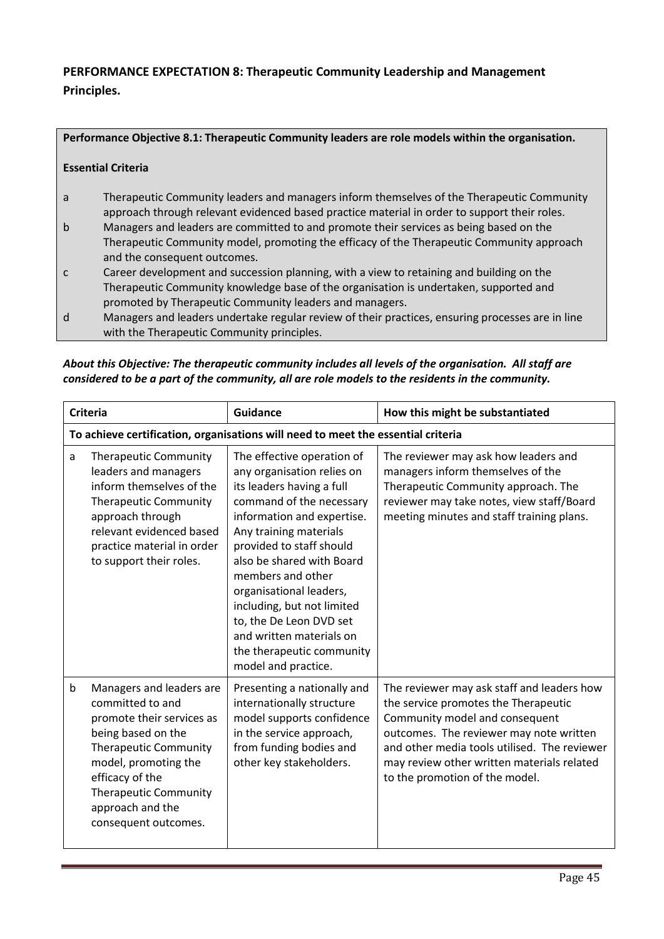# PERFORMANCE EXPECTATION 8: Therapeutic Community Leadership and Management Principles.

Performance Objective 8.1: Therapeutic Community leaders are role models within the organisation.

#### Essential Criteria

- a Therapeutic Community leaders and managers inform themselves of the Therapeutic Community approach through relevant evidenced based practice material in order to support their roles.
- b Managers and leaders are committed to and promote their services as being based on the Therapeutic Community model, promoting the efficacy of the Therapeutic Community approach and the consequent outcomes.
- c Career development and succession planning, with a view to retaining and building on the Therapeutic Community knowledge base of the organisation is undertaken, supported and promoted by Therapeutic Community leaders and managers.
- d Managers and leaders undertake regular review of their practices, ensuring processes are in line with the Therapeutic Community principles.

*About this Objective: The therapeutic community includes all levels of the organisation. All staff are considered to be a part of the community, all are role models to the residents in the community.* 

|             | <b>Criteria</b>                                                                                                                                                                                                                                        | Guidance                                                                                                                                                                                                                                                                                                                                                                                                                    | How this might be substantiated                                                                                                                                                                                                                                                                 |
|-------------|--------------------------------------------------------------------------------------------------------------------------------------------------------------------------------------------------------------------------------------------------------|-----------------------------------------------------------------------------------------------------------------------------------------------------------------------------------------------------------------------------------------------------------------------------------------------------------------------------------------------------------------------------------------------------------------------------|-------------------------------------------------------------------------------------------------------------------------------------------------------------------------------------------------------------------------------------------------------------------------------------------------|
|             | To achieve certification, organisations will need to meet the essential criteria                                                                                                                                                                       |                                                                                                                                                                                                                                                                                                                                                                                                                             |                                                                                                                                                                                                                                                                                                 |
| a           | <b>Therapeutic Community</b><br>leaders and managers<br>inform themselves of the<br><b>Therapeutic Community</b><br>approach through<br>relevant evidenced based<br>practice material in order<br>to support their roles.                              | The effective operation of<br>any organisation relies on<br>its leaders having a full<br>command of the necessary<br>information and expertise.<br>Any training materials<br>provided to staff should<br>also be shared with Board<br>members and other<br>organisational leaders,<br>including, but not limited<br>to, the De Leon DVD set<br>and written materials on<br>the therapeutic community<br>model and practice. | The reviewer may ask how leaders and<br>managers inform themselves of the<br>Therapeutic Community approach. The<br>reviewer may take notes, view staff/Board<br>meeting minutes and staff training plans.                                                                                      |
| $\mathsf b$ | Managers and leaders are<br>committed to and<br>promote their services as<br>being based on the<br><b>Therapeutic Community</b><br>model, promoting the<br>efficacy of the<br><b>Therapeutic Community</b><br>approach and the<br>consequent outcomes. | Presenting a nationally and<br>internationally structure<br>model supports confidence<br>in the service approach,<br>from funding bodies and<br>other key stakeholders.                                                                                                                                                                                                                                                     | The reviewer may ask staff and leaders how<br>the service promotes the Therapeutic<br>Community model and consequent<br>outcomes. The reviewer may note written<br>and other media tools utilised. The reviewer<br>may review other written materials related<br>to the promotion of the model. |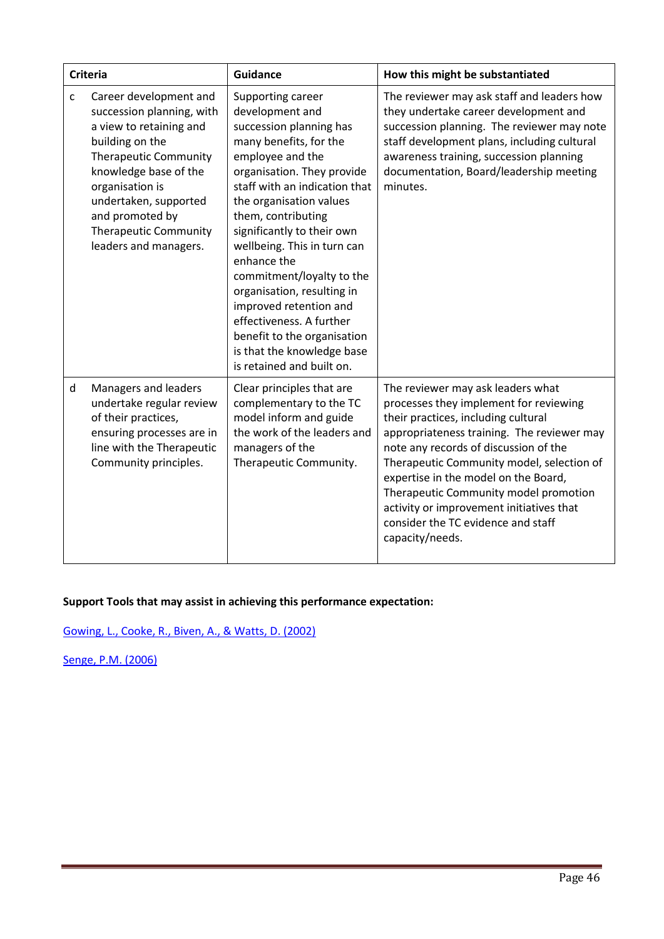| <b>Criteria</b>                                                                                                                                                                                                                                                                                    | <b>Guidance</b>                                                                                                                                                                                                                                                                                                                                                                                                                                                                                                      | How this might be substantiated                                                                                                                                                                                                                                                                                                                                                                                                              |
|----------------------------------------------------------------------------------------------------------------------------------------------------------------------------------------------------------------------------------------------------------------------------------------------------|----------------------------------------------------------------------------------------------------------------------------------------------------------------------------------------------------------------------------------------------------------------------------------------------------------------------------------------------------------------------------------------------------------------------------------------------------------------------------------------------------------------------|----------------------------------------------------------------------------------------------------------------------------------------------------------------------------------------------------------------------------------------------------------------------------------------------------------------------------------------------------------------------------------------------------------------------------------------------|
| Career development and<br>$\mathsf{C}$<br>succession planning, with<br>a view to retaining and<br>building on the<br><b>Therapeutic Community</b><br>knowledge base of the<br>organisation is<br>undertaken, supported<br>and promoted by<br><b>Therapeutic Community</b><br>leaders and managers. | Supporting career<br>development and<br>succession planning has<br>many benefits, for the<br>employee and the<br>organisation. They provide<br>staff with an indication that<br>the organisation values<br>them, contributing<br>significantly to their own<br>wellbeing. This in turn can<br>enhance the<br>commitment/loyalty to the<br>organisation, resulting in<br>improved retention and<br>effectiveness. A further<br>benefit to the organisation<br>is that the knowledge base<br>is retained and built on. | The reviewer may ask staff and leaders how<br>they undertake career development and<br>succession planning. The reviewer may note<br>staff development plans, including cultural<br>awareness training, succession planning<br>documentation, Board/leadership meeting<br>minutes.                                                                                                                                                           |
| d<br>Managers and leaders<br>undertake regular review<br>of their practices,<br>ensuring processes are in<br>line with the Therapeutic<br>Community principles.                                                                                                                                    | Clear principles that are<br>complementary to the TC<br>model inform and guide<br>the work of the leaders and<br>managers of the<br>Therapeutic Community.                                                                                                                                                                                                                                                                                                                                                           | The reviewer may ask leaders what<br>processes they implement for reviewing<br>their practices, including cultural<br>appropriateness training. The reviewer may<br>note any records of discussion of the<br>Therapeutic Community model, selection of<br>expertise in the model on the Board,<br>Therapeutic Community model promotion<br>activity or improvement initiatives that<br>consider the TC evidence and staff<br>capacity/needs. |

Gowing, L., Cooke, R., Biven, A., & Watts, D. (2002)

Senge, P.M. (2006)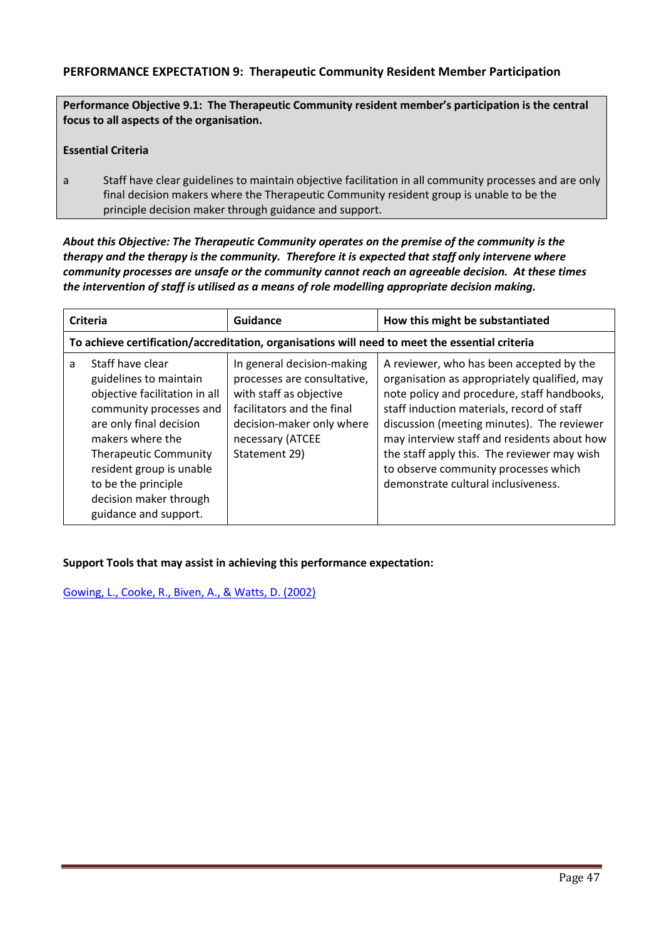# PERFORMANCE EXPECTATION 9: Therapeutic Community Resident Member Participation

Performance Objective 9.1: The Therapeutic Community resident member's participation is the central focus to all aspects of the organisation.

#### Essential Criteria

a Staff have clear guidelines to maintain objective facilitation in all community processes and are only final decision makers where the Therapeutic Community resident group is unable to be the principle decision maker through guidance and support.

# *About this Objective: The Therapeutic Community operates on the premise of the community is the therapy and the therapy is the community. Therefore it is expected that staff only intervene where community processes are unsafe or the community cannot reach an agreeable decision. At these times the intervention of staff is utilised as a means of role modelling appropriate decision making.*

| <b>Criteria</b> |                                                                                                                                                                                                                                                                                             | Guidance                                                                                                                                                                             | How this might be substantiated                                                                                                                                                                                                                                                                                                                                                                                  |
|-----------------|---------------------------------------------------------------------------------------------------------------------------------------------------------------------------------------------------------------------------------------------------------------------------------------------|--------------------------------------------------------------------------------------------------------------------------------------------------------------------------------------|------------------------------------------------------------------------------------------------------------------------------------------------------------------------------------------------------------------------------------------------------------------------------------------------------------------------------------------------------------------------------------------------------------------|
|                 |                                                                                                                                                                                                                                                                                             |                                                                                                                                                                                      | To achieve certification/accreditation, organisations will need to meet the essential criteria                                                                                                                                                                                                                                                                                                                   |
| a               | Staff have clear<br>guidelines to maintain<br>objective facilitation in all<br>community processes and<br>are only final decision<br>makers where the<br><b>Therapeutic Community</b><br>resident group is unable<br>to be the principle<br>decision maker through<br>guidance and support. | In general decision-making<br>processes are consultative,<br>with staff as objective<br>facilitators and the final<br>decision-maker only where<br>necessary (ATCEE<br>Statement 29) | A reviewer, who has been accepted by the<br>organisation as appropriately qualified, may<br>note policy and procedure, staff handbooks,<br>staff induction materials, record of staff<br>discussion (meeting minutes). The reviewer<br>may interview staff and residents about how<br>the staff apply this. The reviewer may wish<br>to observe community processes which<br>demonstrate cultural inclusiveness. |

## Support Tools that may assist in achieving this performance expectation:

Gowing, L., Cooke, R., Biven, A., & Watts, D. (2002)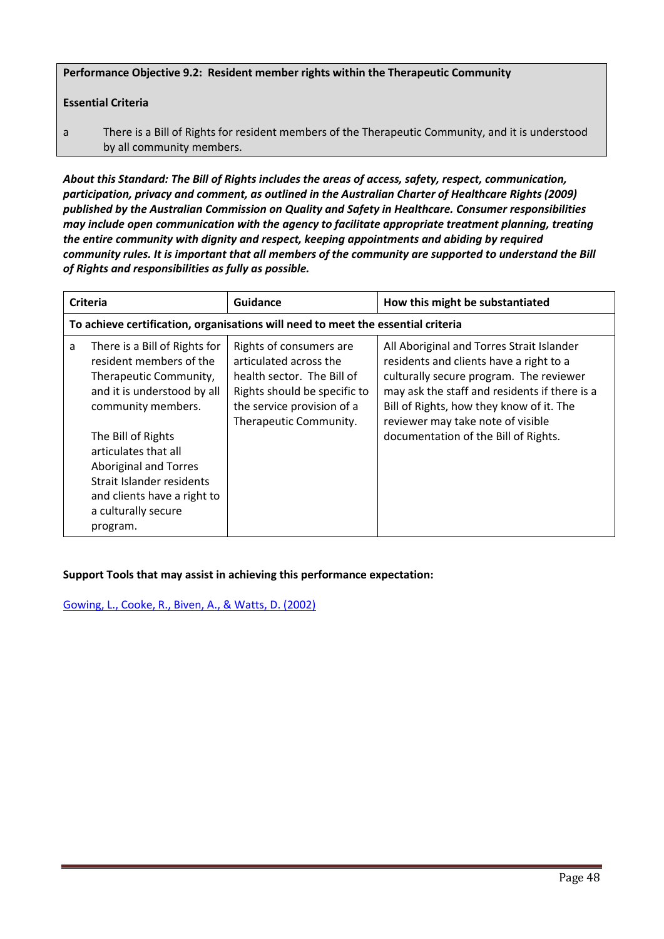Performance Objective 9.2: Resident member rights within the Therapeutic Community

## Essential Criteria

a There is a Bill of Rights for resident members of the Therapeutic Community, and it is understood by all community members.

*About this Standard: The Bill of Rights includes the areas of access, safety, respect, communication, participation, privacy and comment, as outlined in the Australian Charter of Healthcare Rights (2009) published by the Australian Commission on Quality and Safety in Healthcare. Consumer responsibilities may include open communication with the agency to facilitate appropriate treatment planning, treating the entire community with dignity and respect, keeping appointments and abiding by required community rules. It is important that all members of the community are supported to understand the Bill of Rights and responsibilities as fully as possible.*

|   | <b>Criteria</b>                                                                                                                                                                                                                                                                                                      | Guidance                                                                                                                                                                | How this might be substantiated                                                                                                                                                                                                                                                                           |
|---|----------------------------------------------------------------------------------------------------------------------------------------------------------------------------------------------------------------------------------------------------------------------------------------------------------------------|-------------------------------------------------------------------------------------------------------------------------------------------------------------------------|-----------------------------------------------------------------------------------------------------------------------------------------------------------------------------------------------------------------------------------------------------------------------------------------------------------|
|   |                                                                                                                                                                                                                                                                                                                      | To achieve certification, organisations will need to meet the essential criteria                                                                                        |                                                                                                                                                                                                                                                                                                           |
| a | There is a Bill of Rights for<br>resident members of the<br>Therapeutic Community,<br>and it is understood by all<br>community members.<br>The Bill of Rights<br>articulates that all<br><b>Aboriginal and Torres</b><br>Strait Islander residents<br>and clients have a right to<br>a culturally secure<br>program. | Rights of consumers are<br>articulated across the<br>health sector. The Bill of<br>Rights should be specific to<br>the service provision of a<br>Therapeutic Community. | All Aboriginal and Torres Strait Islander<br>residents and clients have a right to a<br>culturally secure program. The reviewer<br>may ask the staff and residents if there is a<br>Bill of Rights, how they know of it. The<br>reviewer may take note of visible<br>documentation of the Bill of Rights. |

## Support Tools that may assist in achieving this performance expectation:

Gowing, L., Cooke, R., Biven, A., & Watts, D. (2002)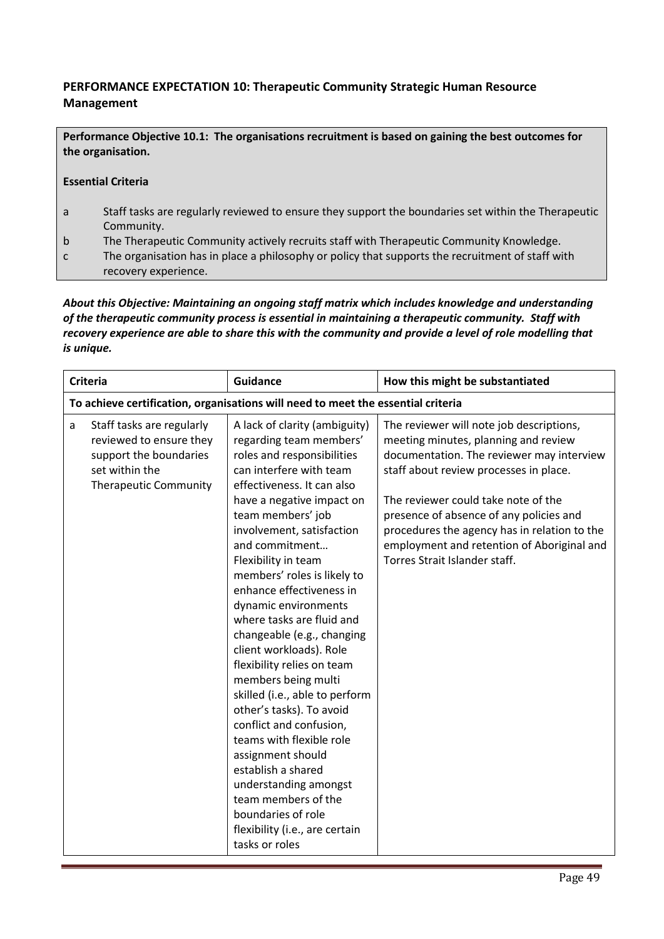# PERFORMANCE EXPECTATION 10: Therapeutic Community Strategic Human Resource Management

Performance Objective 10.1: The organisations recruitment is based on gaining the best outcomes for the organisation.

#### Essential Criteria

- a Staff tasks are regularly reviewed to ensure they support the boundaries set within the Therapeutic Community.
- b The Therapeutic Community actively recruits staff with Therapeutic Community Knowledge.
- c The organisation has in place a philosophy or policy that supports the recruitment of staff with recovery experience.

*About this Objective: Maintaining an ongoing staff matrix which includes knowledge and understanding of the therapeutic community process is essential in maintaining a therapeutic community. Staff with recovery experience are able to share this with the community and provide a level of role modelling that is unique.* 

| <b>Criteria</b> |                                                                                                                                  | <b>Guidance</b>                                                                                                                                                                                                                                                                                                                                                                                                                                                                                                                                                                                                                                                                                                                                                                                 | How this might be substantiated                                                                                                                                                                                                                                                                                                                                                          |
|-----------------|----------------------------------------------------------------------------------------------------------------------------------|-------------------------------------------------------------------------------------------------------------------------------------------------------------------------------------------------------------------------------------------------------------------------------------------------------------------------------------------------------------------------------------------------------------------------------------------------------------------------------------------------------------------------------------------------------------------------------------------------------------------------------------------------------------------------------------------------------------------------------------------------------------------------------------------------|------------------------------------------------------------------------------------------------------------------------------------------------------------------------------------------------------------------------------------------------------------------------------------------------------------------------------------------------------------------------------------------|
|                 |                                                                                                                                  | To achieve certification, organisations will need to meet the essential criteria                                                                                                                                                                                                                                                                                                                                                                                                                                                                                                                                                                                                                                                                                                                |                                                                                                                                                                                                                                                                                                                                                                                          |
| a               | Staff tasks are regularly<br>reviewed to ensure they<br>support the boundaries<br>set within the<br><b>Therapeutic Community</b> | A lack of clarity (ambiguity)<br>regarding team members'<br>roles and responsibilities<br>can interfere with team<br>effectiveness. It can also<br>have a negative impact on<br>team members' job<br>involvement, satisfaction<br>and commitment<br>Flexibility in team<br>members' roles is likely to<br>enhance effectiveness in<br>dynamic environments<br>where tasks are fluid and<br>changeable (e.g., changing<br>client workloads). Role<br>flexibility relies on team<br>members being multi<br>skilled (i.e., able to perform<br>other's tasks). To avoid<br>conflict and confusion,<br>teams with flexible role<br>assignment should<br>establish a shared<br>understanding amongst<br>team members of the<br>boundaries of role<br>flexibility (i.e., are certain<br>tasks or roles | The reviewer will note job descriptions,<br>meeting minutes, planning and review<br>documentation. The reviewer may interview<br>staff about review processes in place.<br>The reviewer could take note of the<br>presence of absence of any policies and<br>procedures the agency has in relation to the<br>employment and retention of Aboriginal and<br>Torres Strait Islander staff. |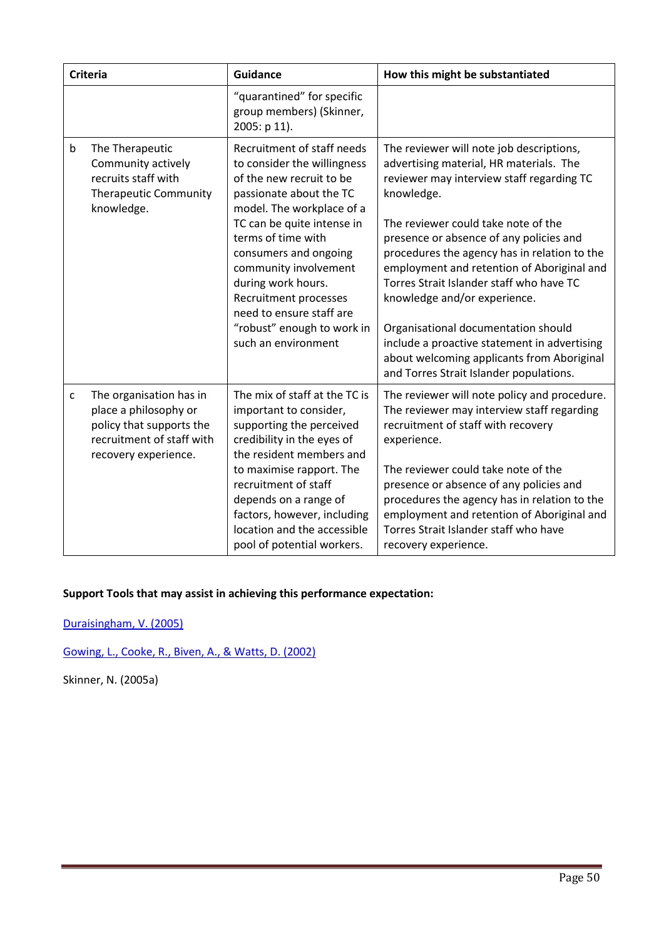|              | <b>Criteria</b>                                                                                                                   | <b>Guidance</b>                                                                                                                                                               | How this might be substantiated                                                                                                                                                                                                                          |
|--------------|-----------------------------------------------------------------------------------------------------------------------------------|-------------------------------------------------------------------------------------------------------------------------------------------------------------------------------|----------------------------------------------------------------------------------------------------------------------------------------------------------------------------------------------------------------------------------------------------------|
|              |                                                                                                                                   | "quarantined" for specific<br>group members) (Skinner,<br>2005: p 11).                                                                                                        |                                                                                                                                                                                                                                                          |
| $\mathsf b$  | The Therapeutic<br>Community actively<br>recruits staff with<br><b>Therapeutic Community</b><br>knowledge.                        | Recruitment of staff needs<br>to consider the willingness<br>of the new recruit to be<br>passionate about the TC<br>model. The workplace of a                                 | The reviewer will note job descriptions,<br>advertising material, HR materials. The<br>reviewer may interview staff regarding TC<br>knowledge.                                                                                                           |
|              |                                                                                                                                   | TC can be quite intense in<br>terms of time with<br>consumers and ongoing<br>community involvement<br>during work hours.<br>Recruitment processes<br>need to ensure staff are | The reviewer could take note of the<br>presence or absence of any policies and<br>procedures the agency has in relation to the<br>employment and retention of Aboriginal and<br>Torres Strait Islander staff who have TC<br>knowledge and/or experience. |
|              |                                                                                                                                   | "robust" enough to work in<br>such an environment                                                                                                                             | Organisational documentation should<br>include a proactive statement in advertising<br>about welcoming applicants from Aboriginal<br>and Torres Strait Islander populations.                                                                             |
| $\mathsf{C}$ | The organisation has in<br>place a philosophy or<br>policy that supports the<br>recruitment of staff with<br>recovery experience. | The mix of staff at the TC is<br>important to consider,<br>supporting the perceived<br>credibility in the eyes of<br>the resident members and                                 | The reviewer will note policy and procedure.<br>The reviewer may interview staff regarding<br>recruitment of staff with recovery<br>experience.                                                                                                          |
|              |                                                                                                                                   | to maximise rapport. The<br>recruitment of staff<br>depends on a range of<br>factors, however, including<br>location and the accessible<br>pool of potential workers.         | The reviewer could take note of the<br>presence or absence of any policies and<br>procedures the agency has in relation to the<br>employment and retention of Aboriginal and<br>Torres Strait Islander staff who have<br>recovery experience.            |

Duraisingham, V. (2005)

Gowing, L., Cooke, R., Biven, A., & Watts, D. (2002)

Skinner, N. (2005a)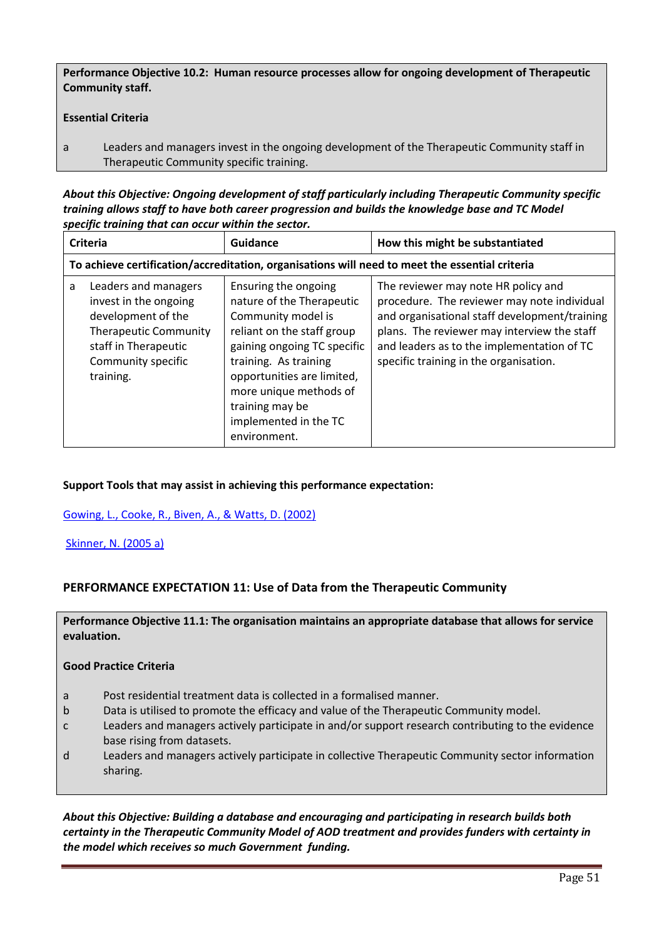Performance Objective 10.2: Human resource processes allow for ongoing development of Therapeutic Community staff.

#### Essential Criteria

a Leaders and managers invest in the ongoing development of the Therapeutic Community staff in Therapeutic Community specific training.

*About this Objective: Ongoing development of staff particularly including Therapeutic Community specific training allows staff to have both career progression and builds the knowledge base and TC Model specific training that can occur within the sector.*

| Criteria |                                                                                                                                                                | Guidance                                                                                                                                                                                                                                                                          | How this might be substantiated                                                                                                                                                                                                                                            |
|----------|----------------------------------------------------------------------------------------------------------------------------------------------------------------|-----------------------------------------------------------------------------------------------------------------------------------------------------------------------------------------------------------------------------------------------------------------------------------|----------------------------------------------------------------------------------------------------------------------------------------------------------------------------------------------------------------------------------------------------------------------------|
|          |                                                                                                                                                                |                                                                                                                                                                                                                                                                                   | To achieve certification/accreditation, organisations will need to meet the essential criteria                                                                                                                                                                             |
| a        | Leaders and managers<br>invest in the ongoing<br>development of the<br><b>Therapeutic Community</b><br>staff in Therapeutic<br>Community specific<br>training. | Ensuring the ongoing<br>nature of the Therapeutic<br>Community model is<br>reliant on the staff group<br>gaining ongoing TC specific<br>training. As training<br>opportunities are limited,<br>more unique methods of<br>training may be<br>implemented in the TC<br>environment. | The reviewer may note HR policy and<br>procedure. The reviewer may note individual<br>and organisational staff development/training<br>plans. The reviewer may interview the staff<br>and leaders as to the implementation of TC<br>specific training in the organisation. |

#### Support Tools that may assist in achieving this performance expectation:

#### Gowing, L., Cooke, R., Biven, A., & Watts, D. (2002)

Skinner, N. (2005 a)

## PERFORMANCE EXPECTATION 11: Use of Data from the Therapeutic Community

Performance Objective 11.1: The organisation maintains an appropriate database that allows for service evaluation.

#### Good Practice Criteria

- a Post residential treatment data is collected in a formalised manner.
- b Data is utilised to promote the efficacy and value of the Therapeutic Community model.
- c Leaders and managers actively participate in and/or support research contributing to the evidence base rising from datasets.
- d Leaders and managers actively participate in collective Therapeutic Community sector information sharing.

*About this Objective: Building a database and encouraging and participating in research builds both certainty in the Therapeutic Community Model of AOD treatment and provides funders with certainty in the model which receives so much Government funding.*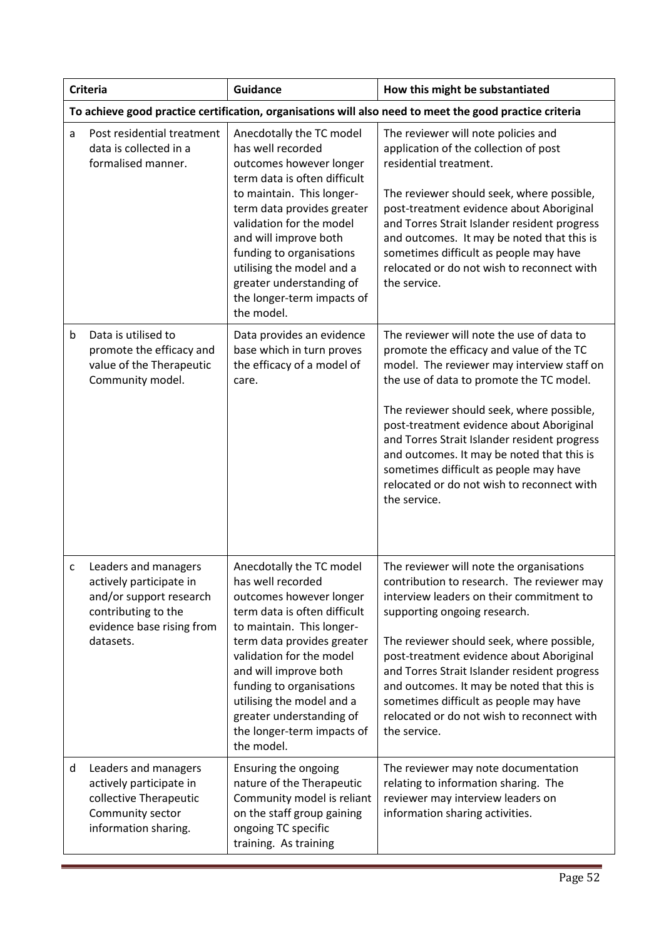|   | <b>Criteria</b>                                                                                                                             | <b>Guidance</b>                                                                                                                                                                                                                                                                                                                                           | How this might be substantiated                                                                                                                                                                                                                                                                                                                                                                                                                                                |
|---|---------------------------------------------------------------------------------------------------------------------------------------------|-----------------------------------------------------------------------------------------------------------------------------------------------------------------------------------------------------------------------------------------------------------------------------------------------------------------------------------------------------------|--------------------------------------------------------------------------------------------------------------------------------------------------------------------------------------------------------------------------------------------------------------------------------------------------------------------------------------------------------------------------------------------------------------------------------------------------------------------------------|
|   |                                                                                                                                             |                                                                                                                                                                                                                                                                                                                                                           | To achieve good practice certification, organisations will also need to meet the good practice criteria                                                                                                                                                                                                                                                                                                                                                                        |
| a | Post residential treatment<br>data is collected in a<br>formalised manner.                                                                  | Anecdotally the TC model<br>has well recorded<br>outcomes however longer<br>term data is often difficult<br>to maintain. This longer-<br>term data provides greater<br>validation for the model<br>and will improve both<br>funding to organisations<br>utilising the model and a<br>greater understanding of<br>the longer-term impacts of<br>the model. | The reviewer will note policies and<br>application of the collection of post<br>residential treatment.<br>The reviewer should seek, where possible,<br>post-treatment evidence about Aboriginal<br>and Torres Strait Islander resident progress<br>and outcomes. It may be noted that this is<br>sometimes difficult as people may have<br>relocated or do not wish to reconnect with<br>the service.                                                                          |
| b | Data is utilised to<br>promote the efficacy and<br>value of the Therapeutic<br>Community model.                                             | Data provides an evidence<br>base which in turn proves<br>the efficacy of a model of<br>care.                                                                                                                                                                                                                                                             | The reviewer will note the use of data to<br>promote the efficacy and value of the TC<br>model. The reviewer may interview staff on<br>the use of data to promote the TC model.<br>The reviewer should seek, where possible,<br>post-treatment evidence about Aboriginal<br>and Torres Strait Islander resident progress<br>and outcomes. It may be noted that this is<br>sometimes difficult as people may have<br>relocated or do not wish to reconnect with<br>the service. |
| с | Leaders and managers<br>actively participate in<br>and/or support research<br>contributing to the<br>evidence base rising from<br>datasets. | Anecdotally the TC model<br>has well recorded<br>outcomes however longer<br>term data is often difficult<br>to maintain. This longer-<br>term data provides greater<br>validation for the model<br>and will improve both<br>funding to organisations<br>utilising the model and a<br>greater understanding of<br>the longer-term impacts of<br>the model. | The reviewer will note the organisations<br>contribution to research. The reviewer may<br>interview leaders on their commitment to<br>supporting ongoing research.<br>The reviewer should seek, where possible,<br>post-treatment evidence about Aboriginal<br>and Torres Strait Islander resident progress<br>and outcomes. It may be noted that this is<br>sometimes difficult as people may have<br>relocated or do not wish to reconnect with<br>the service.              |
| d | Leaders and managers<br>actively participate in<br>collective Therapeutic<br>Community sector<br>information sharing.                       | Ensuring the ongoing<br>nature of the Therapeutic<br>Community model is reliant<br>on the staff group gaining<br>ongoing TC specific<br>training. As training                                                                                                                                                                                             | The reviewer may note documentation<br>relating to information sharing. The<br>reviewer may interview leaders on<br>information sharing activities.                                                                                                                                                                                                                                                                                                                            |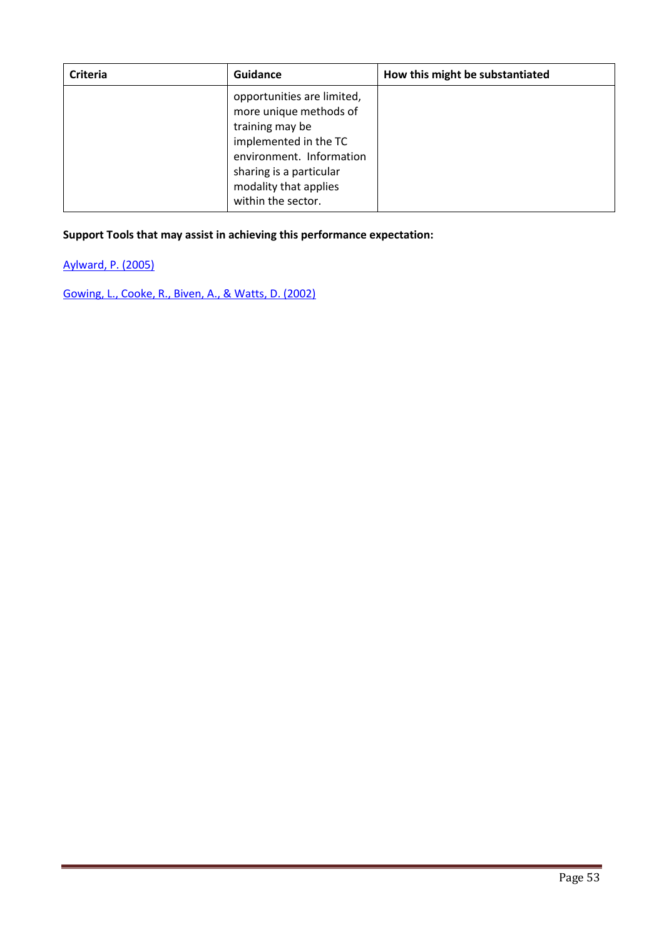| <b>Criteria</b> | Guidance                                                                                                                                                                                               | How this might be substantiated |
|-----------------|--------------------------------------------------------------------------------------------------------------------------------------------------------------------------------------------------------|---------------------------------|
|                 | opportunities are limited,<br>more unique methods of<br>training may be<br>implemented in the TC<br>environment. Information<br>sharing is a particular<br>modality that applies<br>within the sector. |                                 |

Aylward, P. (2005)

Gowing, L., Cooke, R., Biven, A., & Watts, D. (2002)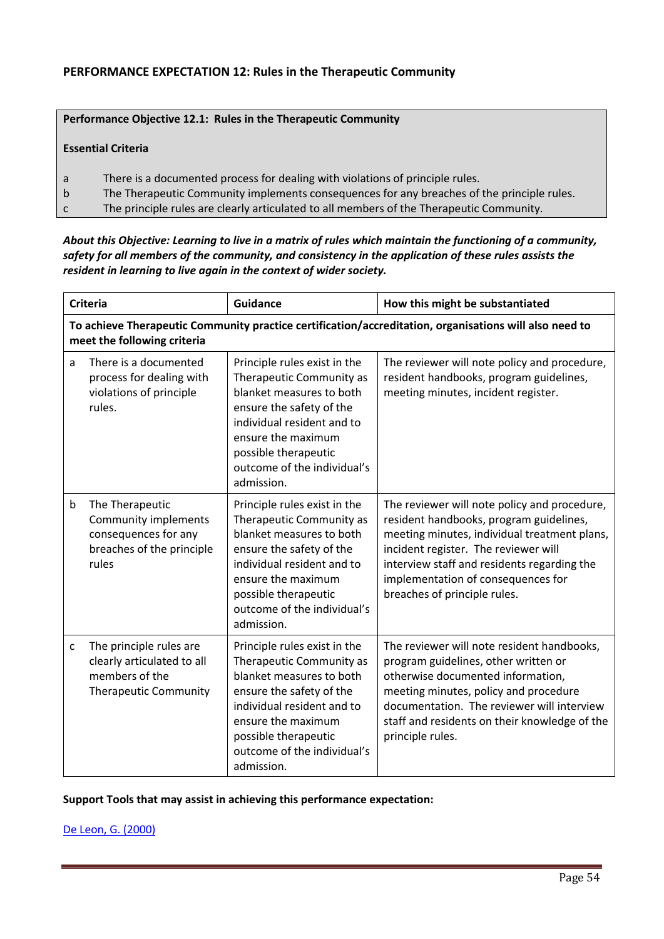## Performance Objective 12.1: Rules in the Therapeutic Community

#### Essential Criteria

- a There is a documented process for dealing with violations of principle rules.
- b The Therapeutic Community implements consequences for any breaches of the principle rules.
- c The principle rules are clearly articulated to all members of the Therapeutic Community.

#### *About this Objective: Learning to live in a matrix of rules which maintain the functioning of a community, safety for all members of the community, and consistency in the application of these rules assists the resident in learning to live again in the context of wider society.*

|   | <b>Criteria</b>                                                                                         | Guidance                                                                                                                                                                                                                                  | How this might be substantiated                                                                                                                                                                                                                                                                      |
|---|---------------------------------------------------------------------------------------------------------|-------------------------------------------------------------------------------------------------------------------------------------------------------------------------------------------------------------------------------------------|------------------------------------------------------------------------------------------------------------------------------------------------------------------------------------------------------------------------------------------------------------------------------------------------------|
|   | meet the following criteria                                                                             |                                                                                                                                                                                                                                           | To achieve Therapeutic Community practice certification/accreditation, organisations will also need to                                                                                                                                                                                               |
| a | There is a documented<br>process for dealing with<br>violations of principle<br>rules.                  | Principle rules exist in the<br>Therapeutic Community as<br>blanket measures to both<br>ensure the safety of the<br>individual resident and to<br>ensure the maximum<br>possible therapeutic<br>outcome of the individual's<br>admission. | The reviewer will note policy and procedure,<br>resident handbooks, program guidelines,<br>meeting minutes, incident register.                                                                                                                                                                       |
| b | The Therapeutic<br>Community implements<br>consequences for any<br>breaches of the principle<br>rules   | Principle rules exist in the<br>Therapeutic Community as<br>blanket measures to both<br>ensure the safety of the<br>individual resident and to<br>ensure the maximum<br>possible therapeutic<br>outcome of the individual's<br>admission. | The reviewer will note policy and procedure,<br>resident handbooks, program guidelines,<br>meeting minutes, individual treatment plans,<br>incident register. The reviewer will<br>interview staff and residents regarding the<br>implementation of consequences for<br>breaches of principle rules. |
| c | The principle rules are<br>clearly articulated to all<br>members of the<br><b>Therapeutic Community</b> | Principle rules exist in the<br>Therapeutic Community as<br>blanket measures to both<br>ensure the safety of the<br>individual resident and to<br>ensure the maximum<br>possible therapeutic<br>outcome of the individual's<br>admission. | The reviewer will note resident handbooks,<br>program guidelines, other written or<br>otherwise documented information,<br>meeting minutes, policy and procedure<br>documentation. The reviewer will interview<br>staff and residents on their knowledge of the<br>principle rules.                  |

Support Tools that may assist in achieving this performance expectation:

De Leon, G. (2000)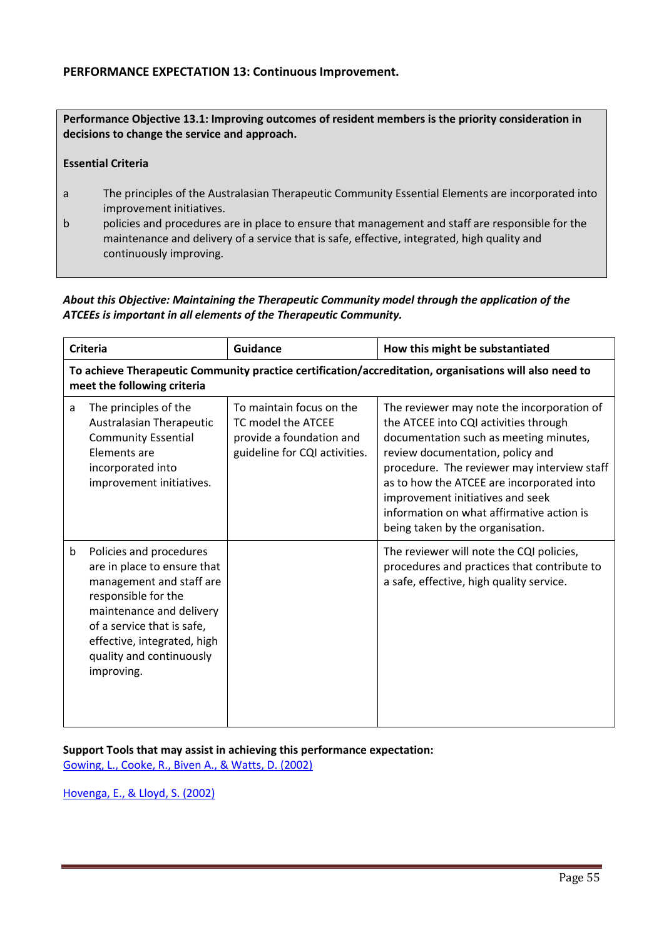## PERFORMANCE EXPECTATION 13: Continuous Improvement.

Performance Objective 13.1: Improving outcomes of resident members is the priority consideration in decisions to change the service and approach.

#### Essential Criteria

- a The principles of the Australasian Therapeutic Community Essential Elements are incorporated into improvement initiatives.
- b policies and procedures are in place to ensure that management and staff are responsible for the maintenance and delivery of a service that is safe, effective, integrated, high quality and continuously improving.

## *About this Objective: Maintaining the Therapeutic Community model through the application of the ATCEEs is important in all elements of the Therapeutic Community.*

| <b>Criteria</b>                                                                                                                       |                                                                                                                                                                                                                                              | <b>Guidance</b>                                                                                             | How this might be substantiated                                                                                                                                                                                                                                                                                                                                                    |  |  |  |
|---------------------------------------------------------------------------------------------------------------------------------------|----------------------------------------------------------------------------------------------------------------------------------------------------------------------------------------------------------------------------------------------|-------------------------------------------------------------------------------------------------------------|------------------------------------------------------------------------------------------------------------------------------------------------------------------------------------------------------------------------------------------------------------------------------------------------------------------------------------------------------------------------------------|--|--|--|
| To achieve Therapeutic Community practice certification/accreditation, organisations will also need to<br>meet the following criteria |                                                                                                                                                                                                                                              |                                                                                                             |                                                                                                                                                                                                                                                                                                                                                                                    |  |  |  |
| a                                                                                                                                     | The principles of the<br>Australasian Therapeutic<br><b>Community Essential</b><br>Elements are<br>incorporated into<br>improvement initiatives.                                                                                             | To maintain focus on the<br>TC model the ATCEE<br>provide a foundation and<br>guideline for CQI activities. | The reviewer may note the incorporation of<br>the ATCEE into CQI activities through<br>documentation such as meeting minutes,<br>review documentation, policy and<br>procedure. The reviewer may interview staff<br>as to how the ATCEE are incorporated into<br>improvement initiatives and seek<br>information on what affirmative action is<br>being taken by the organisation. |  |  |  |
| b                                                                                                                                     | Policies and procedures<br>are in place to ensure that<br>management and staff are<br>responsible for the<br>maintenance and delivery<br>of a service that is safe,<br>effective, integrated, high<br>quality and continuously<br>improving. |                                                                                                             | The reviewer will note the CQI policies,<br>procedures and practices that contribute to<br>a safe, effective, high quality service.                                                                                                                                                                                                                                                |  |  |  |

Support Tools that may assist in achieving this performance expectation: Gowing, L., Cooke, R., Biven A., & Watts, D. (2002)

Hovenga, E., & Lloyd, S. (2002)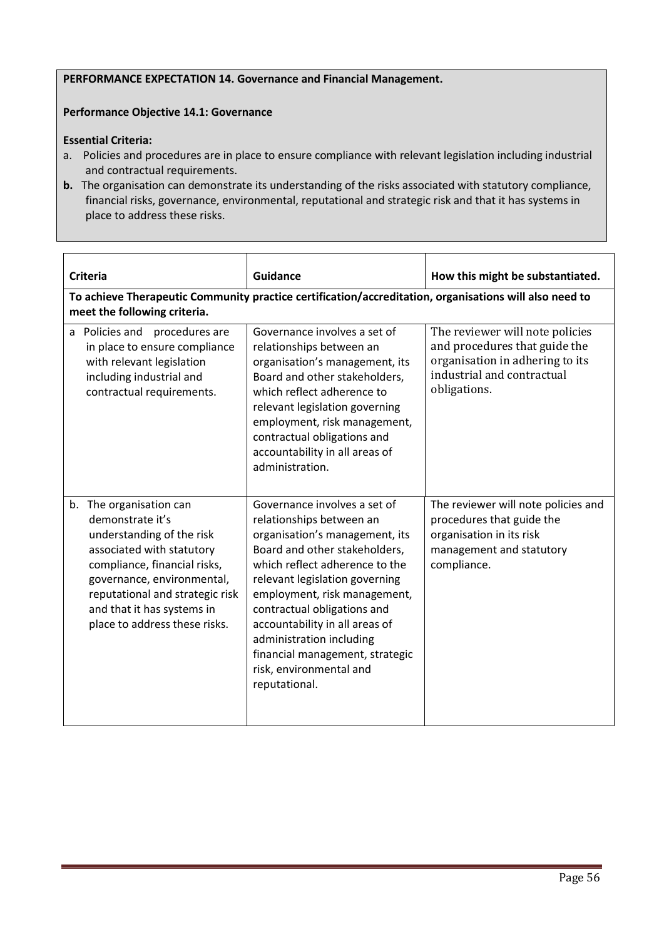#### PERFORMANCE EXPECTATION 14. Governance and Financial Management.

#### Performance Objective 14.1: Governance

#### Essential Criteria:

- a. Policies and procedures are in place to ensure compliance with relevant legislation including industrial and contractual requirements.
- b. The organisation can demonstrate its understanding of the risks associated with statutory compliance, financial risks, governance, environmental, reputational and strategic risk and that it has systems in place to address these risks.

| <b>Criteria</b>                                                                                                                                                                                                                                                       | <b>Guidance</b>                                                                                                                                                                                                                                                                                                                                                                                             | How this might be substantiated.                                                                                                                  |  |  |  |  |
|-----------------------------------------------------------------------------------------------------------------------------------------------------------------------------------------------------------------------------------------------------------------------|-------------------------------------------------------------------------------------------------------------------------------------------------------------------------------------------------------------------------------------------------------------------------------------------------------------------------------------------------------------------------------------------------------------|---------------------------------------------------------------------------------------------------------------------------------------------------|--|--|--|--|
| To achieve Therapeutic Community practice certification/accreditation, organisations will also need to<br>meet the following criteria.                                                                                                                                |                                                                                                                                                                                                                                                                                                                                                                                                             |                                                                                                                                                   |  |  |  |  |
| a Policies and<br>procedures are<br>in place to ensure compliance<br>with relevant legislation<br>including industrial and<br>contractual requirements.                                                                                                               | Governance involves a set of<br>relationships between an<br>organisation's management, its<br>Board and other stakeholders,<br>which reflect adherence to<br>relevant legislation governing<br>employment, risk management,<br>contractual obligations and<br>accountability in all areas of<br>administration.                                                                                             | The reviewer will note policies<br>and procedures that guide the<br>organisation in adhering to its<br>industrial and contractual<br>obligations. |  |  |  |  |
| b. The organisation can<br>demonstrate it's<br>understanding of the risk<br>associated with statutory<br>compliance, financial risks,<br>governance, environmental,<br>reputational and strategic risk<br>and that it has systems in<br>place to address these risks. | Governance involves a set of<br>relationships between an<br>organisation's management, its<br>Board and other stakeholders,<br>which reflect adherence to the<br>relevant legislation governing<br>employment, risk management,<br>contractual obligations and<br>accountability in all areas of<br>administration including<br>financial management, strategic<br>risk, environmental and<br>reputational. | The reviewer will note policies and<br>procedures that guide the<br>organisation in its risk<br>management and statutory<br>compliance.           |  |  |  |  |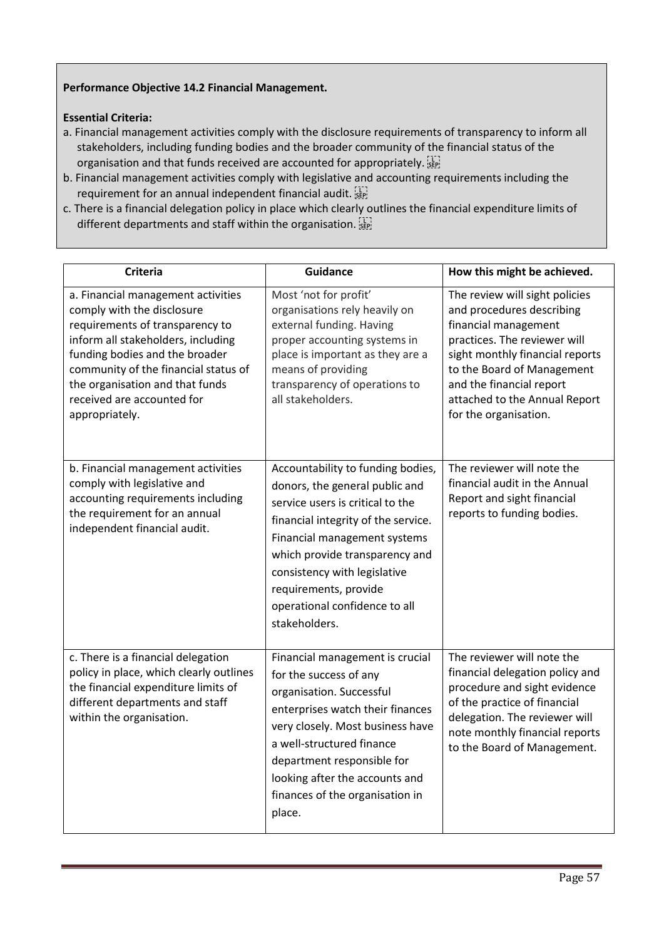# Performance Objective 14.2 Financial Management.

# Essential Criteria:

- a. Financial management activities comply with the disclosure requirements of transparency to inform all stakeholders, including funding bodies and the broader community of the financial status of the organisation and that funds received are accounted for appropriately. [17]
- b. Financial management activities comply with legislative and accounting requirements including the requirement for an annual independent financial audit.
- c. There is a financial delegation policy in place which clearly outlines the financial expenditure limits of different departments and staff within the organisation.

| Criteria                                                                                                                                                                                                                                                                                               | <b>Guidance</b>                                                                                                                                                                                                                                                                                                             | How this might be achieved.                                                                                                                                                                                                                                                |
|--------------------------------------------------------------------------------------------------------------------------------------------------------------------------------------------------------------------------------------------------------------------------------------------------------|-----------------------------------------------------------------------------------------------------------------------------------------------------------------------------------------------------------------------------------------------------------------------------------------------------------------------------|----------------------------------------------------------------------------------------------------------------------------------------------------------------------------------------------------------------------------------------------------------------------------|
| a. Financial management activities<br>comply with the disclosure<br>requirements of transparency to<br>inform all stakeholders, including<br>funding bodies and the broader<br>community of the financial status of<br>the organisation and that funds<br>received are accounted for<br>appropriately. | Most 'not for profit'<br>organisations rely heavily on<br>external funding. Having<br>proper accounting systems in<br>place is important as they are a<br>means of providing<br>transparency of operations to<br>all stakeholders.                                                                                          | The review will sight policies<br>and procedures describing<br>financial management<br>practices. The reviewer will<br>sight monthly financial reports<br>to the Board of Management<br>and the financial report<br>attached to the Annual Report<br>for the organisation. |
| b. Financial management activities<br>comply with legislative and<br>accounting requirements including<br>the requirement for an annual<br>independent financial audit.                                                                                                                                | Accountability to funding bodies,<br>donors, the general public and<br>service users is critical to the<br>financial integrity of the service.<br>Financial management systems<br>which provide transparency and<br>consistency with legislative<br>requirements, provide<br>operational confidence to all<br>stakeholders. | The reviewer will note the<br>financial audit in the Annual<br>Report and sight financial<br>reports to funding bodies.                                                                                                                                                    |
| c. There is a financial delegation<br>policy in place, which clearly outlines<br>the financial expenditure limits of<br>different departments and staff<br>within the organisation.                                                                                                                    | Financial management is crucial<br>for the success of any<br>organisation. Successful<br>enterprises watch their finances<br>very closely. Most business have<br>a well-structured finance<br>department responsible for<br>looking after the accounts and<br>finances of the organisation in<br>place.                     | The reviewer will note the<br>financial delegation policy and<br>procedure and sight evidence<br>of the practice of financial<br>delegation. The reviewer will<br>note monthly financial reports<br>to the Board of Management.                                            |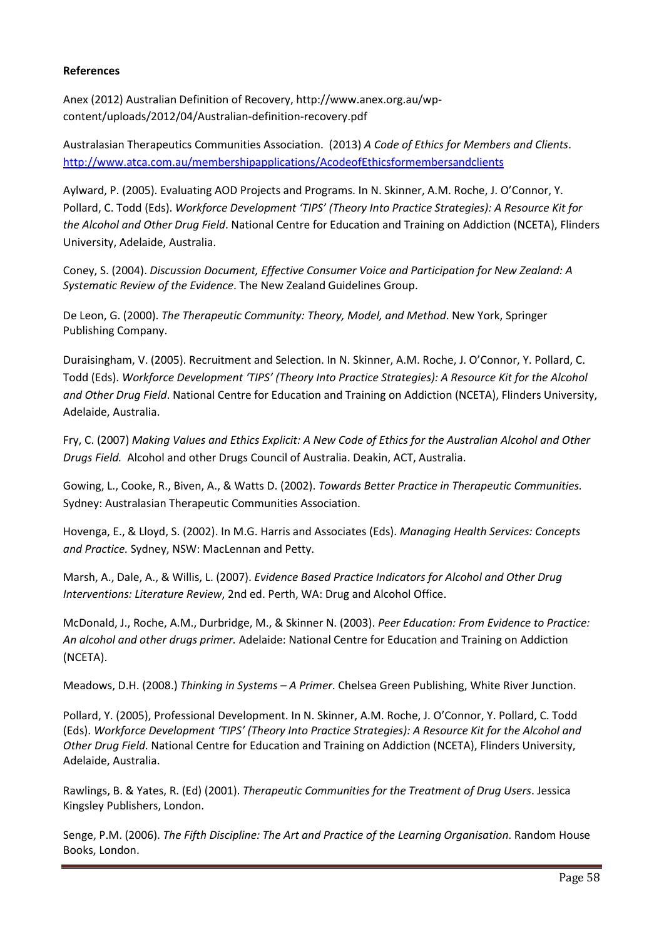#### References

Anex (2012) Australian Definition of Recovery, http://www.anex.org.au/wpcontent/uploads/2012/04/Australian-definition-recovery.pdf

Australasian Therapeutics Communities Association. (2013) *A Code of Ethics for Members and Clients*. http://www.atca.com.au/membershipapplications/AcodeofEthicsformembersandclients

Aylward, P. (2005). Evaluating AOD Projects and Programs. In N. Skinner, A.M. Roche, J. O'Connor, Y. Pollard, C. Todd (Eds). *Workforce Development 'TIPS' (Theory Into Practice Strategies): A Resource Kit for the Alcohol and Other Drug Field*. National Centre for Education and Training on Addiction (NCETA), Flinders University, Adelaide, Australia.

Coney, S. (2004). *Discussion Document, Effective Consumer Voice and Participation for New Zealand: A Systematic Review of the Evidence*. The New Zealand Guidelines Group.

De Leon, G. (2000). *The Therapeutic Community: Theory, Model, and Method*. New York, Springer Publishing Company.

Duraisingham, V. (2005). Recruitment and Selection. In N. Skinner, A.M. Roche, J. O'Connor, Y. Pollard, C. Todd (Eds). *Workforce Development 'TIPS' (Theory Into Practice Strategies): A Resource Kit for the Alcohol and Other Drug Field*. National Centre for Education and Training on Addiction (NCETA), Flinders University, Adelaide, Australia.

Fry, C. (2007) *Making Values and Ethics Explicit: A New Code of Ethics for the Australian Alcohol and Other Drugs Field.* Alcohol and other Drugs Council of Australia. Deakin, ACT, Australia.

Gowing, L., Cooke, R., Biven, A., & Watts D. (2002). *Towards Better Practice in Therapeutic Communities.* Sydney: Australasian Therapeutic Communities Association.

Hovenga, E., & Lloyd, S. (2002). In M.G. Harris and Associates (Eds). *Managing Health Services: Concepts and Practice.* Sydney, NSW: MacLennan and Petty.

Marsh, A., Dale, A., & Willis, L. (2007). *Evidence Based Practice Indicators for Alcohol and Other Drug Interventions: Literature Review*, 2nd ed. Perth, WA: Drug and Alcohol Office.

McDonald, J., Roche, A.M., Durbridge, M., & Skinner N. (2003). *Peer Education: From Evidence to Practice: An alcohol and other drugs primer.* Adelaide: National Centre for Education and Training on Addiction (NCETA).

Meadows, D.H. (2008.) *Thinking in Systems – A Primer*. Chelsea Green Publishing, White River Junction.

Pollard, Y. (2005), Professional Development. In N. Skinner, A.M. Roche, J. O'Connor, Y. Pollard, C. Todd (Eds). *Workforce Development 'TIPS' (Theory Into Practice Strategies): A Resource Kit for the Alcohol and Other Drug Field*. National Centre for Education and Training on Addiction (NCETA), Flinders University, Adelaide, Australia.

Rawlings, B. & Yates, R. (Ed) (2001). *Therapeutic Communities for the Treatment of Drug Users*. Jessica Kingsley Publishers, London.

Senge, P.M. (2006). *The Fifth Discipline: The Art and Practice of the Learning Organisation*. Random House Books, London.